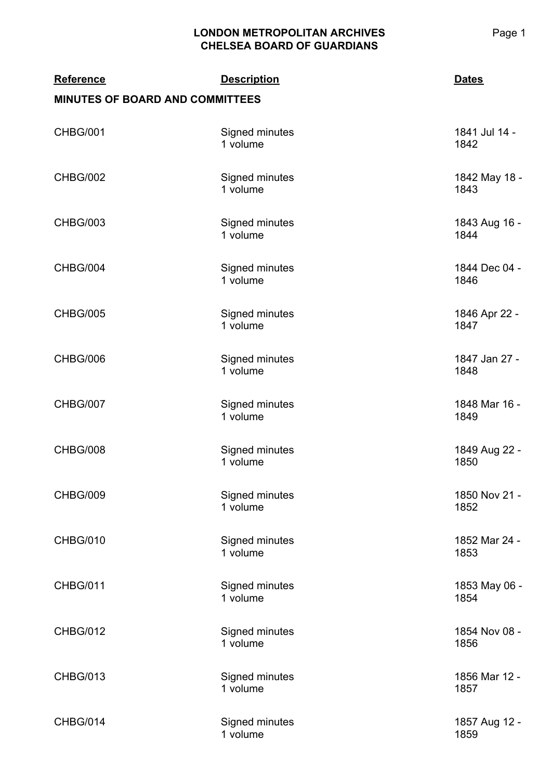| <b>Reference</b><br><b>MINUTES OF BOARD AND COMMITTEES</b> | <b>Description</b>         | <b>Dates</b>          |
|------------------------------------------------------------|----------------------------|-----------------------|
| <b>CHBG/001</b>                                            | Signed minutes<br>1 volume | 1841 Jul 14 -<br>1842 |
| <b>CHBG/002</b>                                            | Signed minutes<br>1 volume | 1842 May 18 -<br>1843 |
| <b>CHBG/003</b>                                            | Signed minutes<br>1 volume | 1843 Aug 16 -<br>1844 |
| CHBG/004                                                   | Signed minutes<br>1 volume | 1844 Dec 04 -<br>1846 |
| <b>CHBG/005</b>                                            | Signed minutes<br>1 volume | 1846 Apr 22 -<br>1847 |
| CHBG/006                                                   | Signed minutes<br>1 volume | 1847 Jan 27 -<br>1848 |
| <b>CHBG/007</b>                                            | Signed minutes<br>1 volume | 1848 Mar 16 -<br>1849 |
| <b>CHBG/008</b>                                            | Signed minutes<br>1 volume | 1849 Aug 22 -<br>1850 |
| <b>CHBG/009</b>                                            | Signed minutes<br>1 volume | 1850 Nov 21 -<br>1852 |
| <b>CHBG/010</b>                                            | Signed minutes<br>1 volume | 1852 Mar 24 -<br>1853 |
| <b>CHBG/011</b>                                            | Signed minutes<br>1 volume | 1853 May 06 -<br>1854 |
| <b>CHBG/012</b>                                            | Signed minutes<br>1 volume | 1854 Nov 08 -<br>1856 |
| <b>CHBG/013</b>                                            | Signed minutes<br>1 volume | 1856 Mar 12 -<br>1857 |
| CHBG/014                                                   | Signed minutes<br>1 volume | 1857 Aug 12 -<br>1859 |

Page 1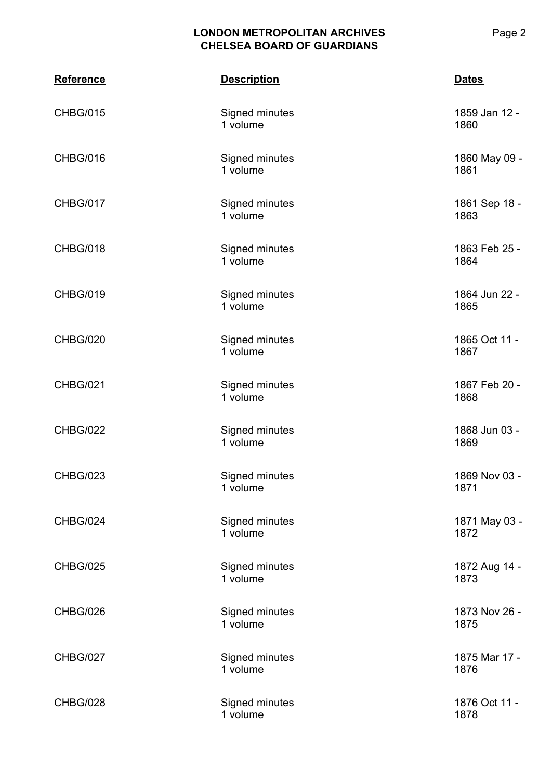| <b>Reference</b> | <b>Description</b>         | <b>Dates</b>          |
|------------------|----------------------------|-----------------------|
| <b>CHBG/015</b>  | Signed minutes<br>1 volume | 1859 Jan 12 -<br>1860 |
| CHBG/016         | Signed minutes<br>1 volume | 1860 May 09 -<br>1861 |
| CHBG/017         | Signed minutes<br>1 volume | 1861 Sep 18 -<br>1863 |
| CHBG/018         | Signed minutes<br>1 volume | 1863 Feb 25 -<br>1864 |
| <b>CHBG/019</b>  | Signed minutes<br>1 volume | 1864 Jun 22 -<br>1865 |
| CHBG/020         | Signed minutes<br>1 volume | 1865 Oct 11 -<br>1867 |
| <b>CHBG/021</b>  | Signed minutes<br>1 volume | 1867 Feb 20 -<br>1868 |
| <b>CHBG/022</b>  | Signed minutes<br>1 volume | 1868 Jun 03 -<br>1869 |
| <b>CHBG/023</b>  | Signed minutes<br>1 volume | 1869 Nov 03 -<br>1871 |
| CHBG/024         | Signed minutes<br>1 volume | 1871 May 03 -<br>1872 |
| <b>CHBG/025</b>  | Signed minutes<br>1 volume | 1872 Aug 14 -<br>1873 |
| CHBG/026         | Signed minutes<br>1 volume | 1873 Nov 26 -<br>1875 |
| <b>CHBG/027</b>  | Signed minutes<br>1 volume | 1875 Mar 17 -<br>1876 |
| CHBG/028         | Signed minutes<br>1 volume | 1876 Oct 11 -<br>1878 |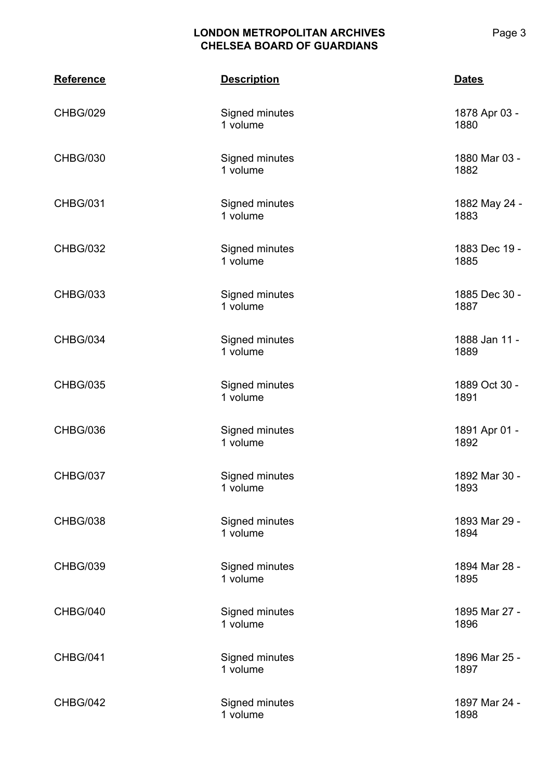| <b>Reference</b> | <b>Description</b>         | <b>Dates</b>          |
|------------------|----------------------------|-----------------------|
| <b>CHBG/029</b>  | Signed minutes<br>1 volume | 1878 Apr 03 -<br>1880 |
| <b>CHBG/030</b>  | Signed minutes<br>1 volume | 1880 Mar 03 -<br>1882 |
| <b>CHBG/031</b>  | Signed minutes<br>1 volume | 1882 May 24 -<br>1883 |
| <b>CHBG/032</b>  | Signed minutes<br>1 volume | 1883 Dec 19 -<br>1885 |
| <b>CHBG/033</b>  | Signed minutes<br>1 volume | 1885 Dec 30 -<br>1887 |
| CHBG/034         | Signed minutes<br>1 volume | 1888 Jan 11 -<br>1889 |
| <b>CHBG/035</b>  | Signed minutes<br>1 volume | 1889 Oct 30 -<br>1891 |
| CHBG/036         | Signed minutes<br>1 volume | 1891 Apr 01 -<br>1892 |
| CHBG/037         | Signed minutes<br>1 volume | 1892 Mar 30 -<br>1893 |
| <b>CHBG/038</b>  | Signed minutes<br>1 volume | 1893 Mar 29 -<br>1894 |
| <b>CHBG/039</b>  | Signed minutes<br>1 volume | 1894 Mar 28 -<br>1895 |
| CHBG/040         | Signed minutes<br>1 volume | 1895 Mar 27 -<br>1896 |
| <b>CHBG/041</b>  | Signed minutes<br>1 volume | 1896 Mar 25 -<br>1897 |
| CHBG/042         | Signed minutes<br>1 volume | 1897 Mar 24 -<br>1898 |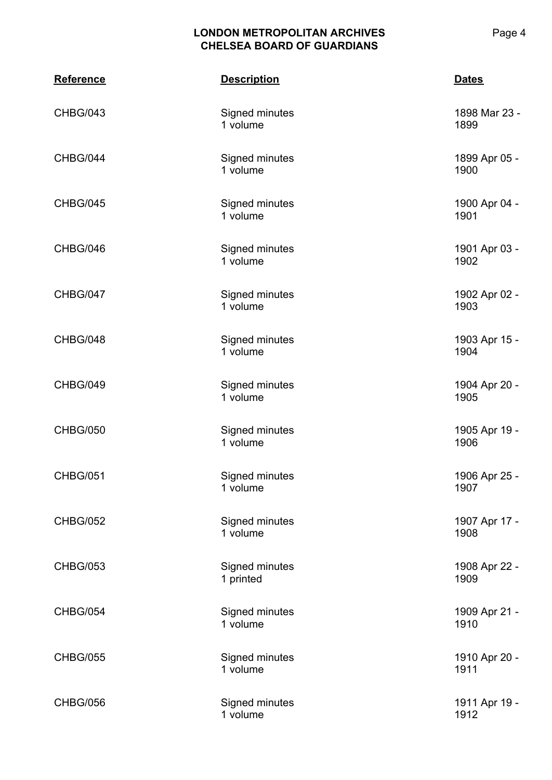| <b>Reference</b> | <b>Description</b>          | <b>Dates</b>          |
|------------------|-----------------------------|-----------------------|
| CHBG/043         | Signed minutes<br>1 volume  | 1898 Mar 23 -<br>1899 |
| CHBG/044         | Signed minutes<br>1 volume  | 1899 Apr 05 -<br>1900 |
| CHBG/045         | Signed minutes<br>1 volume  | 1900 Apr 04 -<br>1901 |
| CHBG/046         | Signed minutes<br>1 volume  | 1901 Apr 03 -<br>1902 |
| CHBG/047         | Signed minutes<br>1 volume  | 1902 Apr 02 -<br>1903 |
| CHBG/048         | Signed minutes<br>1 volume  | 1903 Apr 15 -<br>1904 |
| CHBG/049         | Signed minutes<br>1 volume  | 1904 Apr 20 -<br>1905 |
| <b>CHBG/050</b>  | Signed minutes<br>1 volume  | 1905 Apr 19 -<br>1906 |
| <b>CHBG/051</b>  | Signed minutes<br>1 volume  | 1906 Apr 25 -<br>1907 |
| <b>CHBG/052</b>  | Signed minutes<br>1 volume  | 1907 Apr 17 -<br>1908 |
| <b>CHBG/053</b>  | Signed minutes<br>1 printed | 1908 Apr 22 -<br>1909 |
| <b>CHBG/054</b>  | Signed minutes<br>1 volume  | 1909 Apr 21 -<br>1910 |
| <b>CHBG/055</b>  | Signed minutes<br>1 volume  | 1910 Apr 20 -<br>1911 |
| <b>CHBG/056</b>  | Signed minutes<br>1 volume  | 1911 Apr 19 -<br>1912 |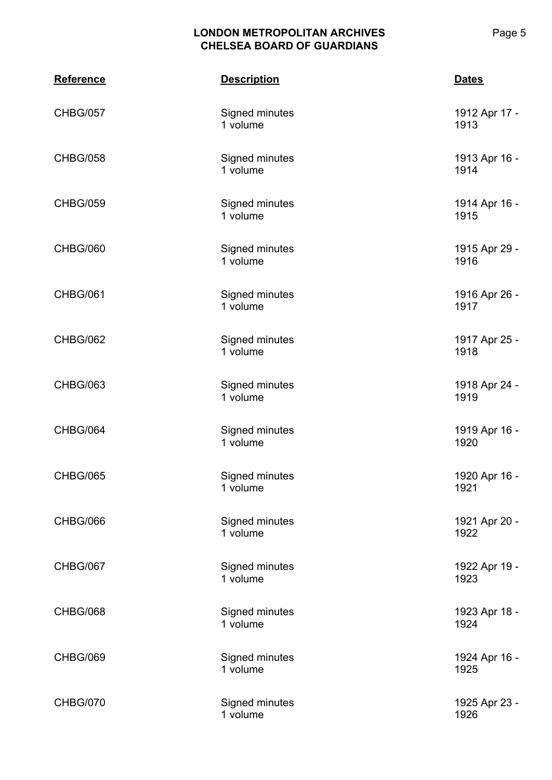| <b>Reference</b> | <b>Description</b>         | <b>Dates</b>          |
|------------------|----------------------------|-----------------------|
| <b>CHBG/057</b>  | Signed minutes<br>1 volume | 1912 Apr 17 -<br>1913 |
| <b>CHBG/058</b>  | Signed minutes<br>1 volume | 1913 Apr 16 -<br>1914 |
| <b>CHBG/059</b>  | Signed minutes<br>1 volume | 1914 Apr 16 -<br>1915 |
| CHBG/060         | Signed minutes<br>1 volume | 1915 Apr 29 -<br>1916 |
| <b>CHBG/061</b>  | Signed minutes<br>1 volume | 1916 Apr 26 -<br>1917 |
| CHBG/062         | Signed minutes<br>1 volume | 1917 Apr 25 -<br>1918 |
| <b>CHBG/063</b>  | Signed minutes<br>1 volume | 1918 Apr 24 -<br>1919 |
| CHBG/064         | Signed minutes<br>1 volume | 1919 Apr 16 -<br>1920 |
| <b>CHBG/065</b>  | Signed minutes<br>1 volume | 1920 Apr 16 -<br>1921 |
| CHBG/066         | Signed minutes<br>1 volume | 1921 Apr 20 -<br>1922 |
| <b>CHBG/067</b>  | Signed minutes<br>1 volume | 1922 Apr 19 -<br>1923 |
| CHBG/068         | Signed minutes<br>1 volume | 1923 Apr 18 -<br>1924 |
| CHBG/069         | Signed minutes<br>1 volume | 1924 Apr 16 -<br>1925 |
| CHBG/070         | Signed minutes<br>1 volume | 1925 Apr 23 -<br>1926 |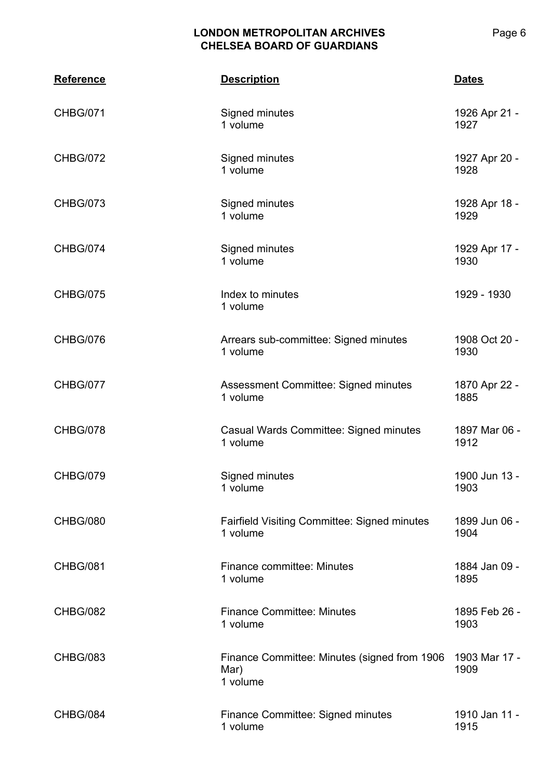| <b>Reference</b> | <b>Description</b>                                                | <b>Dates</b>          |
|------------------|-------------------------------------------------------------------|-----------------------|
| <b>CHBG/071</b>  | Signed minutes<br>1 volume                                        | 1926 Apr 21 -<br>1927 |
| <b>CHBG/072</b>  | Signed minutes<br>1 volume                                        | 1927 Apr 20 -<br>1928 |
| <b>CHBG/073</b>  | Signed minutes<br>1 volume                                        | 1928 Apr 18 -<br>1929 |
| CHBG/074         | Signed minutes<br>1 volume                                        | 1929 Apr 17 -<br>1930 |
| <b>CHBG/075</b>  | Index to minutes<br>1 volume                                      | 1929 - 1930           |
| CHBG/076         | Arrears sub-committee: Signed minutes<br>1 volume                 | 1908 Oct 20 -<br>1930 |
| CHBG/077         | Assessment Committee: Signed minutes<br>1 volume                  | 1870 Apr 22 -<br>1885 |
| <b>CHBG/078</b>  | Casual Wards Committee: Signed minutes<br>1 volume                | 1897 Mar 06 -<br>1912 |
| CHBG/079         | Signed minutes<br>1 volume                                        | 1900 Jun 13 -<br>1903 |
| <b>CHBG/080</b>  | <b>Fairfield Visiting Committee: Signed minutes</b><br>1 volume   | 1899 Jun 06 -<br>1904 |
| <b>CHBG/081</b>  | <b>Finance committee: Minutes</b><br>1 volume                     | 1884 Jan 09 -<br>1895 |
| <b>CHBG/082</b>  | <b>Finance Committee: Minutes</b><br>1 volume                     | 1895 Feb 26 -<br>1903 |
| <b>CHBG/083</b>  | Finance Committee: Minutes (signed from 1906)<br>Mar)<br>1 volume | 1903 Mar 17 -<br>1909 |
| CHBG/084         | <b>Finance Committee: Signed minutes</b><br>1 volume              | 1910 Jan 11 -<br>1915 |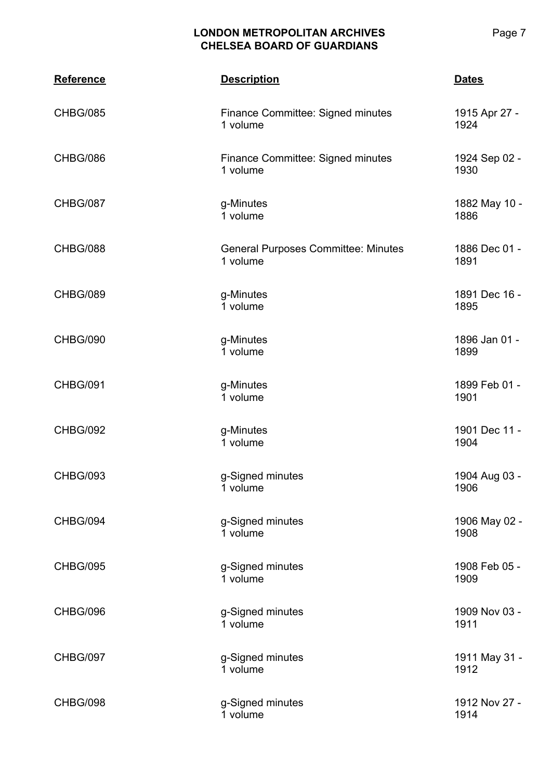| <b>Reference</b> | <b>Description</b>                                     | <b>Dates</b>          |
|------------------|--------------------------------------------------------|-----------------------|
| <b>CHBG/085</b>  | Finance Committee: Signed minutes<br>1 volume          | 1915 Apr 27 -<br>1924 |
| CHBG/086         | Finance Committee: Signed minutes<br>1 volume          | 1924 Sep 02 -<br>1930 |
| CHBG/087         | g-Minutes<br>1 volume                                  | 1882 May 10 -<br>1886 |
| CHBG/088         | <b>General Purposes Committee: Minutes</b><br>1 volume | 1886 Dec 01 -<br>1891 |
| CHBG/089         | g-Minutes<br>1 volume                                  | 1891 Dec 16 -<br>1895 |
| CHBG/090         | g-Minutes<br>1 volume                                  | 1896 Jan 01 -<br>1899 |
| <b>CHBG/091</b>  | g-Minutes<br>1 volume                                  | 1899 Feb 01 -<br>1901 |
| <b>CHBG/092</b>  | g-Minutes<br>1 volume                                  | 1901 Dec 11 -<br>1904 |
| <b>CHBG/093</b>  | g-Signed minutes<br>1 volume                           | 1904 Aug 03 -<br>1906 |
| CHBG/094         | g-Signed minutes<br>1 volume                           | 1906 May 02 -<br>1908 |
| <b>CHBG/095</b>  | g-Signed minutes<br>1 volume                           | 1908 Feb 05 -<br>1909 |
| CHBG/096         | g-Signed minutes<br>1 volume                           | 1909 Nov 03 -<br>1911 |
| CHBG/097         | g-Signed minutes<br>1 volume                           | 1911 May 31 -<br>1912 |
| CHBG/098         | g-Signed minutes<br>1 volume                           | 1912 Nov 27 -<br>1914 |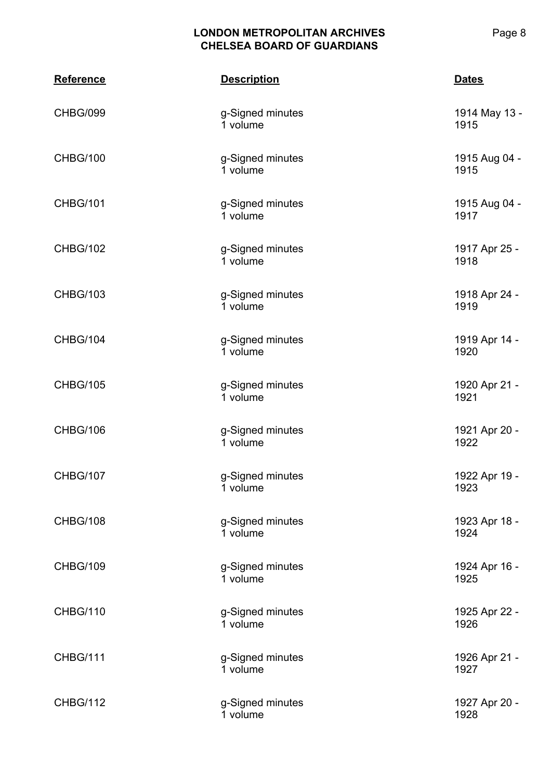| <b>Reference</b> | <b>Description</b>           | <b>Dates</b>          |
|------------------|------------------------------|-----------------------|
| CHBG/099         | g-Signed minutes<br>1 volume | 1914 May 13 -<br>1915 |
| <b>CHBG/100</b>  | g-Signed minutes<br>1 volume | 1915 Aug 04 -<br>1915 |
| <b>CHBG/101</b>  | g-Signed minutes<br>1 volume | 1915 Aug 04 -<br>1917 |
| <b>CHBG/102</b>  | g-Signed minutes<br>1 volume | 1917 Apr 25 -<br>1918 |
| <b>CHBG/103</b>  | g-Signed minutes<br>1 volume | 1918 Apr 24 -<br>1919 |
| CHBG/104         | g-Signed minutes<br>1 volume | 1919 Apr 14 -<br>1920 |
| <b>CHBG/105</b>  | g-Signed minutes<br>1 volume | 1920 Apr 21 -<br>1921 |
| <b>CHBG/106</b>  | g-Signed minutes<br>1 volume | 1921 Apr 20 -<br>1922 |
| <b>CHBG/107</b>  | g-Signed minutes<br>1 volume | 1922 Apr 19 -<br>1923 |
| <b>CHBG/108</b>  | g-Signed minutes<br>1 volume | 1923 Apr 18 -<br>1924 |
| <b>CHBG/109</b>  | g-Signed minutes<br>1 volume | 1924 Apr 16 -<br>1925 |
| <b>CHBG/110</b>  | g-Signed minutes<br>1 volume | 1925 Apr 22 -<br>1926 |
| <b>CHBG/111</b>  | g-Signed minutes<br>1 volume | 1926 Apr 21 -<br>1927 |
| <b>CHBG/112</b>  | g-Signed minutes<br>1 volume | 1927 Apr 20 -<br>1928 |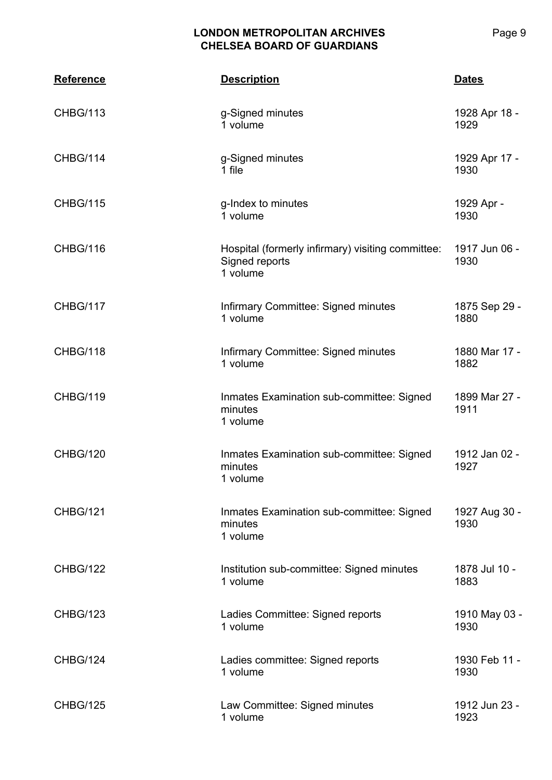| <b>Reference</b> | <b>Description</b>                                                              | <b>Dates</b>          |
|------------------|---------------------------------------------------------------------------------|-----------------------|
| <b>CHBG/113</b>  | g-Signed minutes<br>1 volume                                                    | 1928 Apr 18 -<br>1929 |
| CHBG/114         | g-Signed minutes<br>1 file                                                      | 1929 Apr 17 -<br>1930 |
| <b>CHBG/115</b>  | g-Index to minutes<br>1 volume                                                  | 1929 Apr -<br>1930    |
| CHBG/116         | Hospital (formerly infirmary) visiting committee:<br>Signed reports<br>1 volume | 1917 Jun 06 -<br>1930 |
| CHBG/117         | Infirmary Committee: Signed minutes<br>1 volume                                 | 1875 Sep 29 -<br>1880 |
| CHBG/118         | Infirmary Committee: Signed minutes<br>1 volume                                 | 1880 Mar 17 -<br>1882 |
| <b>CHBG/119</b>  | Inmates Examination sub-committee: Signed<br>minutes<br>1 volume                | 1899 Mar 27 -<br>1911 |
| <b>CHBG/120</b>  | Inmates Examination sub-committee: Signed<br>minutes<br>1 volume                | 1912 Jan 02 -<br>1927 |
| <b>CHBG/121</b>  | Inmates Examination sub-committee: Signed<br>minutes<br>1 volume                | 1927 Aug 30 -<br>1930 |
| <b>CHBG/122</b>  | Institution sub-committee: Signed minutes<br>1 volume                           | 1878 Jul 10 -<br>1883 |
| <b>CHBG/123</b>  | Ladies Committee: Signed reports<br>1 volume                                    | 1910 May 03 -<br>1930 |
| <b>CHBG/124</b>  | Ladies committee: Signed reports<br>1 volume                                    | 1930 Feb 11 -<br>1930 |
| <b>CHBG/125</b>  | Law Committee: Signed minutes<br>1 volume                                       | 1912 Jun 23 -<br>1923 |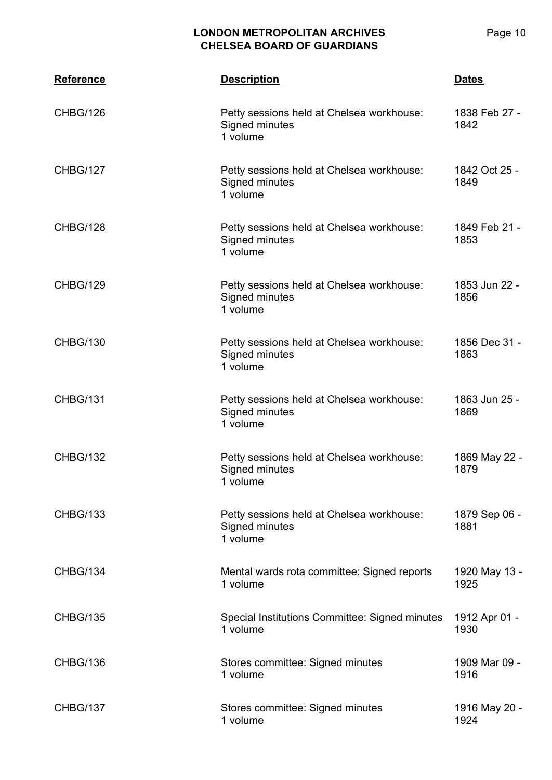Page 10

| <b>Reference</b> | <b>Description</b>                                                      | <b>Dates</b>          |
|------------------|-------------------------------------------------------------------------|-----------------------|
| CHBG/126         | Petty sessions held at Chelsea workhouse:<br>Signed minutes<br>1 volume | 1838 Feb 27 -<br>1842 |
| <b>CHBG/127</b>  | Petty sessions held at Chelsea workhouse:<br>Signed minutes<br>1 volume | 1842 Oct 25 -<br>1849 |
| CHBG/128         | Petty sessions held at Chelsea workhouse:<br>Signed minutes<br>1 volume | 1849 Feb 21 -<br>1853 |
| <b>CHBG/129</b>  | Petty sessions held at Chelsea workhouse:<br>Signed minutes<br>1 volume | 1853 Jun 22 -<br>1856 |
| <b>CHBG/130</b>  | Petty sessions held at Chelsea workhouse:<br>Signed minutes<br>1 volume | 1856 Dec 31 -<br>1863 |
| <b>CHBG/131</b>  | Petty sessions held at Chelsea workhouse:<br>Signed minutes<br>1 volume | 1863 Jun 25 -<br>1869 |
| <b>CHBG/132</b>  | Petty sessions held at Chelsea workhouse:<br>Signed minutes<br>1 volume | 1869 May 22 -<br>1879 |
| <b>CHBG/133</b>  | Petty sessions held at Chelsea workhouse:<br>Signed minutes<br>1 volume | 1879 Sep 06 -<br>1881 |
| CHBG/134         | Mental wards rota committee: Signed reports<br>1 volume                 | 1920 May 13 -<br>1925 |
| <b>CHBG/135</b>  | Special Institutions Committee: Signed minutes<br>1 volume              | 1912 Apr 01 -<br>1930 |
| CHBG/136         | Stores committee: Signed minutes<br>1 volume                            | 1909 Mar 09 -<br>1916 |
| <b>CHBG/137</b>  | Stores committee: Signed minutes<br>1 volume                            | 1916 May 20 -<br>1924 |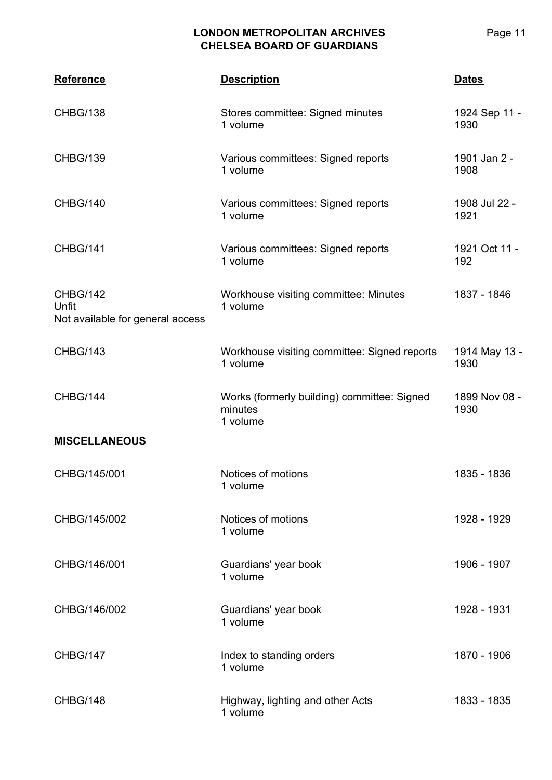| <b>Reference</b>                                             | <b>Description</b>                                                 | <b>Dates</b>          |
|--------------------------------------------------------------|--------------------------------------------------------------------|-----------------------|
| <b>CHBG/138</b>                                              | Stores committee: Signed minutes<br>1 volume                       | 1924 Sep 11 -<br>1930 |
| <b>CHBG/139</b>                                              | Various committees: Signed reports<br>1 volume                     | 1901 Jan 2 -<br>1908  |
| <b>CHBG/140</b>                                              | Various committees: Signed reports<br>1 volume                     | 1908 Jul 22 -<br>1921 |
| <b>CHBG/141</b>                                              | Various committees: Signed reports<br>1 volume                     | 1921 Oct 11 -<br>192  |
| <b>CHBG/142</b><br>Unfit<br>Not available for general access | Workhouse visiting committee: Minutes<br>1 volume                  | 1837 - 1846           |
| <b>CHBG/143</b>                                              | Workhouse visiting committee: Signed reports<br>1 volume           | 1914 May 13 -<br>1930 |
| CHBG/144                                                     | Works (formerly building) committee: Signed<br>minutes<br>1 volume | 1899 Nov 08 -<br>1930 |
| <b>MISCELLANEOUS</b>                                         |                                                                    |                       |
| CHBG/145/001                                                 | Notices of motions<br>1 volume                                     | 1835 - 1836           |
| CHBG/145/002                                                 | Notices of motions<br>1 volume                                     | 1928 - 1929           |
| CHBG/146/001                                                 | Guardians' year book<br>1 volume                                   | 1906 - 1907           |
| CHBG/146/002                                                 | Guardians' year book<br>1 volume                                   | 1928 - 1931           |
| CHBG/147                                                     | Index to standing orders<br>1 volume                               | 1870 - 1906           |
| CHBG/148                                                     | Highway, lighting and other Acts<br>1 volume                       | 1833 - 1835           |

Page 11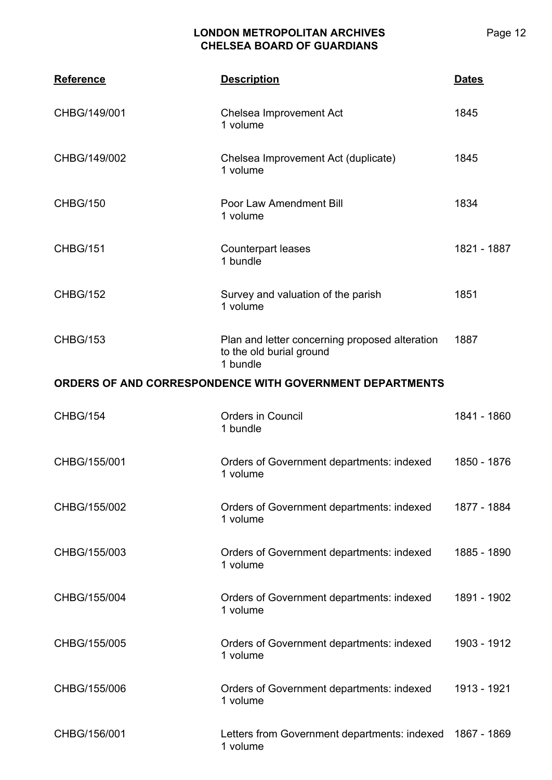| <b>Reference</b>                                         | <b>Description</b>                                                                     | <b>Dates</b> |
|----------------------------------------------------------|----------------------------------------------------------------------------------------|--------------|
| CHBG/149/001                                             | Chelsea Improvement Act<br>1 volume                                                    | 1845         |
| CHBG/149/002                                             | Chelsea Improvement Act (duplicate)<br>1 volume                                        | 1845         |
| <b>CHBG/150</b>                                          | Poor Law Amendment Bill<br>1 volume                                                    | 1834         |
| <b>CHBG/151</b>                                          | <b>Counterpart leases</b><br>1 bundle                                                  | 1821 - 1887  |
| <b>CHBG/152</b>                                          | Survey and valuation of the parish<br>1 volume                                         | 1851         |
| <b>CHBG/153</b>                                          | Plan and letter concerning proposed alteration<br>to the old burial ground<br>1 bundle | 1887         |
| ORDERS OF AND CORRESPONDENCE WITH GOVERNMENT DEPARTMENTS |                                                                                        |              |
| <b>CHBG/154</b>                                          | <b>Orders in Council</b><br>1 bundle                                                   | 1841 - 1860  |
| CHBG/155/001                                             | Orders of Government departments: indexed<br>1 volume                                  | 1850 - 1876  |
| CHBG/155/002                                             | Orders of Government departments: indexed<br>1 volume                                  | 1877 - 1884  |
| CHBG/155/003                                             | Orders of Government departments: indexed<br>1 volume                                  | 1885 - 1890  |
| CHBG/155/004                                             | Orders of Government departments: indexed<br>1 volume                                  | 1891 - 1902  |
| CHBG/155/005                                             | Orders of Government departments: indexed<br>1 volume                                  | 1903 - 1912  |
| CHBG/155/006                                             | Orders of Government departments: indexed<br>1 volume                                  | 1913 - 1921  |
| CHBG/156/001                                             | Letters from Government departments: indexed<br>1 volume                               | 1867 - 1869  |

Page 12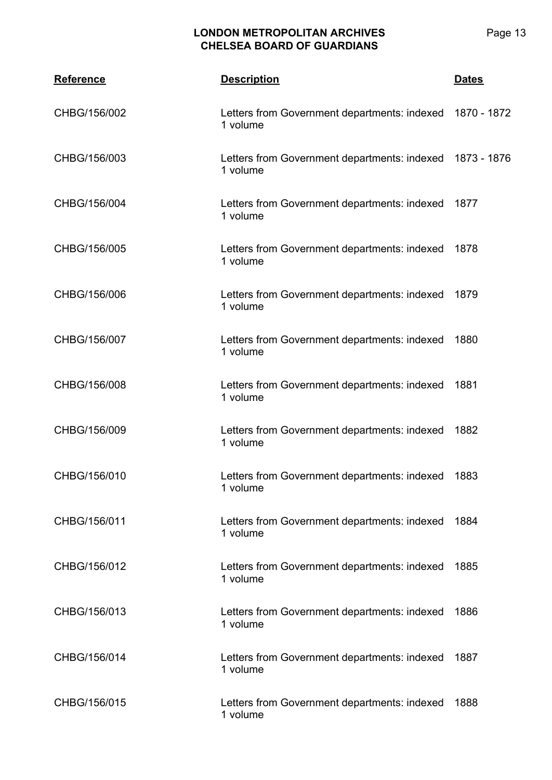| <b>Reference</b> | <b>Description</b>                                       | <b>Dates</b> |
|------------------|----------------------------------------------------------|--------------|
| CHBG/156/002     | Letters from Government departments: indexed<br>1 volume | 1870 - 1872  |
| CHBG/156/003     | Letters from Government departments: indexed<br>1 volume | 1873 - 1876  |
| CHBG/156/004     | Letters from Government departments: indexed<br>1 volume | 1877         |
| CHBG/156/005     | Letters from Government departments: indexed<br>1 volume | 1878         |
| CHBG/156/006     | Letters from Government departments: indexed<br>1 volume | 1879         |
| CHBG/156/007     | Letters from Government departments: indexed<br>1 volume | 1880         |
| CHBG/156/008     | Letters from Government departments: indexed<br>1 volume | 1881         |
| CHBG/156/009     | Letters from Government departments: indexed<br>1 volume | 1882         |
| CHBG/156/010     | Letters from Government departments: indexed<br>1 volume | 1883         |
| CHBG/156/011     | Letters from Government departments: indexed<br>1 volume | 1884         |
| CHBG/156/012     | Letters from Government departments: indexed<br>1 volume | 1885         |
| CHBG/156/013     | Letters from Government departments: indexed<br>1 volume | 1886         |
| CHBG/156/014     | Letters from Government departments: indexed<br>1 volume | 1887         |
| CHBG/156/015     | Letters from Government departments: indexed<br>1 volume | 1888         |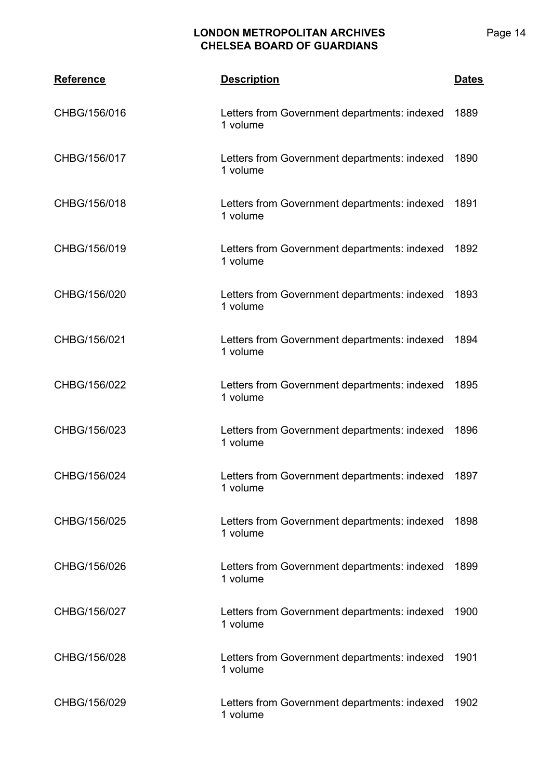| <b>Reference</b> | <b>Description</b>                                       | <b>Dates</b> |
|------------------|----------------------------------------------------------|--------------|
| CHBG/156/016     | Letters from Government departments: indexed<br>1 volume | 1889         |
| CHBG/156/017     | Letters from Government departments: indexed<br>1 volume | 1890         |
| CHBG/156/018     | Letters from Government departments: indexed<br>1 volume | 1891         |
| CHBG/156/019     | Letters from Government departments: indexed<br>1 volume | 1892         |
| CHBG/156/020     | Letters from Government departments: indexed<br>1 volume | 1893         |
| CHBG/156/021     | Letters from Government departments: indexed<br>1 volume | 1894         |
| CHBG/156/022     | Letters from Government departments: indexed<br>1 volume | 1895         |
| CHBG/156/023     | Letters from Government departments: indexed<br>1 volume | 1896         |
| CHBG/156/024     | Letters from Government departments: indexed<br>1 volume | 1897         |
| CHBG/156/025     | Letters from Government departments: indexed<br>1 volume | 1898         |
| CHBG/156/026     | Letters from Government departments: indexed<br>1 volume | 1899         |
| CHBG/156/027     | Letters from Government departments: indexed<br>1 volume | 1900         |
| CHBG/156/028     | Letters from Government departments: indexed<br>1 volume | 1901         |
| CHBG/156/029     | Letters from Government departments: indexed<br>1 volume | 1902         |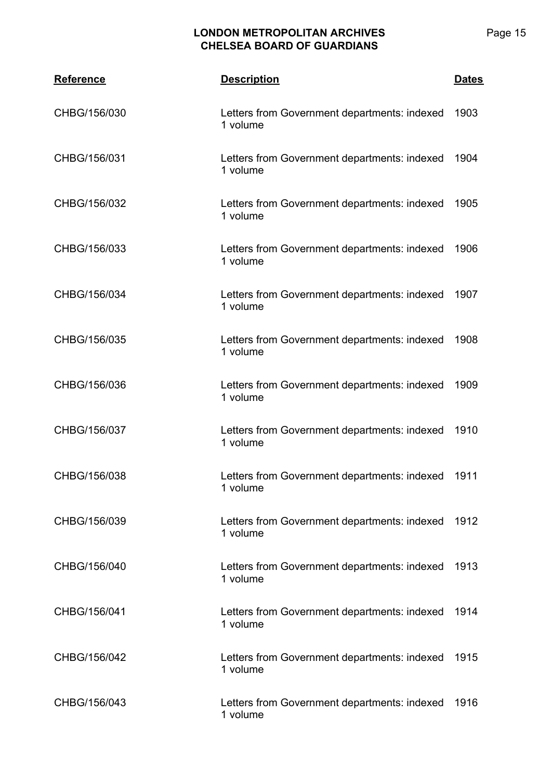| <b>Reference</b> | <b>Description</b>                                       | <u>Dates</u> |
|------------------|----------------------------------------------------------|--------------|
| CHBG/156/030     | Letters from Government departments: indexed<br>1 volume | 1903         |
| CHBG/156/031     | Letters from Government departments: indexed<br>1 volume | 1904         |
| CHBG/156/032     | Letters from Government departments: indexed<br>1 volume | 1905         |
| CHBG/156/033     | Letters from Government departments: indexed<br>1 volume | 1906         |
| CHBG/156/034     | Letters from Government departments: indexed<br>1 volume | 1907         |
| CHBG/156/035     | Letters from Government departments: indexed<br>1 volume | 1908         |
| CHBG/156/036     | Letters from Government departments: indexed<br>1 volume | 1909         |
| CHBG/156/037     | Letters from Government departments: indexed<br>1 volume | 1910         |
| CHBG/156/038     | Letters from Government departments: indexed<br>1 volume | 1911         |
| CHBG/156/039     | Letters from Government departments: indexed<br>1 volume | 1912         |
| CHBG/156/040     | Letters from Government departments: indexed<br>1 volume | 1913         |
| CHBG/156/041     | Letters from Government departments: indexed<br>1 volume | 1914         |
| CHBG/156/042     | Letters from Government departments: indexed<br>1 volume | 1915         |
| CHBG/156/043     | Letters from Government departments: indexed<br>1 volume | 1916         |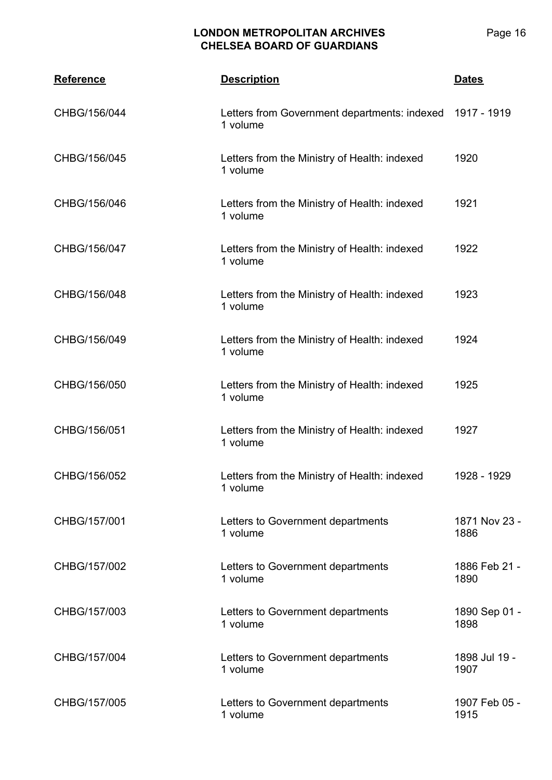Page 16

| <b>Reference</b> | <b>Description</b>                                       | <b>Dates</b>          |
|------------------|----------------------------------------------------------|-----------------------|
| CHBG/156/044     | Letters from Government departments: indexed<br>1 volume | 1917 - 1919           |
| CHBG/156/045     | Letters from the Ministry of Health: indexed<br>1 volume | 1920                  |
| CHBG/156/046     | Letters from the Ministry of Health: indexed<br>1 volume | 1921                  |
| CHBG/156/047     | Letters from the Ministry of Health: indexed<br>1 volume | 1922                  |
| CHBG/156/048     | Letters from the Ministry of Health: indexed<br>1 volume | 1923                  |
| CHBG/156/049     | Letters from the Ministry of Health: indexed<br>1 volume | 1924                  |
| CHBG/156/050     | Letters from the Ministry of Health: indexed<br>1 volume | 1925                  |
| CHBG/156/051     | Letters from the Ministry of Health: indexed<br>1 volume | 1927                  |
| CHBG/156/052     | Letters from the Ministry of Health: indexed<br>1 volume | 1928 - 1929           |
| CHBG/157/001     | Letters to Government departments<br>1 volume            | 1871 Nov 23 -<br>1886 |
| CHBG/157/002     | Letters to Government departments<br>1 volume            | 1886 Feb 21 -<br>1890 |
| CHBG/157/003     | Letters to Government departments<br>1 volume            | 1890 Sep 01 -<br>1898 |
| CHBG/157/004     | Letters to Government departments<br>1 volume            | 1898 Jul 19 -<br>1907 |
| CHBG/157/005     | Letters to Government departments<br>1 volume            | 1907 Feb 05 -<br>1915 |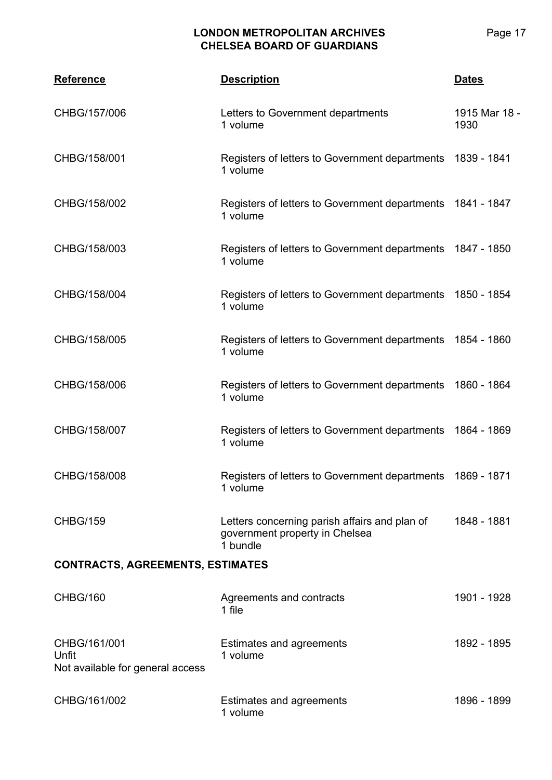| <b>Reference</b>                                          | <b>Description</b>                                                                          | <b>Dates</b>          |  |
|-----------------------------------------------------------|---------------------------------------------------------------------------------------------|-----------------------|--|
| CHBG/157/006                                              | Letters to Government departments<br>1 volume                                               | 1915 Mar 18 -<br>1930 |  |
| CHBG/158/001                                              | Registers of letters to Government departments 1839 - 1841<br>1 volume                      |                       |  |
| CHBG/158/002                                              | Registers of letters to Government departments 1841 - 1847<br>1 volume                      |                       |  |
| CHBG/158/003                                              | Registers of letters to Government departments 1847 - 1850<br>1 volume                      |                       |  |
| CHBG/158/004                                              | Registers of letters to Government departments 1850 - 1854<br>1 volume                      |                       |  |
| CHBG/158/005                                              | Registers of letters to Government departments 1854 - 1860<br>1 volume                      |                       |  |
| CHBG/158/006                                              | Registers of letters to Government departments 1860 - 1864<br>1 volume                      |                       |  |
| CHBG/158/007                                              | Registers of letters to Government departments 1864 - 1869<br>1 volume                      |                       |  |
| CHBG/158/008                                              | Registers of letters to Government departments 1869 - 1871<br>1 volume                      |                       |  |
| <b>CHBG/159</b>                                           | Letters concerning parish affairs and plan of<br>government property in Chelsea<br>1 bundle | 1848 - 1881           |  |
| <b>CONTRACTS, AGREEMENTS, ESTIMATES</b>                   |                                                                                             |                       |  |
| CHBG/160                                                  | Agreements and contracts<br>1 file                                                          | 1901 - 1928           |  |
| CHBG/161/001<br>Unfit<br>Not available for general access | <b>Estimates and agreements</b><br>1 volume                                                 | 1892 - 1895           |  |
| CHBG/161/002                                              | <b>Estimates and agreements</b><br>1 volume                                                 | 1896 - 1899           |  |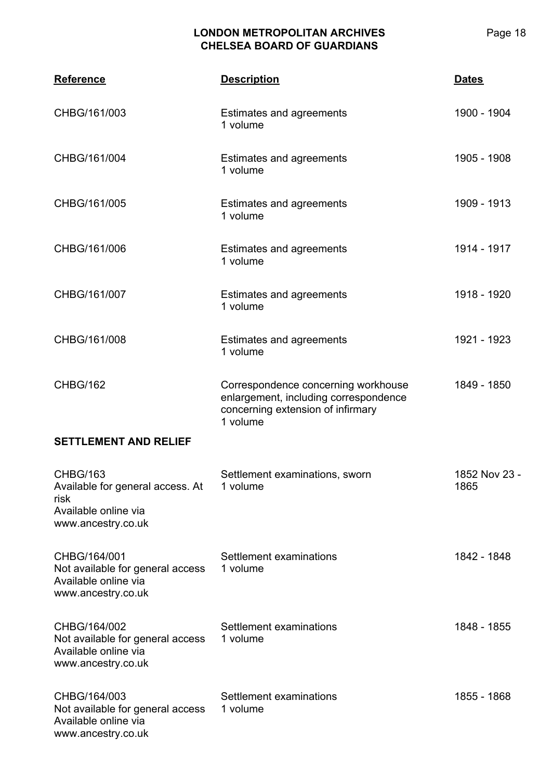| <b>Reference</b>                                                                                          | <b>Description</b>                                                                                                            | Dates                 |
|-----------------------------------------------------------------------------------------------------------|-------------------------------------------------------------------------------------------------------------------------------|-----------------------|
| CHBG/161/003                                                                                              | Estimates and agreements<br>1 volume                                                                                          | 1900 - 1904           |
| CHBG/161/004                                                                                              | Estimates and agreements<br>1 volume                                                                                          | 1905 - 1908           |
| CHBG/161/005                                                                                              | <b>Estimates and agreements</b><br>1 volume                                                                                   | 1909 - 1913           |
| CHBG/161/006                                                                                              | Estimates and agreements<br>1 volume                                                                                          | 1914 - 1917           |
| CHBG/161/007                                                                                              | Estimates and agreements<br>1 volume                                                                                          | 1918 - 1920           |
| CHBG/161/008                                                                                              | Estimates and agreements<br>1 volume                                                                                          | 1921 - 1923           |
| <b>CHBG/162</b>                                                                                           | Correspondence concerning workhouse<br>enlargement, including correspondence<br>concerning extension of infirmary<br>1 volume | 1849 - 1850           |
| <b>SETTLEMENT AND RELIEF</b>                                                                              |                                                                                                                               |                       |
| <b>CHBG/163</b><br>Available for general access. At<br>risk<br>Available online via<br>www.ancestry.co.uk | Settlement examinations, sworn<br>1 volume                                                                                    | 1852 Nov 23 -<br>1865 |
| CHBG/164/001<br>Not available for general access<br>Available online via<br>www.ancestry.co.uk            | Settlement examinations<br>1 volume                                                                                           | 1842 - 1848           |
| CHBG/164/002<br>Not available for general access<br>Available online via<br>www.ancestry.co.uk            | Settlement examinations<br>1 volume                                                                                           | 1848 - 1855           |
| CHBG/164/003<br>Not available for general access<br>Available online via<br>www.ancestry.co.uk            | Settlement examinations<br>1 volume                                                                                           | 1855 - 1868           |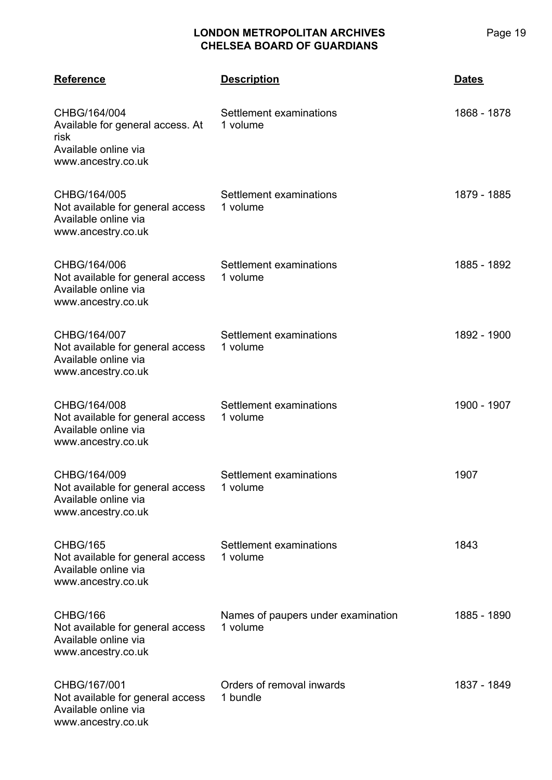| <b>Reference</b>                                                                                       | <b>Description</b>                             | <b>Dates</b> |
|--------------------------------------------------------------------------------------------------------|------------------------------------------------|--------------|
| CHBG/164/004<br>Available for general access. At<br>risk<br>Available online via<br>www.ancestry.co.uk | Settlement examinations<br>1 volume            | 1868 - 1878  |
| CHBG/164/005<br>Not available for general access<br>Available online via<br>www.ancestry.co.uk         | Settlement examinations<br>1 volume            | 1879 - 1885  |
| CHBG/164/006<br>Not available for general access<br>Available online via<br>www.ancestry.co.uk         | Settlement examinations<br>1 volume            | 1885 - 1892  |
| CHBG/164/007<br>Not available for general access<br>Available online via<br>www.ancestry.co.uk         | Settlement examinations<br>1 volume            | 1892 - 1900  |
| CHBG/164/008<br>Not available for general access<br>Available online via<br>www.ancestry.co.uk         | Settlement examinations<br>1 volume            | 1900 - 1907  |
| CHBG/164/009<br>Not available for general access<br>Available online via<br>www.ancestry.co.uk         | Settlement examinations<br>1 volume            | 1907         |
| <b>CHBG/165</b><br>Not available for general access<br>Available online via<br>www.ancestry.co.uk      | Settlement examinations<br>1 volume            | 1843         |
| CHBG/166<br>Not available for general access<br>Available online via<br>www.ancestry.co.uk             | Names of paupers under examination<br>1 volume | 1885 - 1890  |
| CHBG/167/001<br>Not available for general access<br>Available online via<br>www.ancestry.co.uk         | Orders of removal inwards<br>1 bundle          | 1837 - 1849  |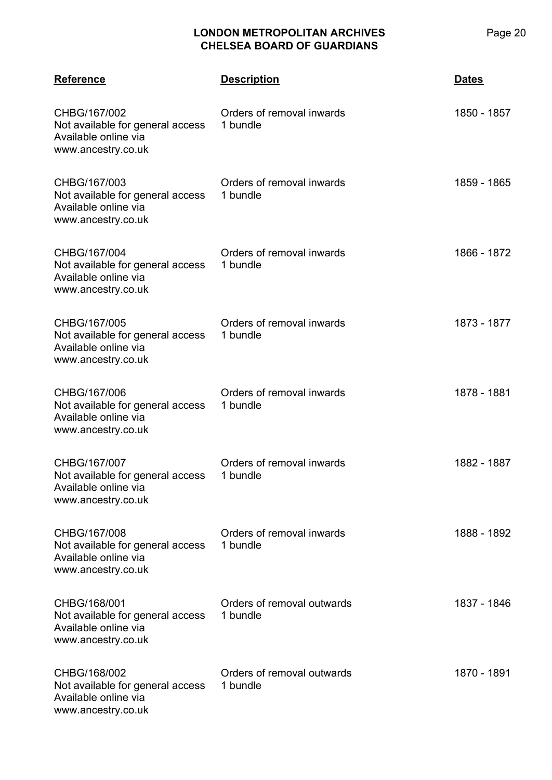| <b>Reference</b>                                                                               | <b>Description</b>                     | <b>Dates</b> |
|------------------------------------------------------------------------------------------------|----------------------------------------|--------------|
| CHBG/167/002<br>Not available for general access<br>Available online via<br>www.ancestry.co.uk | Orders of removal inwards<br>1 bundle  | 1850 - 1857  |
| CHBG/167/003<br>Not available for general access<br>Available online via<br>www.ancestry.co.uk | Orders of removal inwards<br>1 bundle  | 1859 - 1865  |
| CHBG/167/004<br>Not available for general access<br>Available online via<br>www.ancestry.co.uk | Orders of removal inwards<br>1 bundle  | 1866 - 1872  |
| CHBG/167/005<br>Not available for general access<br>Available online via<br>www.ancestry.co.uk | Orders of removal inwards<br>1 bundle  | 1873 - 1877  |
| CHBG/167/006<br>Not available for general access<br>Available online via<br>www.ancestry.co.uk | Orders of removal inwards<br>1 bundle  | 1878 - 1881  |
| CHBG/167/007<br>Not available for general access<br>Available online via<br>www.ancestry.co.uk | Orders of removal inwards<br>1 bundle  | 1882 - 1887  |
| CHBG/167/008<br>Not available for general access<br>Available online via<br>www.ancestry.co.uk | Orders of removal inwards<br>1 bundle  | 1888 - 1892  |
| CHBG/168/001<br>Not available for general access<br>Available online via<br>www.ancestry.co.uk | Orders of removal outwards<br>1 bundle | 1837 - 1846  |
| CHBG/168/002<br>Not available for general access<br>Available online via<br>www.ancestry.co.uk | Orders of removal outwards<br>1 bundle | 1870 - 1891  |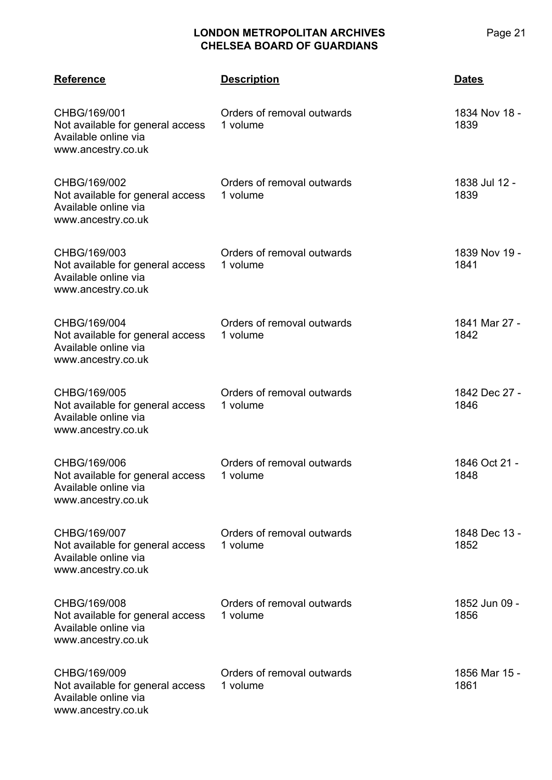| <b>Reference</b>                                                                               | <b>Description</b>                     | Dates                 |
|------------------------------------------------------------------------------------------------|----------------------------------------|-----------------------|
| CHBG/169/001<br>Not available for general access<br>Available online via<br>www.ancestry.co.uk | Orders of removal outwards<br>1 volume | 1834 Nov 18 -<br>1839 |
| CHBG/169/002<br>Not available for general access<br>Available online via<br>www.ancestry.co.uk | Orders of removal outwards<br>1 volume | 1838 Jul 12 -<br>1839 |
| CHBG/169/003<br>Not available for general access<br>Available online via<br>www.ancestry.co.uk | Orders of removal outwards<br>1 volume | 1839 Nov 19 -<br>1841 |
| CHBG/169/004<br>Not available for general access<br>Available online via<br>www.ancestry.co.uk | Orders of removal outwards<br>1 volume | 1841 Mar 27 -<br>1842 |
| CHBG/169/005<br>Not available for general access<br>Available online via<br>www.ancestry.co.uk | Orders of removal outwards<br>1 volume | 1842 Dec 27 -<br>1846 |
| CHBG/169/006<br>Not available for general access<br>Available online via<br>www.ancestry.co.uk | Orders of removal outwards<br>1 volume | 1846 Oct 21 -<br>1848 |
| CHBG/169/007<br>Not available for general access<br>Available online via<br>www.ancestry.co.uk | Orders of removal outwards<br>1 volume | 1848 Dec 13 -<br>1852 |
| CHBG/169/008<br>Not available for general access<br>Available online via<br>www.ancestry.co.uk | Orders of removal outwards<br>1 volume | 1852 Jun 09 -<br>1856 |
| CHBG/169/009<br>Not available for general access<br>Available online via<br>www.ancestry.co.uk | Orders of removal outwards<br>1 volume | 1856 Mar 15 -<br>1861 |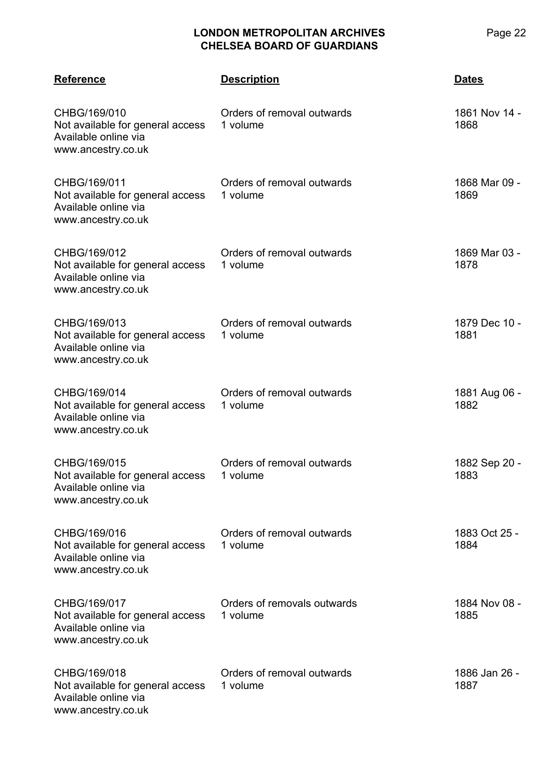| <b>Reference</b>                                                                               | <b>Description</b>                      | <b>Dates</b>          |
|------------------------------------------------------------------------------------------------|-----------------------------------------|-----------------------|
| CHBG/169/010<br>Not available for general access<br>Available online via<br>www.ancestry.co.uk | Orders of removal outwards<br>1 volume  | 1861 Nov 14 -<br>1868 |
| CHBG/169/011<br>Not available for general access<br>Available online via<br>www.ancestry.co.uk | Orders of removal outwards<br>1 volume  | 1868 Mar 09 -<br>1869 |
| CHBG/169/012<br>Not available for general access<br>Available online via<br>www.ancestry.co.uk | Orders of removal outwards<br>1 volume  | 1869 Mar 03 -<br>1878 |
| CHBG/169/013<br>Not available for general access<br>Available online via<br>www.ancestry.co.uk | Orders of removal outwards<br>1 volume  | 1879 Dec 10 -<br>1881 |
| CHBG/169/014<br>Not available for general access<br>Available online via<br>www.ancestry.co.uk | Orders of removal outwards<br>1 volume  | 1881 Aug 06 -<br>1882 |
| CHBG/169/015<br>Not available for general access<br>Available online via<br>www.ancestry.co.uk | Orders of removal outwards<br>1 volume  | 1882 Sep 20 -<br>1883 |
| CHBG/169/016<br>Not available for general access<br>Available online via<br>www.ancestry.co.uk | Orders of removal outwards<br>1 volume  | 1883 Oct 25 -<br>1884 |
| CHBG/169/017<br>Not available for general access<br>Available online via<br>www.ancestry.co.uk | Orders of removals outwards<br>1 volume | 1884 Nov 08 -<br>1885 |
| CHBG/169/018<br>Not available for general access<br>Available online via<br>www.ancestry.co.uk | Orders of removal outwards<br>1 volume  | 1886 Jan 26 -<br>1887 |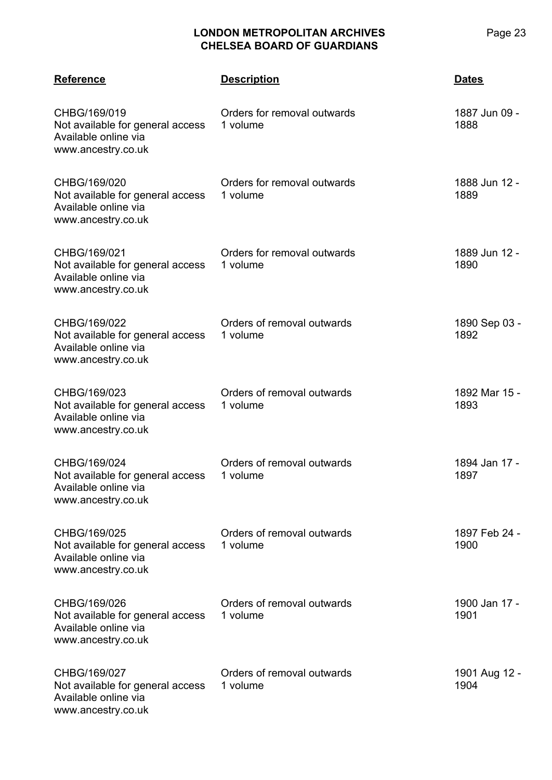| <b>Reference</b>                                                                               | <b>Description</b>                      | <b>Dates</b>          |
|------------------------------------------------------------------------------------------------|-----------------------------------------|-----------------------|
| CHBG/169/019<br>Not available for general access<br>Available online via<br>www.ancestry.co.uk | Orders for removal outwards<br>1 volume | 1887 Jun 09 -<br>1888 |
| CHBG/169/020<br>Not available for general access<br>Available online via<br>www.ancestry.co.uk | Orders for removal outwards<br>1 volume | 1888 Jun 12 -<br>1889 |
| CHBG/169/021<br>Not available for general access<br>Available online via<br>www.ancestry.co.uk | Orders for removal outwards<br>1 volume | 1889 Jun 12 -<br>1890 |
| CHBG/169/022<br>Not available for general access<br>Available online via<br>www.ancestry.co.uk | Orders of removal outwards<br>1 volume  | 1890 Sep 03 -<br>1892 |
| CHBG/169/023<br>Not available for general access<br>Available online via<br>www.ancestry.co.uk | Orders of removal outwards<br>1 volume  | 1892 Mar 15 -<br>1893 |
| CHBG/169/024<br>Not available for general access<br>Available online via<br>www.ancestry.co.uk | Orders of removal outwards<br>1 volume  | 1894 Jan 17 -<br>1897 |
| CHBG/169/025<br>Not available for general access<br>Available online via<br>www.ancestry.co.uk | Orders of removal outwards<br>1 volume  | 1897 Feb 24 -<br>1900 |
| CHBG/169/026<br>Not available for general access<br>Available online via<br>www.ancestry.co.uk | Orders of removal outwards<br>1 volume  | 1900 Jan 17 -<br>1901 |
| CHBG/169/027<br>Not available for general access<br>Available online via<br>www.ancestry.co.uk | Orders of removal outwards<br>1 volume  | 1901 Aug 12 -<br>1904 |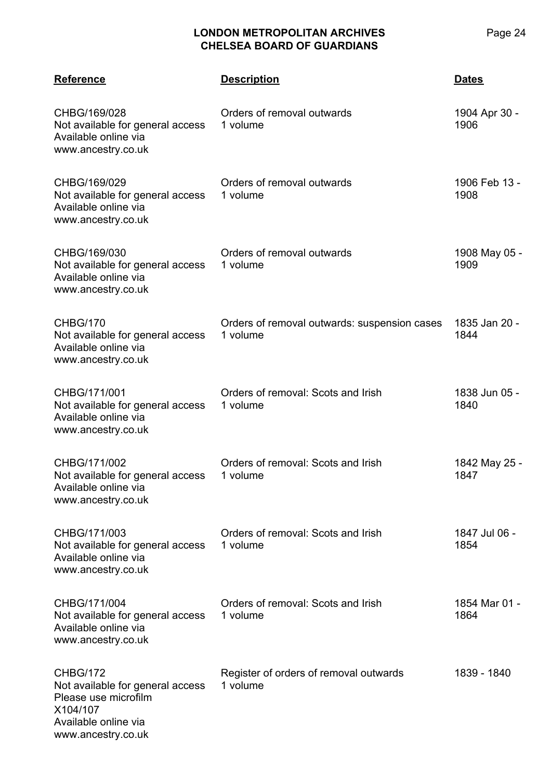| <b>Reference</b>                                                                                                                      | <b>Description</b>                                       | <b>Dates</b>          |
|---------------------------------------------------------------------------------------------------------------------------------------|----------------------------------------------------------|-----------------------|
| CHBG/169/028<br>Not available for general access<br>Available online via<br>www.ancestry.co.uk                                        | Orders of removal outwards<br>1 volume                   | 1904 Apr 30 -<br>1906 |
| CHBG/169/029<br>Not available for general access<br>Available online via<br>www.ancestry.co.uk                                        | Orders of removal outwards<br>1 volume                   | 1906 Feb 13 -<br>1908 |
| CHBG/169/030<br>Not available for general access<br>Available online via<br>www.ancestry.co.uk                                        | Orders of removal outwards<br>1 volume                   | 1908 May 05 -<br>1909 |
| <b>CHBG/170</b><br>Not available for general access<br>Available online via<br>www.ancestry.co.uk                                     | Orders of removal outwards: suspension cases<br>1 volume | 1835 Jan 20 -<br>1844 |
| CHBG/171/001<br>Not available for general access<br>Available online via<br>www.ancestry.co.uk                                        | Orders of removal: Scots and Irish<br>1 volume           | 1838 Jun 05 -<br>1840 |
| CHBG/171/002<br>Not available for general access<br>Available online via<br>www.ancestry.co.uk                                        | Orders of removal: Scots and Irish<br>1 volume           | 1842 May 25 -<br>1847 |
| CHBG/171/003<br>Not available for general access<br>Available online via<br>www.ancestry.co.uk                                        | Orders of removal: Scots and Irish<br>1 volume           | 1847 Jul 06 -<br>1854 |
| CHBG/171/004<br>Not available for general access<br>Available online via<br>www.ancestry.co.uk                                        | Orders of removal: Scots and Irish<br>1 volume           | 1854 Mar 01 -<br>1864 |
| <b>CHBG/172</b><br>Not available for general access<br>Please use microfilm<br>X104/107<br>Available online via<br>www.ancestry.co.uk | Register of orders of removal outwards<br>1 volume       | 1839 - 1840           |

Page 24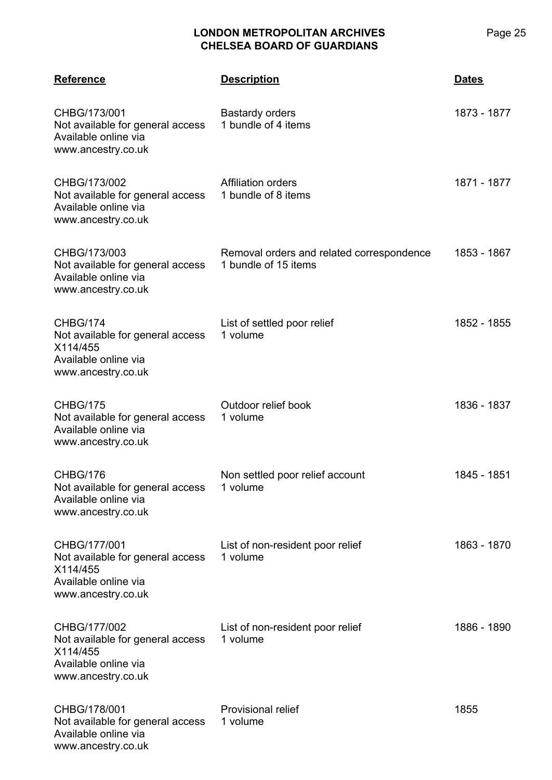| <b>Reference</b>                                                                                           | <b>Description</b>                                                | <b>Dates</b> |
|------------------------------------------------------------------------------------------------------------|-------------------------------------------------------------------|--------------|
| CHBG/173/001<br>Not available for general access<br>Available online via<br>www.ancestry.co.uk             | <b>Bastardy orders</b><br>1 bundle of 4 items                     | 1873 - 1877  |
| CHBG/173/002<br>Not available for general access<br>Available online via<br>www.ancestry.co.uk             | <b>Affiliation orders</b><br>1 bundle of 8 items                  | 1871 - 1877  |
| CHBG/173/003<br>Not available for general access<br>Available online via<br>www.ancestry.co.uk             | Removal orders and related correspondence<br>1 bundle of 15 items | 1853 - 1867  |
| CHBG/174<br>Not available for general access<br>X114/455<br>Available online via<br>www.ancestry.co.uk     | List of settled poor relief<br>1 volume                           | 1852 - 1855  |
| <b>CHBG/175</b><br>Not available for general access<br>Available online via<br>www.ancestry.co.uk          | Outdoor relief book<br>1 volume                                   | 1836 - 1837  |
| CHBG/176<br>Not available for general access<br>Available online via<br>www.ancestry.co.uk                 | Non settled poor relief account<br>1 volume                       | 1845 - 1851  |
| CHBG/177/001<br>Not available for general access<br>X114/455<br>Available online via<br>www.ancestry.co.uk | List of non-resident poor relief<br>1 volume                      | 1863 - 1870  |
| CHBG/177/002<br>Not available for general access<br>X114/455<br>Available online via<br>www.ancestry.co.uk | List of non-resident poor relief<br>1 volume                      | 1886 - 1890  |
| CHBG/178/001<br>Not available for general access<br>Available online via<br>www.ancestry.co.uk             | <b>Provisional relief</b><br>1 volume                             | 1855         |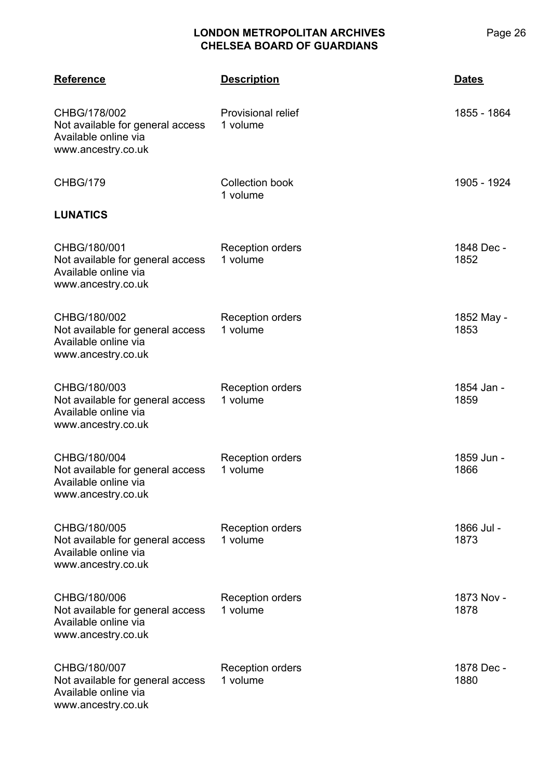| <b>Reference</b>                                                                               | <b>Description</b>                  | <b>Dates</b>       |
|------------------------------------------------------------------------------------------------|-------------------------------------|--------------------|
| CHBG/178/002<br>Not available for general access<br>Available online via<br>www.ancestry.co.uk | Provisional relief<br>1 volume      | 1855 - 1864        |
| <b>CHBG/179</b>                                                                                | <b>Collection book</b><br>1 volume  | 1905 - 1924        |
| <b>LUNATICS</b>                                                                                |                                     |                    |
| CHBG/180/001<br>Not available for general access<br>Available online via<br>www.ancestry.co.uk | <b>Reception orders</b><br>1 volume | 1848 Dec -<br>1852 |
| CHBG/180/002<br>Not available for general access<br>Available online via<br>www.ancestry.co.uk | <b>Reception orders</b><br>1 volume | 1852 May -<br>1853 |
| CHBG/180/003<br>Not available for general access<br>Available online via<br>www.ancestry.co.uk | <b>Reception orders</b><br>1 volume | 1854 Jan -<br>1859 |
| CHBG/180/004<br>Not available for general access<br>Available online via<br>www.ancestry.co.uk | <b>Reception orders</b><br>1 volume | 1859 Jun -<br>1866 |
| CHBG/180/005<br>Not available for general access<br>Available online via<br>www.ancestry.co.uk | <b>Reception orders</b><br>1 volume | 1866 Jul -<br>1873 |
| CHBG/180/006<br>Not available for general access<br>Available online via<br>www.ancestry.co.uk | <b>Reception orders</b><br>1 volume | 1873 Nov -<br>1878 |
| CHBG/180/007<br>Not available for general access<br>Available online via<br>www.ancestry.co.uk | <b>Reception orders</b><br>1 volume | 1878 Dec -<br>1880 |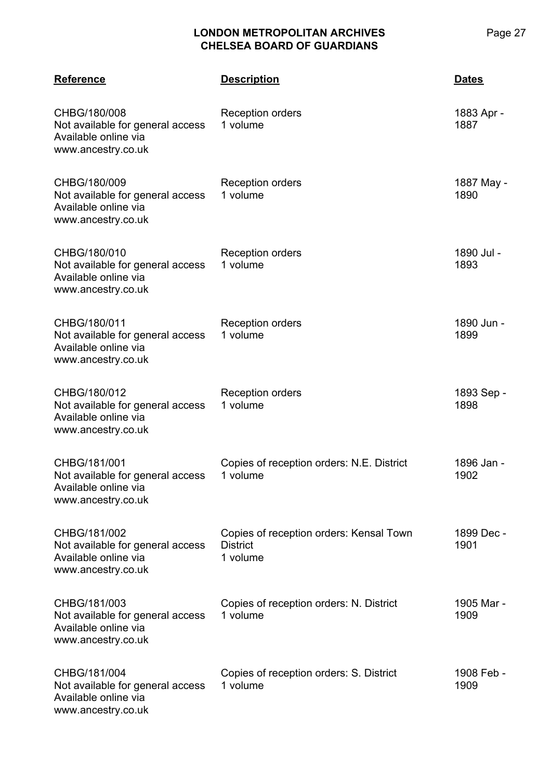| <b>Reference</b>                                                                               | <b>Description</b>                                                     | Dates              |
|------------------------------------------------------------------------------------------------|------------------------------------------------------------------------|--------------------|
| CHBG/180/008<br>Not available for general access<br>Available online via<br>www.ancestry.co.uk | <b>Reception orders</b><br>1 volume                                    | 1883 Apr -<br>1887 |
| CHBG/180/009<br>Not available for general access<br>Available online via<br>www.ancestry.co.uk | Reception orders<br>1 volume                                           | 1887 May -<br>1890 |
| CHBG/180/010<br>Not available for general access<br>Available online via<br>www.ancestry.co.uk | Reception orders<br>1 volume                                           | 1890 Jul -<br>1893 |
| CHBG/180/011<br>Not available for general access<br>Available online via<br>www.ancestry.co.uk | <b>Reception orders</b><br>1 volume                                    | 1890 Jun -<br>1899 |
| CHBG/180/012<br>Not available for general access<br>Available online via<br>www.ancestry.co.uk | <b>Reception orders</b><br>1 volume                                    | 1893 Sep -<br>1898 |
| CHBG/181/001<br>Not available for general access<br>Available online via<br>www.ancestry.co.uk | Copies of reception orders: N.E. District<br>1 volume                  | 1896 Jan -<br>1902 |
| CHBG/181/002<br>Not available for general access<br>Available online via<br>www.ancestry.co.uk | Copies of reception orders: Kensal Town<br><b>District</b><br>1 volume | 1899 Dec -<br>1901 |
| CHBG/181/003<br>Not available for general access<br>Available online via<br>www.ancestry.co.uk | Copies of reception orders: N. District<br>1 volume                    | 1905 Mar -<br>1909 |
| CHBG/181/004<br>Not available for general access<br>Available online via<br>www.ancestry.co.uk | Copies of reception orders: S. District<br>1 volume                    | 1908 Feb -<br>1909 |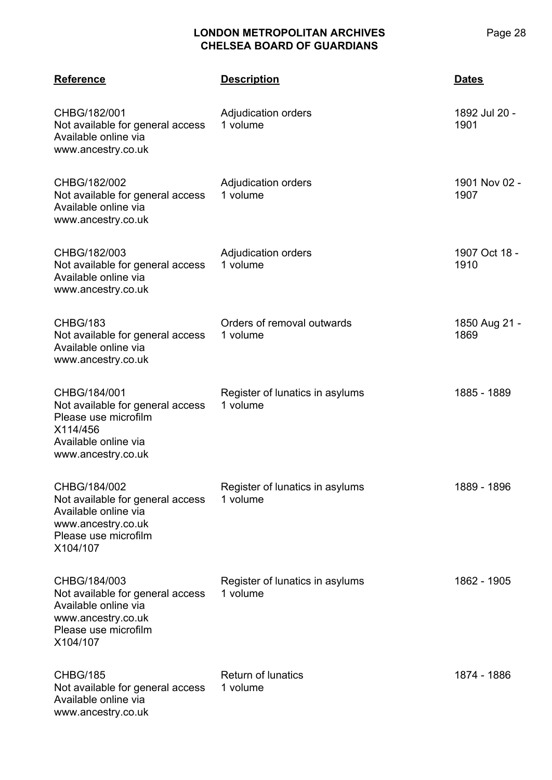| <b>Reference</b>                                                                                                                   | <b>Description</b>                          | <b>Dates</b>          |
|------------------------------------------------------------------------------------------------------------------------------------|---------------------------------------------|-----------------------|
| CHBG/182/001<br>Not available for general access<br>Available online via<br>www.ancestry.co.uk                                     | Adjudication orders<br>1 volume             | 1892 Jul 20 -<br>1901 |
| CHBG/182/002<br>Not available for general access<br>Available online via<br>www.ancestry.co.uk                                     | Adjudication orders<br>1 volume             | 1901 Nov 02 -<br>1907 |
| CHBG/182/003<br>Not available for general access<br>Available online via<br>www.ancestry.co.uk                                     | Adjudication orders<br>1 volume             | 1907 Oct 18 -<br>1910 |
| <b>CHBG/183</b><br>Not available for general access<br>Available online via<br>www.ancestry.co.uk                                  | Orders of removal outwards<br>1 volume      | 1850 Aug 21 -<br>1869 |
| CHBG/184/001<br>Not available for general access<br>Please use microfilm<br>X114/456<br>Available online via<br>www.ancestry.co.uk | Register of lunatics in asylums<br>1 volume | 1885 - 1889           |
| CHBG/184/002<br>Not available for general access<br>Available online via<br>www.ancestry.co.uk<br>Please use microfilm<br>X104/107 | Register of lunatics in asylums<br>1 volume | 1889 - 1896           |
| CHBG/184/003<br>Not available for general access<br>Available online via<br>www.ancestry.co.uk<br>Please use microfilm<br>X104/107 | Register of lunatics in asylums<br>1 volume | 1862 - 1905           |
| <b>CHBG/185</b><br>Not available for general access<br>Available online via<br>www.ancestry.co.uk                                  | <b>Return of lunatics</b><br>1 volume       | 1874 - 1886           |

Page 28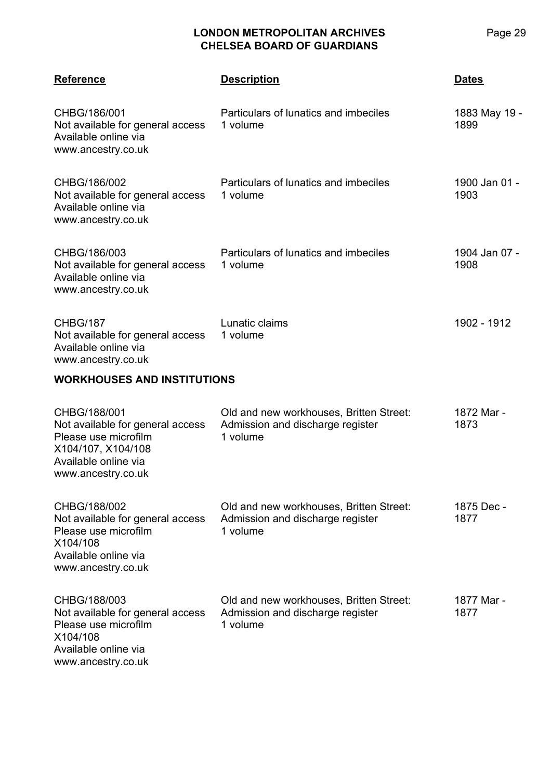| <b>Reference</b>                                                                                                                             | <b>Description</b>                                                                      | <b>Dates</b>          |
|----------------------------------------------------------------------------------------------------------------------------------------------|-----------------------------------------------------------------------------------------|-----------------------|
| CHBG/186/001<br>Not available for general access<br>Available online via<br>www.ancestry.co.uk                                               | Particulars of lunatics and imbeciles<br>1 volume                                       | 1883 May 19 -<br>1899 |
| CHBG/186/002<br>Not available for general access<br>Available online via<br>www.ancestry.co.uk                                               | Particulars of lunatics and imbeciles<br>1 volume                                       | 1900 Jan 01 -<br>1903 |
| CHBG/186/003<br>Not available for general access<br>Available online via<br>www.ancestry.co.uk                                               | Particulars of lunatics and imbeciles<br>1 volume                                       | 1904 Jan 07 -<br>1908 |
| <b>CHBG/187</b><br>Not available for general access<br>Available online via<br>www.ancestry.co.uk                                            | Lunatic claims<br>1 volume                                                              | 1902 - 1912           |
| <b>WORKHOUSES AND INSTITUTIONS</b>                                                                                                           |                                                                                         |                       |
| CHBG/188/001<br>Not available for general access<br>Please use microfilm<br>X104/107, X104/108<br>Available online via<br>www.ancestry.co.uk | Old and new workhouses, Britten Street:<br>Admission and discharge register<br>1 volume | 1872 Mar -<br>1873    |
| CHBG/188/002<br>Not available for general access<br>Please use microfilm<br>X104/108<br>Available online via<br>www.ancestry.co.uk           | Old and new workhouses, Britten Street:<br>Admission and discharge register<br>1 volume | 1875 Dec -<br>1877    |
| CHBG/188/003<br>Not available for general access<br>Please use microfilm<br>X104/108<br>Available online via<br>www.ancestry.co.uk           | Old and new workhouses, Britten Street:<br>Admission and discharge register<br>1 volume | 1877 Mar -<br>1877    |

Page 29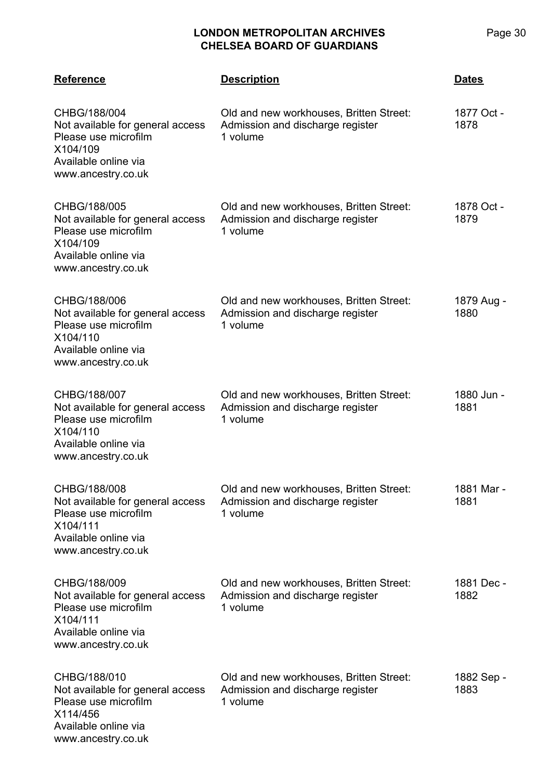| <b>Reference</b>                                                                                                                   | <b>Description</b>                                                                      | <b>Dates</b>       |
|------------------------------------------------------------------------------------------------------------------------------------|-----------------------------------------------------------------------------------------|--------------------|
| CHBG/188/004<br>Not available for general access<br>Please use microfilm<br>X104/109<br>Available online via<br>www.ancestry.co.uk | Old and new workhouses, Britten Street:<br>Admission and discharge register<br>1 volume | 1877 Oct -<br>1878 |
| CHBG/188/005<br>Not available for general access<br>Please use microfilm<br>X104/109<br>Available online via<br>www.ancestry.co.uk | Old and new workhouses, Britten Street:<br>Admission and discharge register<br>1 volume | 1878 Oct -<br>1879 |
| CHBG/188/006<br>Not available for general access<br>Please use microfilm<br>X104/110<br>Available online via<br>www.ancestry.co.uk | Old and new workhouses, Britten Street:<br>Admission and discharge register<br>1 volume | 1879 Aug -<br>1880 |
| CHBG/188/007<br>Not available for general access<br>Please use microfilm<br>X104/110<br>Available online via<br>www.ancestry.co.uk | Old and new workhouses, Britten Street:<br>Admission and discharge register<br>1 volume | 1880 Jun -<br>1881 |
| CHBG/188/008<br>Not available for general access<br>Please use microfilm<br>X104/111<br>Available online via<br>www.ancestry.co.uk | Old and new workhouses, Britten Street:<br>Admission and discharge register<br>1 volume | 1881 Mar -<br>1881 |
| CHBG/188/009<br>Not available for general access<br>Please use microfilm<br>X104/111<br>Available online via<br>www.ancestry.co.uk | Old and new workhouses, Britten Street:<br>Admission and discharge register<br>1 volume | 1881 Dec -<br>1882 |
| CHBG/188/010<br>Not available for general access<br>Please use microfilm<br>X114/456<br>Available online via<br>www.ancestry.co.uk | Old and new workhouses, Britten Street:<br>Admission and discharge register<br>1 volume | 1882 Sep -<br>1883 |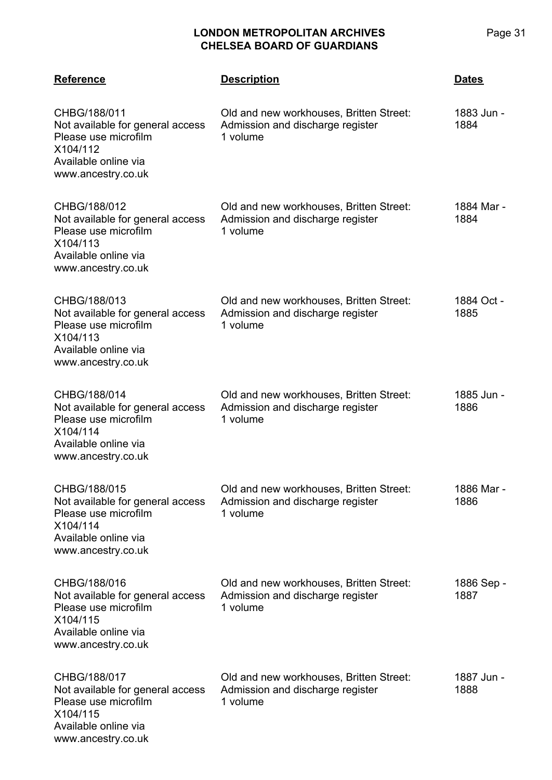| <b>Reference</b>                                                                                                                   | <b>Description</b>                                                                      | <b>Dates</b>       |
|------------------------------------------------------------------------------------------------------------------------------------|-----------------------------------------------------------------------------------------|--------------------|
| CHBG/188/011<br>Not available for general access<br>Please use microfilm<br>X104/112<br>Available online via<br>www.ancestry.co.uk | Old and new workhouses, Britten Street:<br>Admission and discharge register<br>1 volume | 1883 Jun -<br>1884 |
| CHBG/188/012<br>Not available for general access<br>Please use microfilm<br>X104/113<br>Available online via<br>www.ancestry.co.uk | Old and new workhouses, Britten Street:<br>Admission and discharge register<br>1 volume | 1884 Mar -<br>1884 |
| CHBG/188/013<br>Not available for general access<br>Please use microfilm<br>X104/113<br>Available online via<br>www.ancestry.co.uk | Old and new workhouses, Britten Street:<br>Admission and discharge register<br>1 volume | 1884 Oct -<br>1885 |
| CHBG/188/014<br>Not available for general access<br>Please use microfilm<br>X104/114<br>Available online via<br>www.ancestry.co.uk | Old and new workhouses, Britten Street:<br>Admission and discharge register<br>1 volume | 1885 Jun -<br>1886 |
| CHBG/188/015<br>Not available for general access<br>Please use microfilm<br>X104/114<br>Available online via<br>www.ancestry.co.uk | Old and new workhouses, Britten Street:<br>Admission and discharge register<br>1 volume | 1886 Mar -<br>1886 |
| CHBG/188/016<br>Not available for general access<br>Please use microfilm<br>X104/115<br>Available online via<br>www.ancestry.co.uk | Old and new workhouses, Britten Street:<br>Admission and discharge register<br>1 volume | 1886 Sep -<br>1887 |
| CHBG/188/017<br>Not available for general access<br>Please use microfilm<br>X104/115<br>Available online via<br>www.ancestry.co.uk | Old and new workhouses, Britten Street:<br>Admission and discharge register<br>1 volume | 1887 Jun -<br>1888 |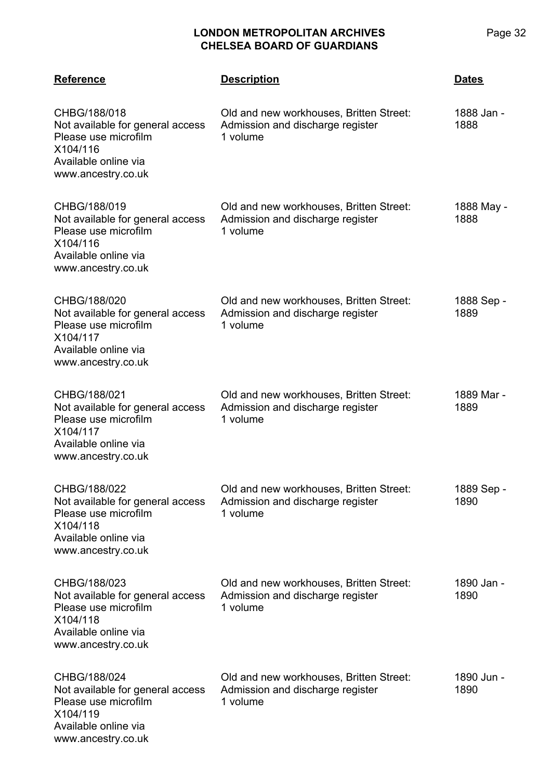| <b>Reference</b>                                                                                                                   | <b>Description</b>                                                                      | <u>Dates</u>       |
|------------------------------------------------------------------------------------------------------------------------------------|-----------------------------------------------------------------------------------------|--------------------|
| CHBG/188/018<br>Not available for general access<br>Please use microfilm<br>X104/116<br>Available online via<br>www.ancestry.co.uk | Old and new workhouses, Britten Street:<br>Admission and discharge register<br>1 volume | 1888 Jan -<br>1888 |
| CHBG/188/019<br>Not available for general access<br>Please use microfilm<br>X104/116<br>Available online via<br>www.ancestry.co.uk | Old and new workhouses, Britten Street:<br>Admission and discharge register<br>1 volume | 1888 May -<br>1888 |
| CHBG/188/020<br>Not available for general access<br>Please use microfilm<br>X104/117<br>Available online via<br>www.ancestry.co.uk | Old and new workhouses, Britten Street:<br>Admission and discharge register<br>1 volume | 1888 Sep -<br>1889 |
| CHBG/188/021<br>Not available for general access<br>Please use microfilm<br>X104/117<br>Available online via<br>www.ancestry.co.uk | Old and new workhouses, Britten Street:<br>Admission and discharge register<br>1 volume | 1889 Mar -<br>1889 |
| CHBG/188/022<br>Not available for general access<br>Please use microfilm<br>X104/118<br>Available online via<br>www.ancestry.co.uk | Old and new workhouses, Britten Street:<br>Admission and discharge register<br>1 volume | 1889 Sep -<br>1890 |
| CHBG/188/023<br>Not available for general access<br>Please use microfilm<br>X104/118<br>Available online via<br>www.ancestry.co.uk | Old and new workhouses, Britten Street:<br>Admission and discharge register<br>1 volume | 1890 Jan -<br>1890 |
| CHBG/188/024<br>Not available for general access<br>Please use microfilm<br>X104/119<br>Available online via<br>www.ancestry.co.uk | Old and new workhouses, Britten Street:<br>Admission and discharge register<br>1 volume | 1890 Jun -<br>1890 |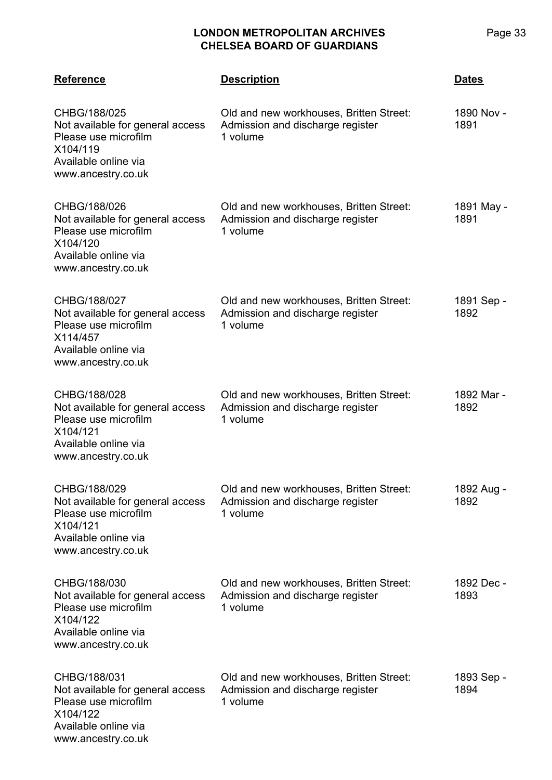| <b>Reference</b>                                                                                                                   | <b>Description</b>                                                                      | <b>Dates</b>       |
|------------------------------------------------------------------------------------------------------------------------------------|-----------------------------------------------------------------------------------------|--------------------|
| CHBG/188/025<br>Not available for general access<br>Please use microfilm<br>X104/119<br>Available online via<br>www.ancestry.co.uk | Old and new workhouses, Britten Street:<br>Admission and discharge register<br>1 volume | 1890 Nov -<br>1891 |
| CHBG/188/026<br>Not available for general access<br>Please use microfilm<br>X104/120<br>Available online via<br>www.ancestry.co.uk | Old and new workhouses, Britten Street:<br>Admission and discharge register<br>1 volume | 1891 May -<br>1891 |
| CHBG/188/027<br>Not available for general access<br>Please use microfilm<br>X114/457<br>Available online via<br>www.ancestry.co.uk | Old and new workhouses, Britten Street:<br>Admission and discharge register<br>1 volume | 1891 Sep -<br>1892 |
| CHBG/188/028<br>Not available for general access<br>Please use microfilm<br>X104/121<br>Available online via<br>www.ancestry.co.uk | Old and new workhouses, Britten Street:<br>Admission and discharge register<br>1 volume | 1892 Mar -<br>1892 |
| CHBG/188/029<br>Not available for general access<br>Please use microfilm<br>X104/121<br>Available online via<br>www.ancestry.co.uk | Old and new workhouses, Britten Street:<br>Admission and discharge register<br>1 volume | 1892 Aug -<br>1892 |
| CHBG/188/030<br>Not available for general access<br>Please use microfilm<br>X104/122<br>Available online via<br>www.ancestry.co.uk | Old and new workhouses, Britten Street:<br>Admission and discharge register<br>1 volume | 1892 Dec -<br>1893 |
| CHBG/188/031<br>Not available for general access<br>Please use microfilm<br>X104/122<br>Available online via<br>www.ancestry.co.uk | Old and new workhouses, Britten Street:<br>Admission and discharge register<br>1 volume | 1893 Sep -<br>1894 |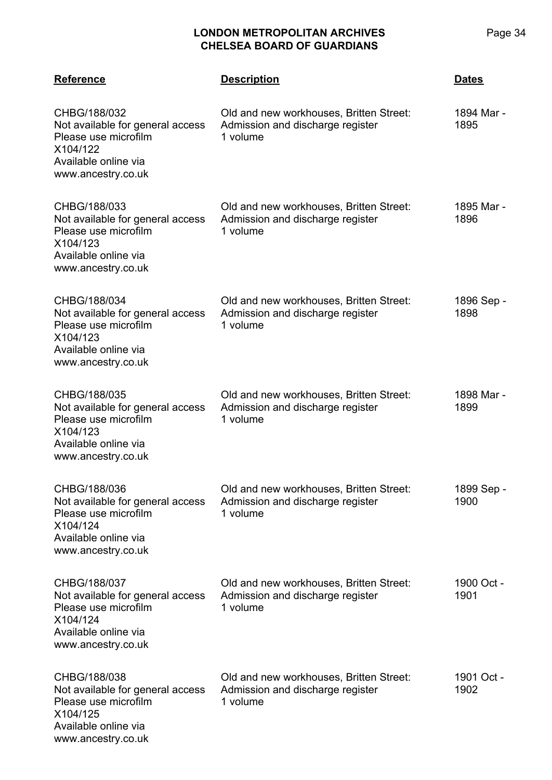| <b>Reference</b>                                                                                                                   | <b>Description</b>                                                                      | <b>Dates</b>       |
|------------------------------------------------------------------------------------------------------------------------------------|-----------------------------------------------------------------------------------------|--------------------|
| CHBG/188/032<br>Not available for general access<br>Please use microfilm<br>X104/122<br>Available online via<br>www.ancestry.co.uk | Old and new workhouses, Britten Street:<br>Admission and discharge register<br>1 volume | 1894 Mar -<br>1895 |
| CHBG/188/033<br>Not available for general access<br>Please use microfilm<br>X104/123<br>Available online via<br>www.ancestry.co.uk | Old and new workhouses, Britten Street:<br>Admission and discharge register<br>1 volume | 1895 Mar -<br>1896 |
| CHBG/188/034<br>Not available for general access<br>Please use microfilm<br>X104/123<br>Available online via<br>www.ancestry.co.uk | Old and new workhouses, Britten Street:<br>Admission and discharge register<br>1 volume | 1896 Sep -<br>1898 |
| CHBG/188/035<br>Not available for general access<br>Please use microfilm<br>X104/123<br>Available online via<br>www.ancestry.co.uk | Old and new workhouses, Britten Street:<br>Admission and discharge register<br>1 volume | 1898 Mar -<br>1899 |
| CHBG/188/036<br>Not available for general access<br>Please use microfilm<br>X104/124<br>Available online via<br>www.ancestry.co.uk | Old and new workhouses, Britten Street:<br>Admission and discharge register<br>1 volume | 1899 Sep -<br>1900 |
| CHBG/188/037<br>Not available for general access<br>Please use microfilm<br>X104/124<br>Available online via<br>www.ancestry.co.uk | Old and new workhouses, Britten Street:<br>Admission and discharge register<br>1 volume | 1900 Oct -<br>1901 |
| CHBG/188/038<br>Not available for general access<br>Please use microfilm<br>X104/125<br>Available online via<br>www.ancestry.co.uk | Old and new workhouses, Britten Street:<br>Admission and discharge register<br>1 volume | 1901 Oct -<br>1902 |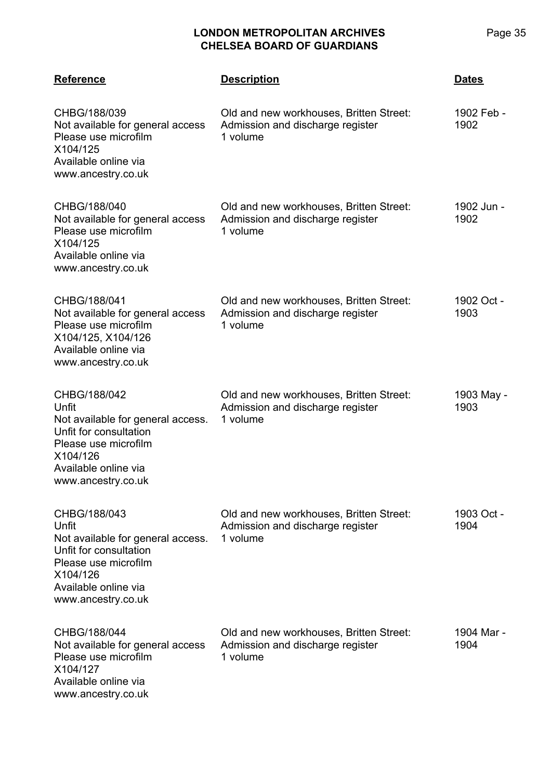| <b>Reference</b>                                                                                                                                                       | <b>Description</b>                                                                      | <b>Dates</b>       |
|------------------------------------------------------------------------------------------------------------------------------------------------------------------------|-----------------------------------------------------------------------------------------|--------------------|
| CHBG/188/039<br>Not available for general access<br>Please use microfilm<br>X104/125<br>Available online via<br>www.ancestry.co.uk                                     | Old and new workhouses, Britten Street:<br>Admission and discharge register<br>1 volume | 1902 Feb -<br>1902 |
| CHBG/188/040<br>Not available for general access<br>Please use microfilm<br>X104/125<br>Available online via<br>www.ancestry.co.uk                                     | Old and new workhouses, Britten Street:<br>Admission and discharge register<br>1 volume | 1902 Jun -<br>1902 |
| CHBG/188/041<br>Not available for general access<br>Please use microfilm<br>X104/125, X104/126<br>Available online via<br>www.ancestry.co.uk                           | Old and new workhouses, Britten Street:<br>Admission and discharge register<br>1 volume | 1902 Oct -<br>1903 |
| CHBG/188/042<br>Unfit<br>Not available for general access.<br>Unfit for consultation<br>Please use microfilm<br>X104/126<br>Available online via<br>www.ancestry.co.uk | Old and new workhouses, Britten Street:<br>Admission and discharge register<br>1 volume | 1903 May -<br>1903 |
| CHBG/188/043<br>Unfit<br>Not available for general access.<br>Unfit for consultation<br>Please use microfilm<br>X104/126<br>Available online via<br>www.ancestry.co.uk | Old and new workhouses, Britten Street:<br>Admission and discharge register<br>1 volume | 1903 Oct -<br>1904 |
| CHBG/188/044<br>Not available for general access<br>Please use microfilm<br>X104/127<br>Available online via<br>www.ancestry.co.uk                                     | Old and new workhouses, Britten Street:<br>Admission and discharge register<br>1 volume | 1904 Mar -<br>1904 |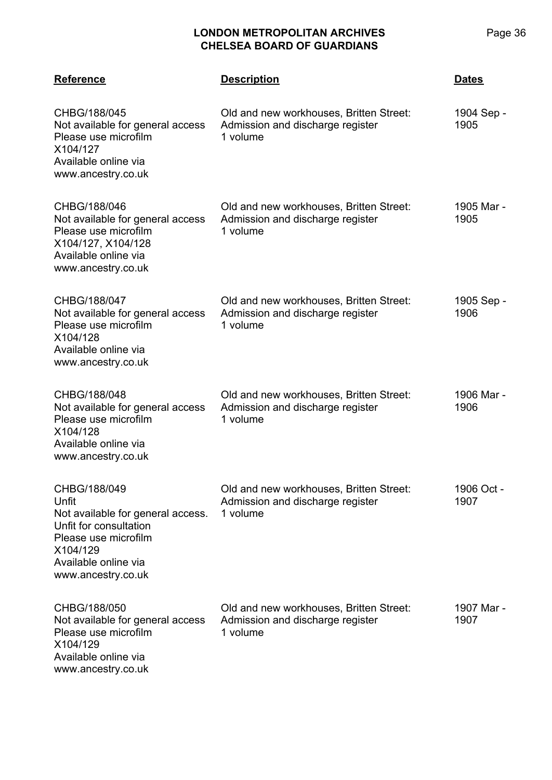| <b>Reference</b>                                                                                                                                                       | <b>Description</b>                                                                      | <b>Dates</b>       |
|------------------------------------------------------------------------------------------------------------------------------------------------------------------------|-----------------------------------------------------------------------------------------|--------------------|
| CHBG/188/045<br>Not available for general access<br>Please use microfilm<br>X104/127<br>Available online via<br>www.ancestry.co.uk                                     | Old and new workhouses, Britten Street:<br>Admission and discharge register<br>1 volume | 1904 Sep -<br>1905 |
| CHBG/188/046<br>Not available for general access<br>Please use microfilm<br>X104/127, X104/128<br>Available online via<br>www.ancestry.co.uk                           | Old and new workhouses, Britten Street:<br>Admission and discharge register<br>1 volume | 1905 Mar -<br>1905 |
| CHBG/188/047<br>Not available for general access<br>Please use microfilm<br>X104/128<br>Available online via<br>www.ancestry.co.uk                                     | Old and new workhouses, Britten Street:<br>Admission and discharge register<br>1 volume | 1905 Sep -<br>1906 |
| CHBG/188/048<br>Not available for general access<br>Please use microfilm<br>X104/128<br>Available online via<br>www.ancestry.co.uk                                     | Old and new workhouses, Britten Street:<br>Admission and discharge register<br>1 volume | 1906 Mar -<br>1906 |
| CHBG/188/049<br>Unfit<br>Not available for general access.<br>Unfit for consultation<br>Please use microfilm<br>X104/129<br>Available online via<br>www.ancestry.co.uk | Old and new workhouses, Britten Street:<br>Admission and discharge register<br>1 volume | 1906 Oct -<br>1907 |
| CHBG/188/050<br>Not available for general access<br>Please use microfilm<br>X104/129<br>Available online via<br>www.ancestry.co.uk                                     | Old and new workhouses, Britten Street:<br>Admission and discharge register<br>1 volume | 1907 Mar -<br>1907 |

Page 36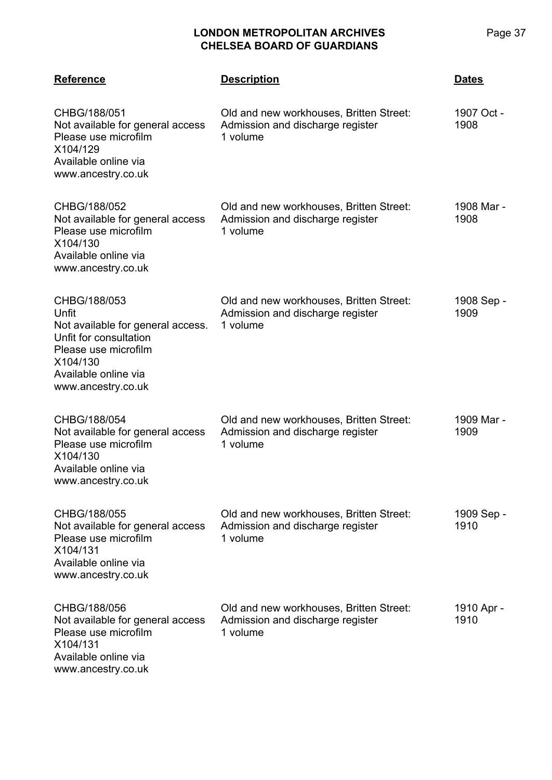| <b>Reference</b>                                                                                                                                                       | <b>Description</b>                                                                      | <b>Dates</b>       |
|------------------------------------------------------------------------------------------------------------------------------------------------------------------------|-----------------------------------------------------------------------------------------|--------------------|
| CHBG/188/051<br>Not available for general access<br>Please use microfilm<br>X104/129<br>Available online via<br>www.ancestry.co.uk                                     | Old and new workhouses, Britten Street:<br>Admission and discharge register<br>1 volume | 1907 Oct -<br>1908 |
| CHBG/188/052<br>Not available for general access<br>Please use microfilm<br>X104/130<br>Available online via<br>www.ancestry.co.uk                                     | Old and new workhouses, Britten Street:<br>Admission and discharge register<br>1 volume | 1908 Mar -<br>1908 |
| CHBG/188/053<br>Unfit<br>Not available for general access.<br>Unfit for consultation<br>Please use microfilm<br>X104/130<br>Available online via<br>www.ancestry.co.uk | Old and new workhouses, Britten Street:<br>Admission and discharge register<br>1 volume | 1908 Sep -<br>1909 |
| CHBG/188/054<br>Not available for general access<br>Please use microfilm<br>X104/130<br>Available online via<br>www.ancestry.co.uk                                     | Old and new workhouses, Britten Street:<br>Admission and discharge register<br>1 volume | 1909 Mar -<br>1909 |
| CHBG/188/055<br>Not available for general access<br>Please use microfilm<br>X104/131<br>Available online via<br>www.ancestry.co.uk                                     | Old and new workhouses, Britten Street:<br>Admission and discharge register<br>1 volume | 1909 Sep -<br>1910 |
| CHBG/188/056<br>Not available for general access<br>Please use microfilm<br>X104/131<br>Available online via<br>www.ancestry.co.uk                                     | Old and new workhouses, Britten Street:<br>Admission and discharge register<br>1 volume | 1910 Apr -<br>1910 |

Page 37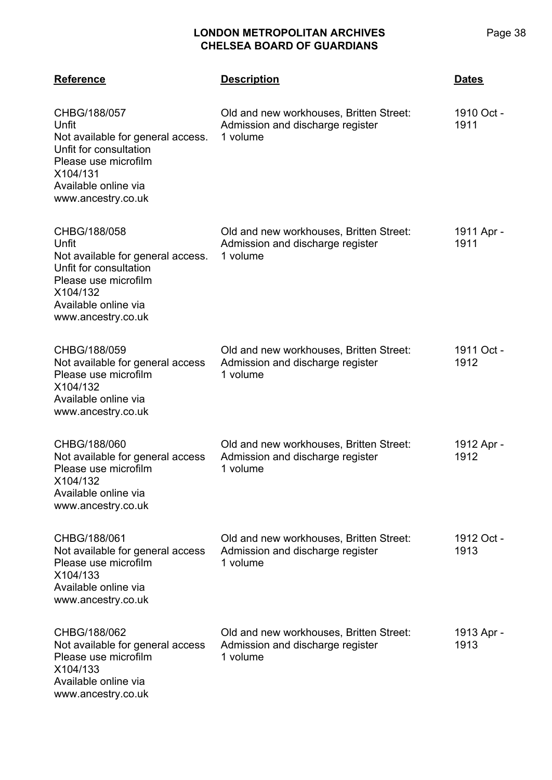| <b>Reference</b>                                                                                                                                                       | <b>Description</b>                                                                      | <b>Dates</b>       |
|------------------------------------------------------------------------------------------------------------------------------------------------------------------------|-----------------------------------------------------------------------------------------|--------------------|
| CHBG/188/057<br>Unfit<br>Not available for general access.<br>Unfit for consultation<br>Please use microfilm<br>X104/131<br>Available online via<br>www.ancestry.co.uk | Old and new workhouses, Britten Street:<br>Admission and discharge register<br>1 volume | 1910 Oct -<br>1911 |
| CHBG/188/058<br>Unfit<br>Not available for general access.<br>Unfit for consultation<br>Please use microfilm<br>X104/132<br>Available online via<br>www.ancestry.co.uk | Old and new workhouses, Britten Street:<br>Admission and discharge register<br>1 volume | 1911 Apr -<br>1911 |
| CHBG/188/059<br>Not available for general access<br>Please use microfilm<br>X104/132<br>Available online via<br>www.ancestry.co.uk                                     | Old and new workhouses, Britten Street:<br>Admission and discharge register<br>1 volume | 1911 Oct -<br>1912 |
| CHBG/188/060<br>Not available for general access<br>Please use microfilm<br>X104/132<br>Available online via<br>www.ancestry.co.uk                                     | Old and new workhouses, Britten Street:<br>Admission and discharge register<br>1 volume | 1912 Apr -<br>1912 |
| CHBG/188/061<br>Not available for general access<br>Please use microfilm<br>X104/133<br>Available online via<br>www.ancestry.co.uk                                     | Old and new workhouses, Britten Street:<br>Admission and discharge register<br>1 volume | 1912 Oct -<br>1913 |
| CHBG/188/062<br>Not available for general access<br>Please use microfilm<br>X104/133<br>Available online via                                                           | Old and new workhouses, Britten Street:<br>Admission and discharge register<br>1 volume | 1913 Apr -<br>1913 |

www.ancestry.co.uk

Page 38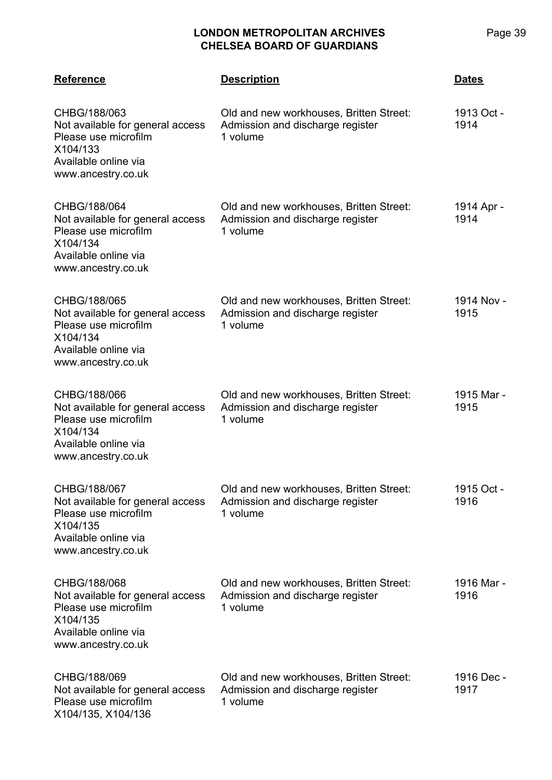| <b>Reference</b>                                                                                                                   | <b>Description</b>                                                                      | <b>Dates</b>       |
|------------------------------------------------------------------------------------------------------------------------------------|-----------------------------------------------------------------------------------------|--------------------|
| CHBG/188/063<br>Not available for general access<br>Please use microfilm<br>X104/133<br>Available online via<br>www.ancestry.co.uk | Old and new workhouses, Britten Street:<br>Admission and discharge register<br>1 volume | 1913 Oct -<br>1914 |
| CHBG/188/064<br>Not available for general access<br>Please use microfilm<br>X104/134<br>Available online via<br>www.ancestry.co.uk | Old and new workhouses, Britten Street:<br>Admission and discharge register<br>1 volume | 1914 Apr -<br>1914 |
| CHBG/188/065<br>Not available for general access<br>Please use microfilm<br>X104/134<br>Available online via<br>www.ancestry.co.uk | Old and new workhouses, Britten Street:<br>Admission and discharge register<br>1 volume | 1914 Nov -<br>1915 |
| CHBG/188/066<br>Not available for general access<br>Please use microfilm<br>X104/134<br>Available online via<br>www.ancestry.co.uk | Old and new workhouses, Britten Street:<br>Admission and discharge register<br>1 volume | 1915 Mar -<br>1915 |
| CHBG/188/067<br>Not available for general access<br>Please use microfilm<br>X104/135<br>Available online via<br>www.ancestry.co.uk | Old and new workhouses, Britten Street:<br>Admission and discharge register<br>1 volume | 1915 Oct -<br>1916 |
| CHBG/188/068<br>Not available for general access<br>Please use microfilm<br>X104/135<br>Available online via<br>www.ancestry.co.uk | Old and new workhouses, Britten Street:<br>Admission and discharge register<br>1 volume | 1916 Mar -<br>1916 |
| CHBG/188/069<br>Not available for general access<br>Please use microfilm<br>X104/135, X104/136                                     | Old and new workhouses, Britten Street:<br>Admission and discharge register<br>1 volume | 1916 Dec -<br>1917 |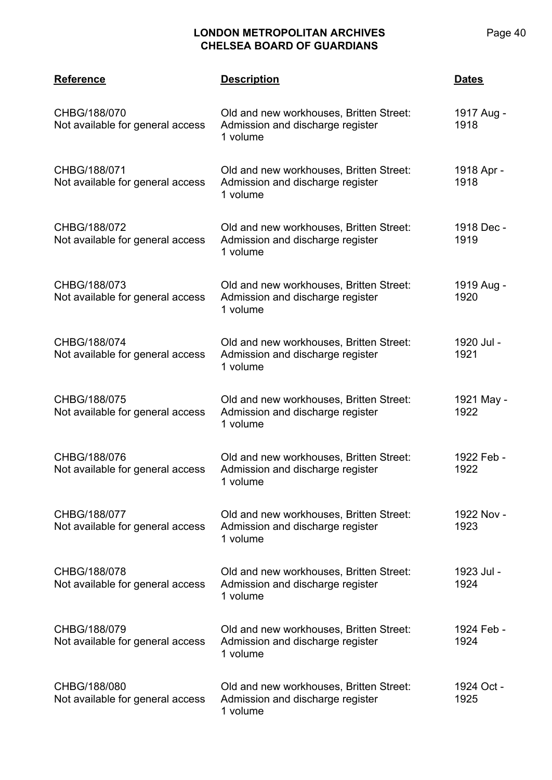| <b>Reference</b>                                 | <b>Description</b>                                                                      | <u>Dates</u>       |
|--------------------------------------------------|-----------------------------------------------------------------------------------------|--------------------|
| CHBG/188/070<br>Not available for general access | Old and new workhouses, Britten Street:<br>Admission and discharge register<br>1 volume | 1917 Aug -<br>1918 |
| CHBG/188/071<br>Not available for general access | Old and new workhouses, Britten Street:<br>Admission and discharge register<br>1 volume | 1918 Apr -<br>1918 |
| CHBG/188/072<br>Not available for general access | Old and new workhouses, Britten Street:<br>Admission and discharge register<br>1 volume | 1918 Dec -<br>1919 |
| CHBG/188/073<br>Not available for general access | Old and new workhouses, Britten Street:<br>Admission and discharge register<br>1 volume | 1919 Aug -<br>1920 |
| CHBG/188/074<br>Not available for general access | Old and new workhouses, Britten Street:<br>Admission and discharge register<br>1 volume | 1920 Jul -<br>1921 |
| CHBG/188/075<br>Not available for general access | Old and new workhouses, Britten Street:<br>Admission and discharge register<br>1 volume | 1921 May -<br>1922 |
| CHBG/188/076<br>Not available for general access | Old and new workhouses, Britten Street:<br>Admission and discharge register<br>1 volume | 1922 Feb -<br>1922 |
| CHBG/188/077<br>Not available for general access | Old and new workhouses, Britten Street:<br>Admission and discharge register<br>1 volume | 1922 Nov -<br>1923 |
| CHBG/188/078<br>Not available for general access | Old and new workhouses, Britten Street:<br>Admission and discharge register<br>1 volume | 1923 Jul -<br>1924 |
| CHBG/188/079<br>Not available for general access | Old and new workhouses, Britten Street:<br>Admission and discharge register<br>1 volume | 1924 Feb -<br>1924 |
| CHBG/188/080<br>Not available for general access | Old and new workhouses, Britten Street:<br>Admission and discharge register<br>1 volume | 1924 Oct -<br>1925 |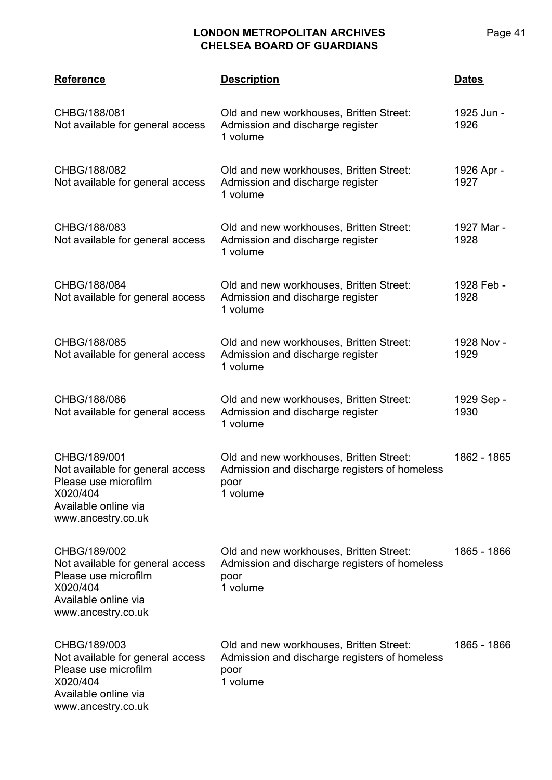| <b>Reference</b>                                                                                                                   | <b>Description</b>                                                                                           | <b>Dates</b>       |
|------------------------------------------------------------------------------------------------------------------------------------|--------------------------------------------------------------------------------------------------------------|--------------------|
| CHBG/188/081<br>Not available for general access                                                                                   | Old and new workhouses, Britten Street:<br>Admission and discharge register<br>1 volume                      | 1925 Jun -<br>1926 |
| CHBG/188/082<br>Not available for general access                                                                                   | Old and new workhouses, Britten Street:<br>Admission and discharge register<br>1 volume                      | 1926 Apr -<br>1927 |
| CHBG/188/083<br>Not available for general access                                                                                   | Old and new workhouses, Britten Street:<br>Admission and discharge register<br>1 volume                      | 1927 Mar -<br>1928 |
| CHBG/188/084<br>Not available for general access                                                                                   | Old and new workhouses, Britten Street:<br>Admission and discharge register<br>1 volume                      | 1928 Feb -<br>1928 |
| CHBG/188/085<br>Not available for general access                                                                                   | Old and new workhouses, Britten Street:<br>Admission and discharge register<br>1 volume                      | 1928 Nov -<br>1929 |
| CHBG/188/086<br>Not available for general access                                                                                   | Old and new workhouses, Britten Street:<br>Admission and discharge register<br>1 volume                      | 1929 Sep -<br>1930 |
| CHBG/189/001<br>Not available for general access<br>Please use microfilm<br>X020/404<br>Available online via<br>www.ancestry.co.uk | Old and new workhouses, Britten Street:<br>Admission and discharge registers of homeless<br>poor<br>1 volume | 1862 - 1865        |
| CHBG/189/002<br>Not available for general access<br>Please use microfilm<br>X020/404<br>Available online via<br>www.ancestry.co.uk | Old and new workhouses, Britten Street:<br>Admission and discharge registers of homeless<br>poor<br>1 volume | 1865 - 1866        |
| CHBG/189/003<br>Not available for general access<br>Please use microfilm<br>X020/404<br>Available online via<br>www.ancestry.co.uk | Old and new workhouses, Britten Street:<br>Admission and discharge registers of homeless<br>poor<br>1 volume | 1865 - 1866        |

Page 41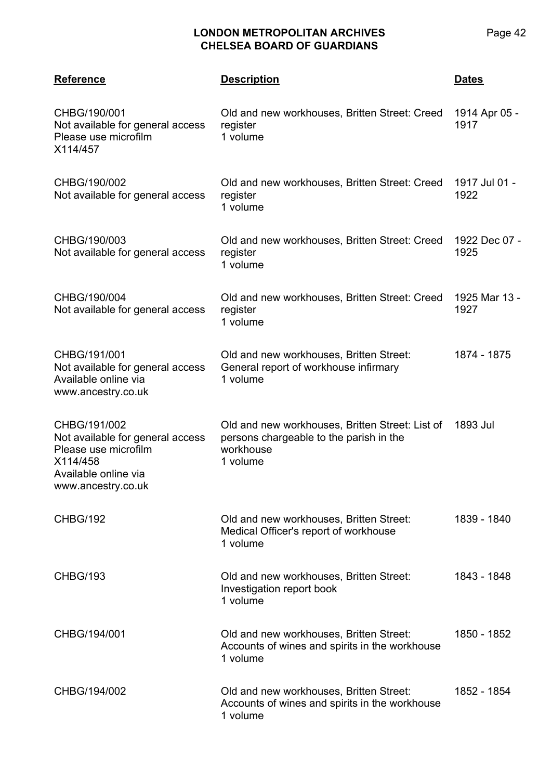| <b>Reference</b>                                                                                                                   | <b>Description</b>                                                                                                  | <b>Dates</b>          |
|------------------------------------------------------------------------------------------------------------------------------------|---------------------------------------------------------------------------------------------------------------------|-----------------------|
| CHBG/190/001<br>Not available for general access<br>Please use microfilm<br>X114/457                                               | Old and new workhouses, Britten Street: Creed<br>register<br>1 volume                                               | 1914 Apr 05 -<br>1917 |
| CHBG/190/002<br>Not available for general access                                                                                   | Old and new workhouses, Britten Street: Creed<br>register<br>1 volume                                               | 1917 Jul 01 -<br>1922 |
| CHBG/190/003<br>Not available for general access                                                                                   | Old and new workhouses, Britten Street: Creed<br>register<br>1 volume                                               | 1922 Dec 07 -<br>1925 |
| CHBG/190/004<br>Not available for general access                                                                                   | Old and new workhouses, Britten Street: Creed<br>register<br>1 volume                                               | 1925 Mar 13 -<br>1927 |
| CHBG/191/001<br>Not available for general access<br>Available online via<br>www.ancestry.co.uk                                     | Old and new workhouses, Britten Street:<br>General report of workhouse infirmary<br>1 volume                        | 1874 - 1875           |
| CHBG/191/002<br>Not available for general access<br>Please use microfilm<br>X114/458<br>Available online via<br>www.ancestry.co.uk | Old and new workhouses, Britten Street: List of<br>persons chargeable to the parish in the<br>workhouse<br>1 volume | 1893 Jul              |
| <b>CHBG/192</b>                                                                                                                    | Old and new workhouses, Britten Street:<br>Medical Officer's report of workhouse<br>1 volume                        | 1839 - 1840           |
| <b>CHBG/193</b>                                                                                                                    | Old and new workhouses, Britten Street:<br>Investigation report book<br>1 volume                                    | 1843 - 1848           |
| CHBG/194/001                                                                                                                       | Old and new workhouses, Britten Street:<br>Accounts of wines and spirits in the workhouse<br>1 volume               | 1850 - 1852           |
| CHBG/194/002                                                                                                                       | Old and new workhouses, Britten Street:<br>Accounts of wines and spirits in the workhouse<br>1 volume               | 1852 - 1854           |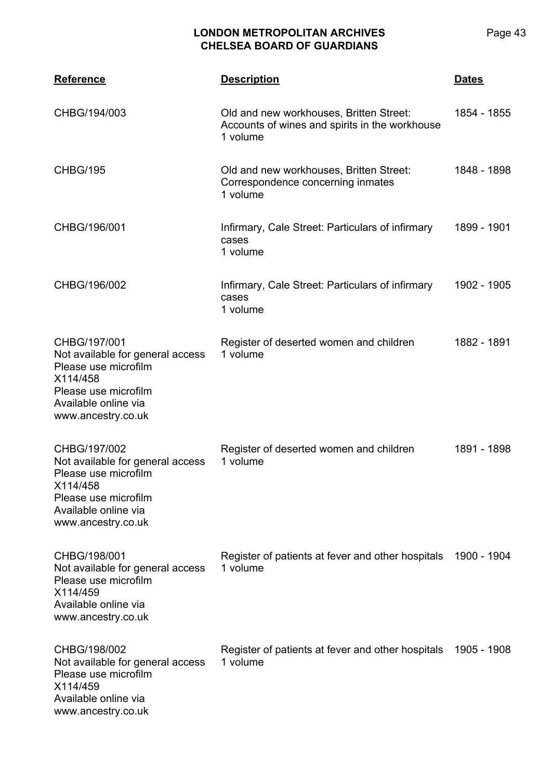| <b>Reference</b>                                                                                                                                           | <b>Description</b>                                                                                    | <b>Dates</b> |
|------------------------------------------------------------------------------------------------------------------------------------------------------------|-------------------------------------------------------------------------------------------------------|--------------|
| CHBG/194/003                                                                                                                                               | Old and new workhouses, Britten Street:<br>Accounts of wines and spirits in the workhouse<br>1 volume | 1854 - 1855  |
| <b>CHBG/195</b>                                                                                                                                            | Old and new workhouses, Britten Street:<br>Correspondence concerning inmates<br>1 volume              | 1848 - 1898  |
| CHBG/196/001                                                                                                                                               | Infirmary, Cale Street: Particulars of infirmary<br>cases<br>1 volume                                 | 1899 - 1901  |
| CHBG/196/002                                                                                                                                               | Infirmary, Cale Street: Particulars of infirmary<br>cases<br>1 volume                                 | 1902 - 1905  |
| CHBG/197/001<br>Not available for general access<br>Please use microfilm<br>X114/458<br>Please use microfilm<br>Available online via<br>www.ancestry.co.uk | Register of deserted women and children<br>1 volume                                                   | 1882 - 1891  |
| CHBG/197/002<br>Not available for general access<br>Please use microfilm<br>X114/458<br>Please use microfilm<br>Available online via<br>www.ancestry.co.uk | Register of deserted women and children<br>1 volume                                                   | 1891 - 1898  |
| CHBG/198/001<br>Not available for general access<br>Please use microfilm<br>X114/459<br>Available online via<br>www.ancestry.co.uk                         | Register of patients at fever and other hospitals<br>1 volume                                         | 1900 - 1904  |
| CHBG/198/002<br>Not available for general access<br>Please use microfilm<br>X114/459<br>Available online via<br>www.ancestry.co.uk                         | Register of patients at fever and other hospitals<br>1 volume                                         | 1905 - 1908  |

Page 43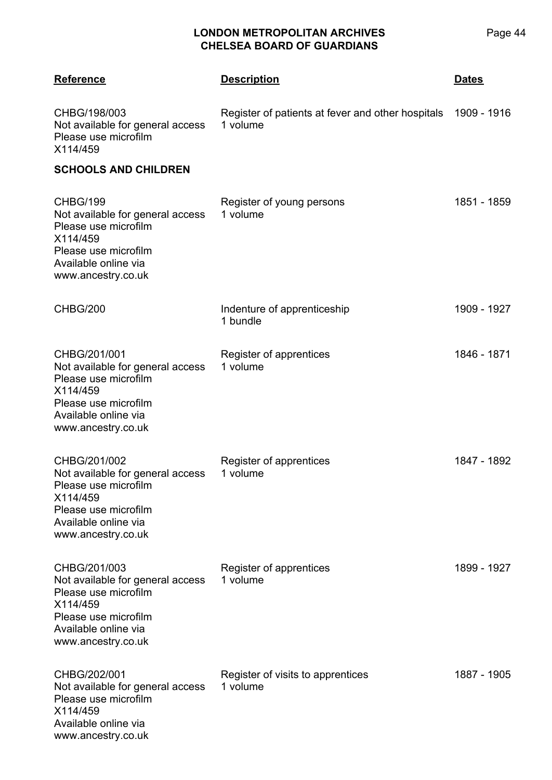| <b>Reference</b>                                                                                                                                           | <b>Description</b>                                                        | <b>Dates</b> |
|------------------------------------------------------------------------------------------------------------------------------------------------------------|---------------------------------------------------------------------------|--------------|
| CHBG/198/003<br>Not available for general access<br>Please use microfilm<br>X114/459                                                                       | Register of patients at fever and other hospitals 1909 - 1916<br>1 volume |              |
| <b>SCHOOLS AND CHILDREN</b>                                                                                                                                |                                                                           |              |
| CHBG/199<br>Not available for general access<br>Please use microfilm<br>X114/459<br>Please use microfilm<br>Available online via<br>www.ancestry.co.uk     | Register of young persons<br>1 volume                                     | 1851 - 1859  |
| CHBG/200                                                                                                                                                   | Indenture of apprenticeship<br>1 bundle                                   | 1909 - 1927  |
| CHBG/201/001<br>Not available for general access<br>Please use microfilm<br>X114/459<br>Please use microfilm<br>Available online via<br>www.ancestry.co.uk | Register of apprentices<br>1 volume                                       | 1846 - 1871  |
| CHBG/201/002<br>Not available for general access<br>Please use microfilm<br>X114/459<br>Please use microfilm<br>Available online via<br>www.ancestry.co.uk | Register of apprentices<br>1 volume                                       | 1847 - 1892  |
| CHBG/201/003<br>Not available for general access<br>Please use microfilm<br>X114/459<br>Please use microfilm<br>Available online via<br>www.ancestry.co.uk | Register of apprentices<br>1 volume                                       | 1899 - 1927  |
| CHBG/202/001<br>Not available for general access<br>Please use microfilm<br>X114/459<br>Available online via<br>www.ancestry.co.uk                         | Register of visits to apprentices<br>1 volume                             | 1887 - 1905  |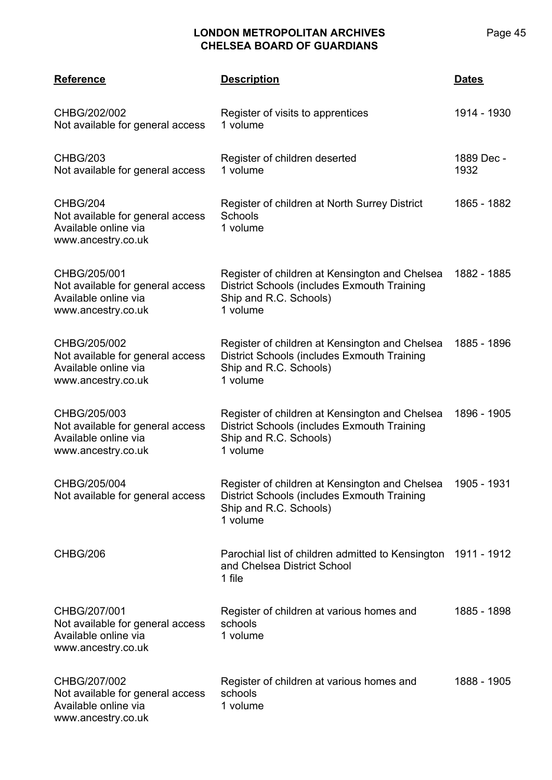| <b>Reference</b>                                                                               | <b>Description</b>                                                                                                                              | <b>Dates</b>       |
|------------------------------------------------------------------------------------------------|-------------------------------------------------------------------------------------------------------------------------------------------------|--------------------|
| CHBG/202/002<br>Not available for general access                                               | Register of visits to apprentices<br>1 volume                                                                                                   | 1914 - 1930        |
| <b>CHBG/203</b><br>Not available for general access                                            | Register of children deserted<br>1 volume                                                                                                       | 1889 Dec -<br>1932 |
| CHBG/204<br>Not available for general access<br>Available online via<br>www.ancestry.co.uk     | Register of children at North Surrey District<br>Schools<br>1 volume                                                                            | 1865 - 1882        |
| CHBG/205/001<br>Not available for general access<br>Available online via<br>www.ancestry.co.uk | Register of children at Kensington and Chelsea<br><b>District Schools (includes Exmouth Training</b><br>Ship and R.C. Schools)<br>1 volume      | 1882 - 1885        |
| CHBG/205/002<br>Not available for general access<br>Available online via<br>www.ancestry.co.uk | Register of children at Kensington and Chelsea<br><b>District Schools (includes Exmouth Training</b><br>Ship and R.C. Schools)<br>1 volume      | 1885 - 1896        |
| CHBG/205/003<br>Not available for general access<br>Available online via<br>www.ancestry.co.uk | Register of children at Kensington and Chelsea<br><b>District Schools (includes Exmouth Training</b><br>Ship and R.C. Schools)<br>1 volume      | 1896 - 1905        |
| CHBG/205/004<br>Not available for general access                                               | Register of children at Kensington and Chelsea 1905 - 1931<br>District Schools (includes Exmouth Training<br>Ship and R.C. Schools)<br>1 volume |                    |
| CHBG/206                                                                                       | Parochial list of children admitted to Kensington 1911 - 1912<br>and Chelsea District School<br>1 file                                          |                    |
| CHBG/207/001<br>Not available for general access<br>Available online via<br>www.ancestry.co.uk | Register of children at various homes and<br>schools<br>1 volume                                                                                | 1885 - 1898        |
| CHBG/207/002<br>Not available for general access<br>Available online via<br>www.ancestry.co.uk | Register of children at various homes and<br>schools<br>1 volume                                                                                | 1888 - 1905        |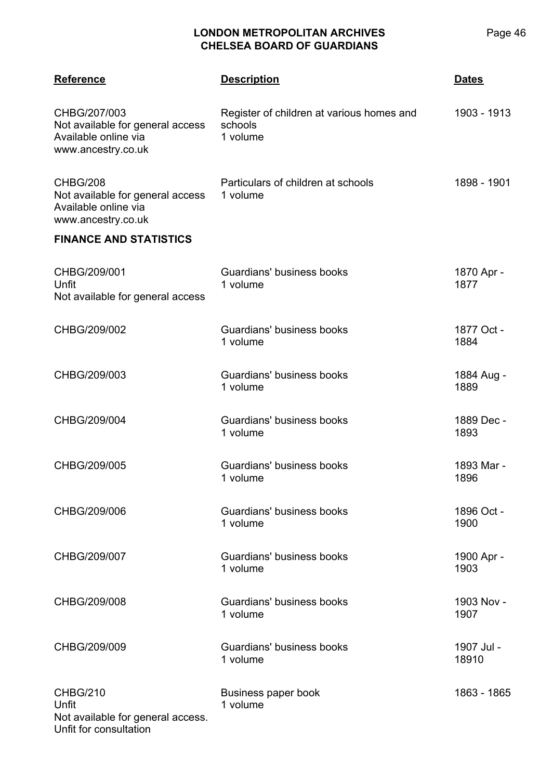| <b>Reference</b>                                                                               | <b>Description</b>                                               | <b>Dates</b>        |
|------------------------------------------------------------------------------------------------|------------------------------------------------------------------|---------------------|
| CHBG/207/003<br>Not available for general access<br>Available online via<br>www.ancestry.co.uk | Register of children at various homes and<br>schools<br>1 volume | 1903 - 1913         |
| CHBG/208<br>Not available for general access<br>Available online via<br>www.ancestry.co.uk     | Particulars of children at schools<br>1 volume                   | 1898 - 1901         |
| <b>FINANCE AND STATISTICS</b>                                                                  |                                                                  |                     |
| CHBG/209/001<br>Unfit<br>Not available for general access                                      | Guardians' business books<br>1 volume                            | 1870 Apr -<br>1877  |
| CHBG/209/002                                                                                   | Guardians' business books<br>1 volume                            | 1877 Oct -<br>1884  |
| CHBG/209/003                                                                                   | Guardians' business books<br>1 volume                            | 1884 Aug -<br>1889  |
| CHBG/209/004                                                                                   | Guardians' business books<br>1 volume                            | 1889 Dec -<br>1893  |
| CHBG/209/005                                                                                   | Guardians' business books<br>1 volume                            | 1893 Mar -<br>1896  |
| CHBG/209/006                                                                                   | Guardians' business books<br>1 volume                            | 1896 Oct -<br>1900  |
| CHBG/209/007                                                                                   | Guardians' business books<br>1 volume                            | 1900 Apr -<br>1903  |
| CHBG/209/008                                                                                   | Guardians' business books<br>1 volume                            | 1903 Nov -<br>1907  |
| CHBG/209/009                                                                                   | Guardians' business books<br>1 volume                            | 1907 Jul -<br>18910 |
| <b>CHBG/210</b><br>Unfit<br>Not available for general access.<br>Unfit for consultation        | Business paper book<br>1 volume                                  | 1863 - 1865         |

Page 46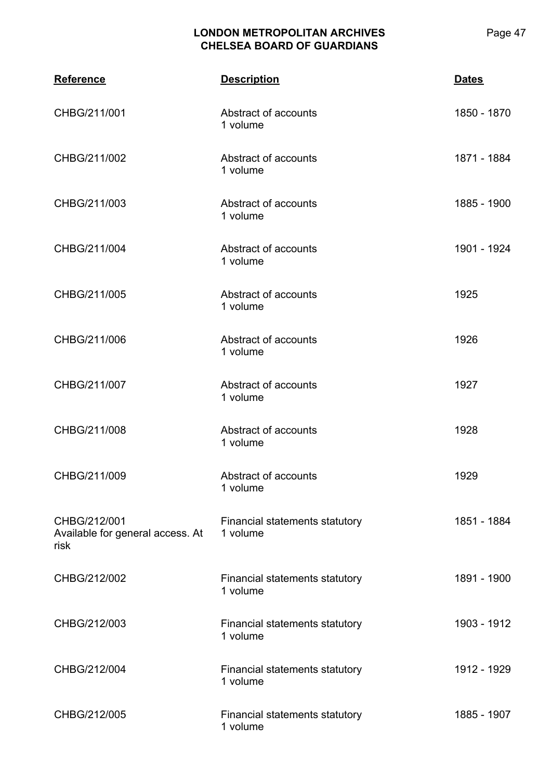| <b>Reference</b>                                         | <b>Description</b>                         | <b>Dates</b> |
|----------------------------------------------------------|--------------------------------------------|--------------|
| CHBG/211/001                                             | Abstract of accounts<br>1 volume           | 1850 - 1870  |
| CHBG/211/002                                             | Abstract of accounts<br>1 volume           | 1871 - 1884  |
| CHBG/211/003                                             | Abstract of accounts<br>1 volume           | 1885 - 1900  |
| CHBG/211/004                                             | Abstract of accounts<br>1 volume           | 1901 - 1924  |
| CHBG/211/005                                             | Abstract of accounts<br>1 volume           | 1925         |
| CHBG/211/006                                             | Abstract of accounts<br>1 volume           | 1926         |
| CHBG/211/007                                             | Abstract of accounts<br>1 volume           | 1927         |
| CHBG/211/008                                             | Abstract of accounts<br>1 volume           | 1928         |
| CHBG/211/009                                             | Abstract of accounts<br>1 volume           | 1929         |
| CHBG/212/001<br>Available for general access. At<br>risk | Financial statements statutory<br>1 volume | 1851 - 1884  |
| CHBG/212/002                                             | Financial statements statutory<br>1 volume | 1891 - 1900  |
| CHBG/212/003                                             | Financial statements statutory<br>1 volume | 1903 - 1912  |
| CHBG/212/004                                             | Financial statements statutory<br>1 volume | 1912 - 1929  |
| CHBG/212/005                                             | Financial statements statutory<br>1 volume | 1885 - 1907  |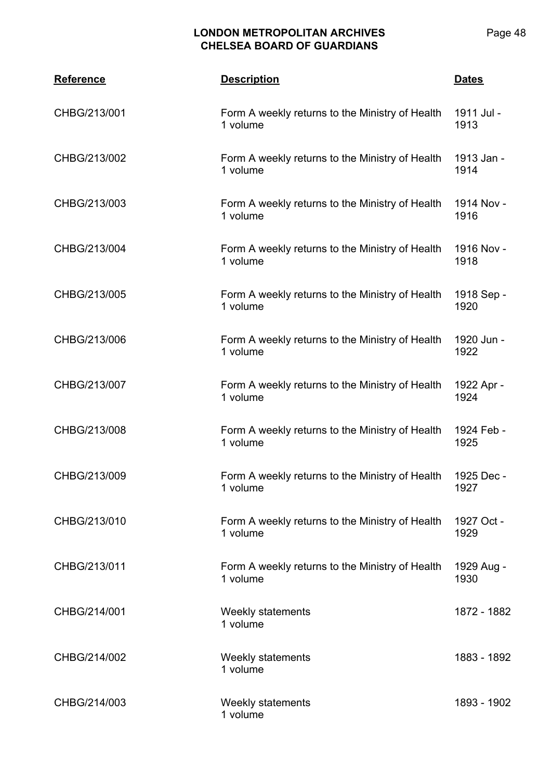| <b>Reference</b> | <b>Description</b>                                          | <b>Dates</b>       |
|------------------|-------------------------------------------------------------|--------------------|
| CHBG/213/001     | Form A weekly returns to the Ministry of Health<br>1 volume | 1911 Jul -<br>1913 |
| CHBG/213/002     | Form A weekly returns to the Ministry of Health<br>1 volume | 1913 Jan -<br>1914 |
| CHBG/213/003     | Form A weekly returns to the Ministry of Health<br>1 volume | 1914 Nov -<br>1916 |
| CHBG/213/004     | Form A weekly returns to the Ministry of Health<br>1 volume | 1916 Nov -<br>1918 |
| CHBG/213/005     | Form A weekly returns to the Ministry of Health<br>1 volume | 1918 Sep -<br>1920 |
| CHBG/213/006     | Form A weekly returns to the Ministry of Health<br>1 volume | 1920 Jun -<br>1922 |
| CHBG/213/007     | Form A weekly returns to the Ministry of Health<br>1 volume | 1922 Apr -<br>1924 |
| CHBG/213/008     | Form A weekly returns to the Ministry of Health<br>1 volume | 1924 Feb -<br>1925 |
| CHBG/213/009     | Form A weekly returns to the Ministry of Health<br>1 volume | 1925 Dec -<br>1927 |
| CHBG/213/010     | Form A weekly returns to the Ministry of Health<br>1 volume | 1927 Oct -<br>1929 |
| CHBG/213/011     | Form A weekly returns to the Ministry of Health<br>1 volume | 1929 Aug -<br>1930 |
| CHBG/214/001     | Weekly statements<br>1 volume                               | 1872 - 1882        |
| CHBG/214/002     | Weekly statements<br>1 volume                               | 1883 - 1892        |
| CHBG/214/003     | Weekly statements<br>1 volume                               | 1893 - 1902        |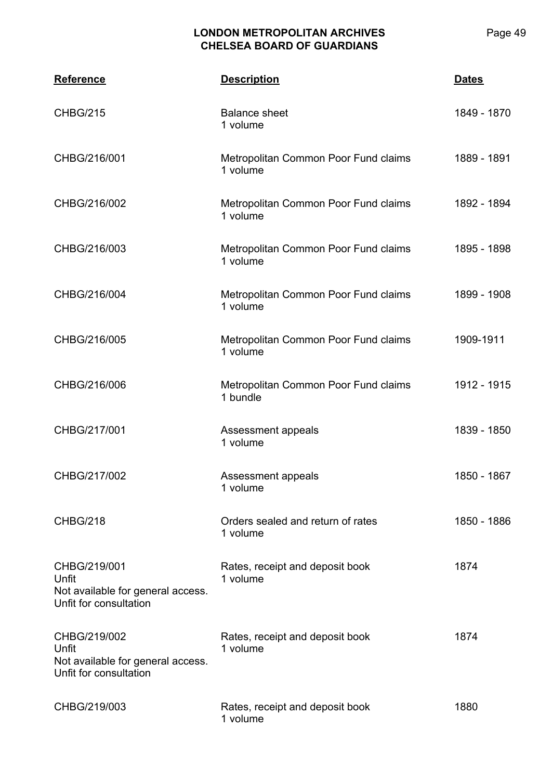| <b>Reference</b>                                                                     | <b>Description</b>                               | <b>Dates</b> |
|--------------------------------------------------------------------------------------|--------------------------------------------------|--------------|
| <b>CHBG/215</b>                                                                      | <b>Balance sheet</b><br>1 volume                 | 1849 - 1870  |
| CHBG/216/001                                                                         | Metropolitan Common Poor Fund claims<br>1 volume | 1889 - 1891  |
| CHBG/216/002                                                                         | Metropolitan Common Poor Fund claims<br>1 volume | 1892 - 1894  |
| CHBG/216/003                                                                         | Metropolitan Common Poor Fund claims<br>1 volume | 1895 - 1898  |
| CHBG/216/004                                                                         | Metropolitan Common Poor Fund claims<br>1 volume | 1899 - 1908  |
| CHBG/216/005                                                                         | Metropolitan Common Poor Fund claims<br>1 volume | 1909-1911    |
| CHBG/216/006                                                                         | Metropolitan Common Poor Fund claims<br>1 bundle | 1912 - 1915  |
| CHBG/217/001                                                                         | Assessment appeals<br>1 volume                   | 1839 - 1850  |
| CHBG/217/002                                                                         | Assessment appeals<br>1 volume                   | 1850 - 1867  |
| <b>CHBG/218</b>                                                                      | Orders sealed and return of rates<br>1 volume    | 1850 - 1886  |
| CHBG/219/001<br>Unfit<br>Not available for general access.<br>Unfit for consultation | Rates, receipt and deposit book<br>1 volume      | 1874         |
| CHBG/219/002<br>Unfit<br>Not available for general access.<br>Unfit for consultation | Rates, receipt and deposit book<br>1 volume      | 1874         |
| CHBG/219/003                                                                         | Rates, receipt and deposit book<br>1 volume      | 1880         |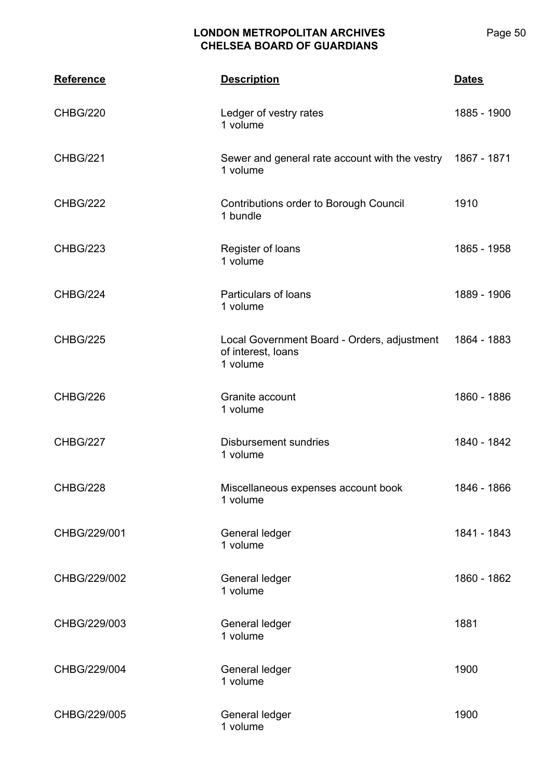| <b>Reference</b> | <b>Description</b>                                                            | <b>Dates</b> |
|------------------|-------------------------------------------------------------------------------|--------------|
| <b>CHBG/220</b>  | Ledger of vestry rates<br>1 volume                                            | 1885 - 1900  |
| <b>CHBG/221</b>  | Sewer and general rate account with the vestry 1867 - 1871<br>1 volume        |              |
| <b>CHBG/222</b>  | Contributions order to Borough Council<br>1 bundle                            | 1910         |
| <b>CHBG/223</b>  | Register of loans<br>1 volume                                                 | 1865 - 1958  |
| CHBG/224         | Particulars of loans<br>1 volume                                              | 1889 - 1906  |
| <b>CHBG/225</b>  | Local Government Board - Orders, adjustment<br>of interest, loans<br>1 volume | 1864 - 1883  |
| CHBG/226         | Granite account<br>1 volume                                                   | 1860 - 1886  |
| CHBG/227         | <b>Disbursement sundries</b><br>1 volume                                      | 1840 - 1842  |
| CHBG/228         | Miscellaneous expenses account book<br>1 volume                               | 1846 - 1866  |
| CHBG/229/001     | General ledger<br>1 volume                                                    | 1841 - 1843  |
| CHBG/229/002     | General ledger<br>1 volume                                                    | 1860 - 1862  |
| CHBG/229/003     | General ledger<br>1 volume                                                    | 1881         |
| CHBG/229/004     | General ledger<br>1 volume                                                    | 1900         |
| CHBG/229/005     | General ledger<br>1 volume                                                    | 1900         |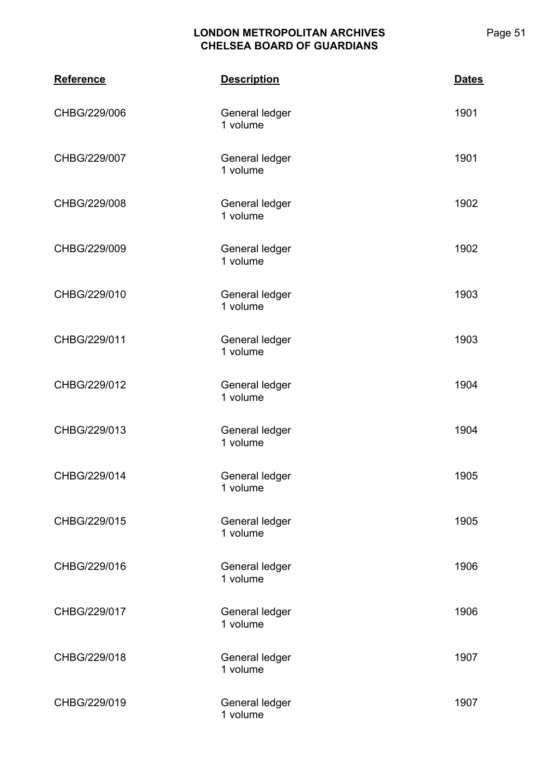| <b>Reference</b> | <b>Description</b>         | <b>Dates</b> |
|------------------|----------------------------|--------------|
| CHBG/229/006     | General ledger<br>1 volume | 1901         |
| CHBG/229/007     | General ledger<br>1 volume | 1901         |
| CHBG/229/008     | General ledger<br>1 volume | 1902         |
| CHBG/229/009     | General ledger<br>1 volume | 1902         |
| CHBG/229/010     | General ledger<br>1 volume | 1903         |
| CHBG/229/011     | General ledger<br>1 volume | 1903         |
| CHBG/229/012     | General ledger<br>1 volume | 1904         |
| CHBG/229/013     | General ledger<br>1 volume | 1904         |
| CHBG/229/014     | General ledger<br>1 volume | 1905         |
| CHBG/229/015     | General ledger<br>1 volume | 1905         |
| CHBG/229/016     | General ledger<br>1 volume | 1906         |
| CHBG/229/017     | General ledger<br>1 volume | 1906         |
| CHBG/229/018     | General ledger<br>1 volume | 1907         |
| CHBG/229/019     | General ledger<br>1 volume | 1907         |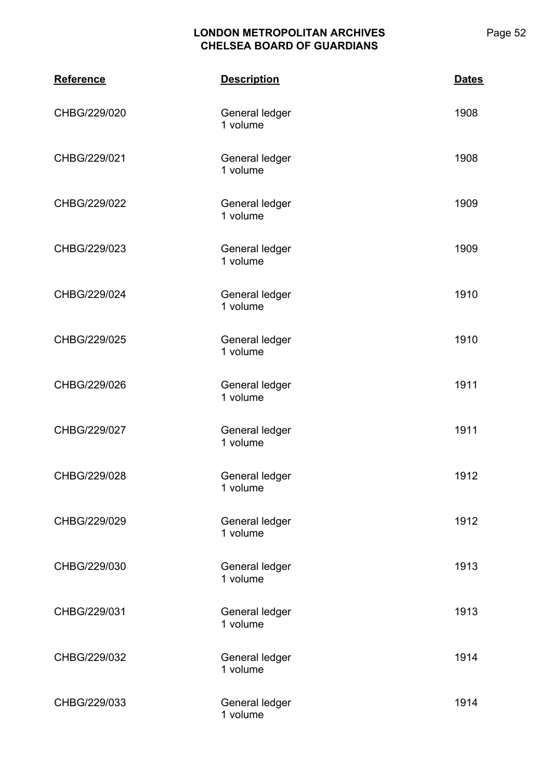| <b>Reference</b> | <b>Description</b>         | <b>Dates</b> |
|------------------|----------------------------|--------------|
| CHBG/229/020     | General ledger<br>1 volume | 1908         |
| CHBG/229/021     | General ledger<br>1 volume | 1908         |
| CHBG/229/022     | General ledger<br>1 volume | 1909         |
| CHBG/229/023     | General ledger<br>1 volume | 1909         |
| CHBG/229/024     | General ledger<br>1 volume | 1910         |
| CHBG/229/025     | General ledger<br>1 volume | 1910         |
| CHBG/229/026     | General ledger<br>1 volume | 1911         |
| CHBG/229/027     | General ledger<br>1 volume | 1911         |
| CHBG/229/028     | General ledger<br>1 volume | 1912         |
| CHBG/229/029     | General ledger<br>1 volume | 1912         |
| CHBG/229/030     | General ledger<br>1 volume | 1913         |
| CHBG/229/031     | General ledger<br>1 volume | 1913         |
| CHBG/229/032     | General ledger<br>1 volume | 1914         |
| CHBG/229/033     | General ledger<br>1 volume | 1914         |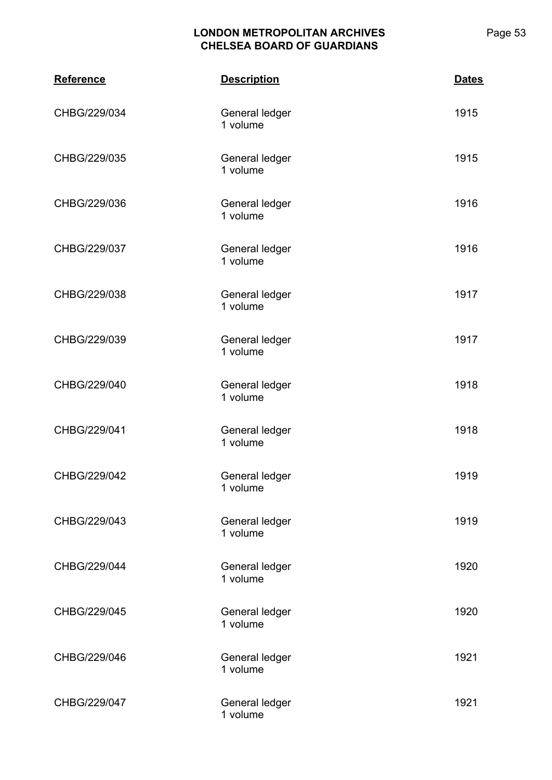| <b>Reference</b> | <b>Description</b>         | <b>Dates</b> |
|------------------|----------------------------|--------------|
| CHBG/229/034     | General ledger<br>1 volume | 1915         |
| CHBG/229/035     | General ledger<br>1 volume | 1915         |
| CHBG/229/036     | General ledger<br>1 volume | 1916         |
| CHBG/229/037     | General ledger<br>1 volume | 1916         |
| CHBG/229/038     | General ledger<br>1 volume | 1917         |
| CHBG/229/039     | General ledger<br>1 volume | 1917         |
| CHBG/229/040     | General ledger<br>1 volume | 1918         |
| CHBG/229/041     | General ledger<br>1 volume | 1918         |
| CHBG/229/042     | General ledger<br>1 volume | 1919         |
| CHBG/229/043     | General ledger<br>1 volume | 1919         |
| CHBG/229/044     | General ledger<br>1 volume | 1920         |
| CHBG/229/045     | General ledger<br>1 volume | 1920         |
| CHBG/229/046     | General ledger<br>1 volume | 1921         |
| CHBG/229/047     | General ledger<br>1 volume | 1921         |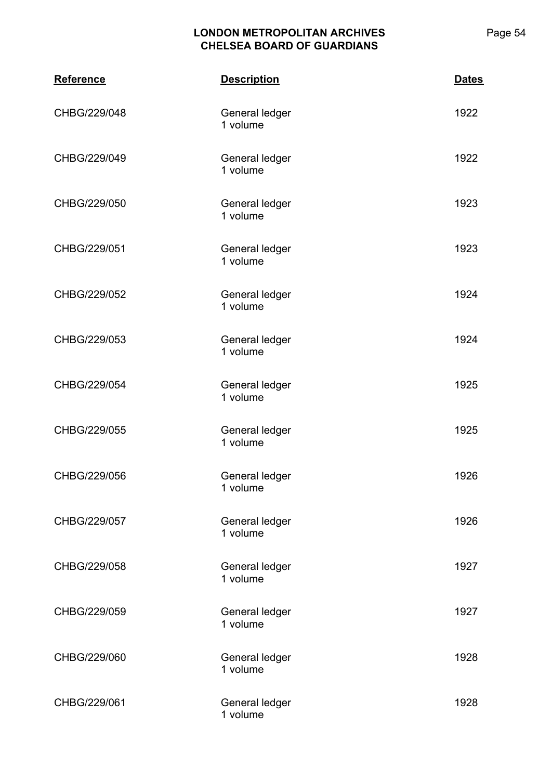| <b>Reference</b> | <b>Description</b>         | <b>Dates</b> |
|------------------|----------------------------|--------------|
| CHBG/229/048     | General ledger<br>1 volume | 1922         |
| CHBG/229/049     | General ledger<br>1 volume | 1922         |
| CHBG/229/050     | General ledger<br>1 volume | 1923         |
| CHBG/229/051     | General ledger<br>1 volume | 1923         |
| CHBG/229/052     | General ledger<br>1 volume | 1924         |
| CHBG/229/053     | General ledger<br>1 volume | 1924         |
| CHBG/229/054     | General ledger<br>1 volume | 1925         |
| CHBG/229/055     | General ledger<br>1 volume | 1925         |
| CHBG/229/056     | General ledger<br>1 volume | 1926         |
| CHBG/229/057     | General ledger<br>1 volume | 1926         |
| CHBG/229/058     | General ledger<br>1 volume | 1927         |
| CHBG/229/059     | General ledger<br>1 volume | 1927         |
| CHBG/229/060     | General ledger<br>1 volume | 1928         |
| CHBG/229/061     | General ledger<br>1 volume | 1928         |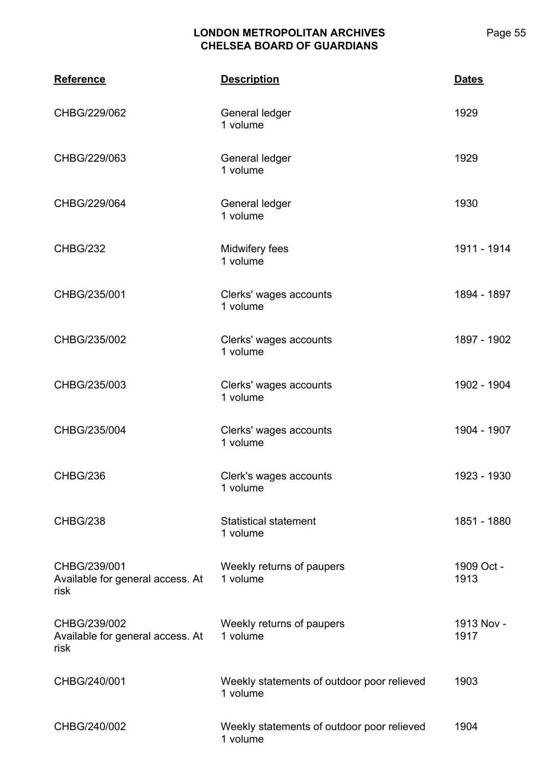| <b>Reference</b>                                         | <b>Description</b>                                     | <b>Dates</b>       |
|----------------------------------------------------------|--------------------------------------------------------|--------------------|
| CHBG/229/062                                             | General ledger<br>1 volume                             | 1929               |
| CHBG/229/063                                             | General ledger<br>1 volume                             | 1929               |
| CHBG/229/064                                             | General ledger<br>1 volume                             | 1930               |
| <b>CHBG/232</b>                                          | Midwifery fees<br>1 volume                             | 1911 - 1914        |
| CHBG/235/001                                             | Clerks' wages accounts<br>1 volume                     | 1894 - 1897        |
| CHBG/235/002                                             | Clerks' wages accounts<br>1 volume                     | 1897 - 1902        |
| CHBG/235/003                                             | Clerks' wages accounts<br>1 volume                     | 1902 - 1904        |
| CHBG/235/004                                             | Clerks' wages accounts<br>1 volume                     | 1904 - 1907        |
| CHBG/236                                                 | Clerk's wages accounts<br>1 volume                     | 1923 - 1930        |
| <b>CHBG/238</b>                                          | <b>Statistical statement</b><br>1 volume               | 1851 - 1880        |
| CHBG/239/001<br>Available for general access. At<br>risk | Weekly returns of paupers<br>1 volume                  | 1909 Oct -<br>1913 |
| CHBG/239/002<br>Available for general access. At<br>risk | Weekly returns of paupers<br>1 volume                  | 1913 Nov -<br>1917 |
| CHBG/240/001                                             | Weekly statements of outdoor poor relieved<br>1 volume | 1903               |
| CHBG/240/002                                             | Weekly statements of outdoor poor relieved<br>1 volume | 1904               |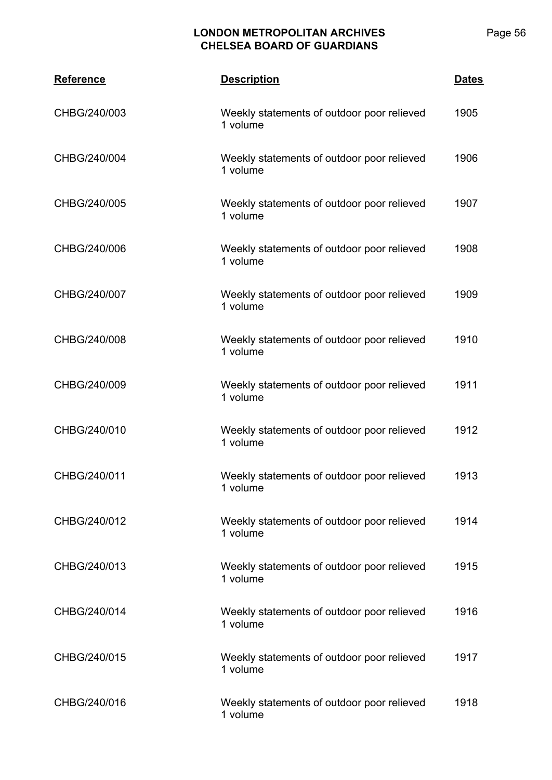| <b>Reference</b> | <b>Description</b>                                     | <b>Dates</b> |
|------------------|--------------------------------------------------------|--------------|
| CHBG/240/003     | Weekly statements of outdoor poor relieved<br>1 volume | 1905         |
| CHBG/240/004     | Weekly statements of outdoor poor relieved<br>1 volume | 1906         |
| CHBG/240/005     | Weekly statements of outdoor poor relieved<br>1 volume | 1907         |
| CHBG/240/006     | Weekly statements of outdoor poor relieved<br>1 volume | 1908         |
| CHBG/240/007     | Weekly statements of outdoor poor relieved<br>1 volume | 1909         |
| CHBG/240/008     | Weekly statements of outdoor poor relieved<br>1 volume | 1910         |
| CHBG/240/009     | Weekly statements of outdoor poor relieved<br>1 volume | 1911         |
| CHBG/240/010     | Weekly statements of outdoor poor relieved<br>1 volume | 1912         |
| CHBG/240/011     | Weekly statements of outdoor poor relieved<br>1 volume | 1913         |
| CHBG/240/012     | Weekly statements of outdoor poor relieved<br>1 volume | 1914         |
| CHBG/240/013     | Weekly statements of outdoor poor relieved<br>1 volume | 1915         |
| CHBG/240/014     | Weekly statements of outdoor poor relieved<br>1 volume | 1916         |
| CHBG/240/015     | Weekly statements of outdoor poor relieved<br>1 volume | 1917         |
| CHBG/240/016     | Weekly statements of outdoor poor relieved<br>1 volume | 1918         |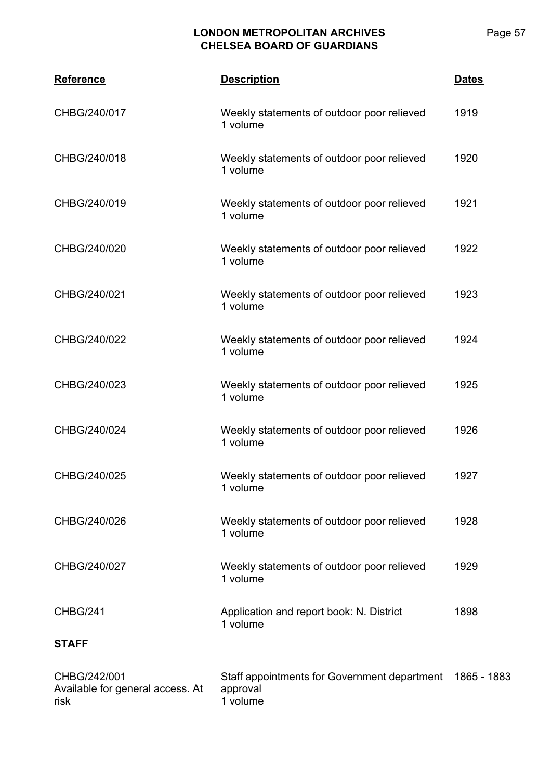| <b>Reference</b>                                         | <b>Description</b>                                                   | <b>Dates</b> |
|----------------------------------------------------------|----------------------------------------------------------------------|--------------|
| CHBG/240/017                                             | Weekly statements of outdoor poor relieved<br>1 volume               | 1919         |
| CHBG/240/018                                             | Weekly statements of outdoor poor relieved<br>1 volume               | 1920         |
| CHBG/240/019                                             | Weekly statements of outdoor poor relieved<br>1 volume               | 1921         |
| CHBG/240/020                                             | Weekly statements of outdoor poor relieved<br>1 volume               | 1922         |
| CHBG/240/021                                             | Weekly statements of outdoor poor relieved<br>1 volume               | 1923         |
| CHBG/240/022                                             | Weekly statements of outdoor poor relieved<br>1 volume               | 1924         |
| CHBG/240/023                                             | Weekly statements of outdoor poor relieved<br>1 volume               | 1925         |
| CHBG/240/024                                             | Weekly statements of outdoor poor relieved<br>1 volume               | 1926         |
| CHBG/240/025                                             | Weekly statements of outdoor poor relieved<br>1 volume               | 1927         |
| CHBG/240/026                                             | Weekly statements of outdoor poor relieved<br>1 volume               | 1928         |
| CHBG/240/027                                             | Weekly statements of outdoor poor relieved<br>1 volume               | 1929         |
| CHBG/241                                                 | Application and report book: N. District<br>1 volume                 | 1898         |
| <b>STAFF</b>                                             |                                                                      |              |
| CHBG/242/001<br>Available for general access. At<br>risk | Staff appointments for Government department<br>approval<br>1 volume | 1865 - 1883  |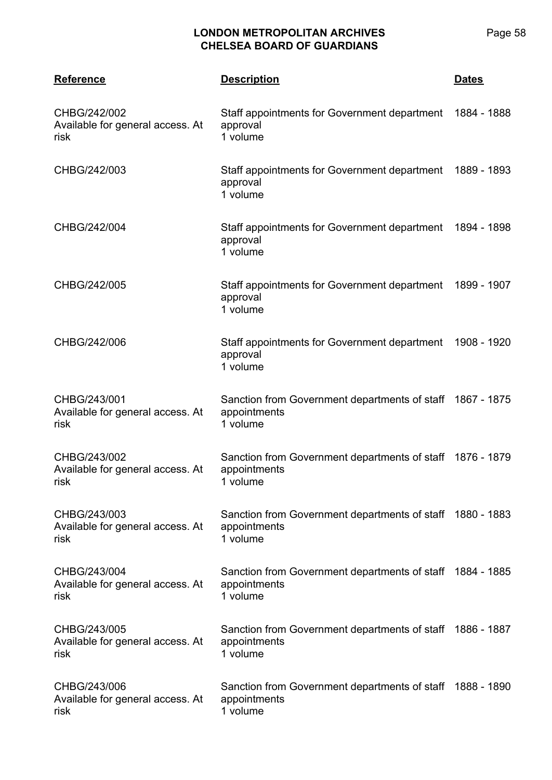| <b>Reference</b>                                         | <b>Description</b>                                                                    | <b>Dates</b> |
|----------------------------------------------------------|---------------------------------------------------------------------------------------|--------------|
| CHBG/242/002<br>Available for general access. At<br>risk | Staff appointments for Government department 1884 - 1888<br>approval<br>1 volume      |              |
| CHBG/242/003                                             | Staff appointments for Government department 1889 - 1893<br>approval<br>1 volume      |              |
| CHBG/242/004                                             | Staff appointments for Government department 1894 - 1898<br>approval<br>1 volume      |              |
| CHBG/242/005                                             | Staff appointments for Government department 1899 - 1907<br>approval<br>1 volume      |              |
| CHBG/242/006                                             | Staff appointments for Government department<br>approval<br>1 volume                  | 1908 - 1920  |
| CHBG/243/001<br>Available for general access. At<br>risk | Sanction from Government departments of staff 1867 - 1875<br>appointments<br>1 volume |              |
| CHBG/243/002<br>Available for general access. At<br>risk | Sanction from Government departments of staff 1876 - 1879<br>appointments<br>1 volume |              |
| CHBG/243/003<br>Available for general access. At<br>risk | Sanction from Government departments of staff 1880 - 1883<br>appointments<br>1 volume |              |
| CHBG/243/004<br>Available for general access. At<br>risk | Sanction from Government departments of staff 1884 - 1885<br>appointments<br>1 volume |              |
| CHBG/243/005<br>Available for general access. At<br>risk | Sanction from Government departments of staff 1886 - 1887<br>appointments<br>1 volume |              |
| CHBG/243/006<br>Available for general access. At<br>risk | Sanction from Government departments of staff 1888 - 1890<br>appointments<br>1 volume |              |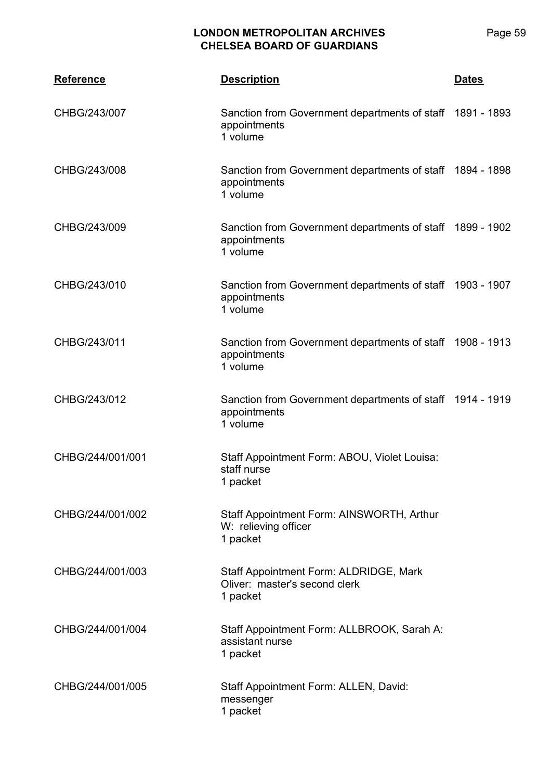| <b>Reference</b> | <b>Description</b>                                                                    | <b>Dates</b> |
|------------------|---------------------------------------------------------------------------------------|--------------|
| CHBG/243/007     | Sanction from Government departments of staff 1891 - 1893<br>appointments<br>1 volume |              |
| CHBG/243/008     | Sanction from Government departments of staff 1894 - 1898<br>appointments<br>1 volume |              |
| CHBG/243/009     | Sanction from Government departments of staff 1899 - 1902<br>appointments<br>1 volume |              |
| CHBG/243/010     | Sanction from Government departments of staff 1903 - 1907<br>appointments<br>1 volume |              |
| CHBG/243/011     | Sanction from Government departments of staff 1908 - 1913<br>appointments<br>1 volume |              |
| CHBG/243/012     | Sanction from Government departments of staff 1914 - 1919<br>appointments<br>1 volume |              |
| CHBG/244/001/001 | Staff Appointment Form: ABOU, Violet Louisa:<br>staff nurse<br>1 packet               |              |
| CHBG/244/001/002 | Staff Appointment Form: AINSWORTH, Arthur<br>W: relieving officer<br>1 packet         |              |
| CHBG/244/001/003 | Staff Appointment Form: ALDRIDGE, Mark<br>Oliver: master's second clerk<br>1 packet   |              |
| CHBG/244/001/004 | Staff Appointment Form: ALLBROOK, Sarah A:<br>assistant nurse<br>1 packet             |              |
| CHBG/244/001/005 | Staff Appointment Form: ALLEN, David:<br>messenger<br>1 packet                        |              |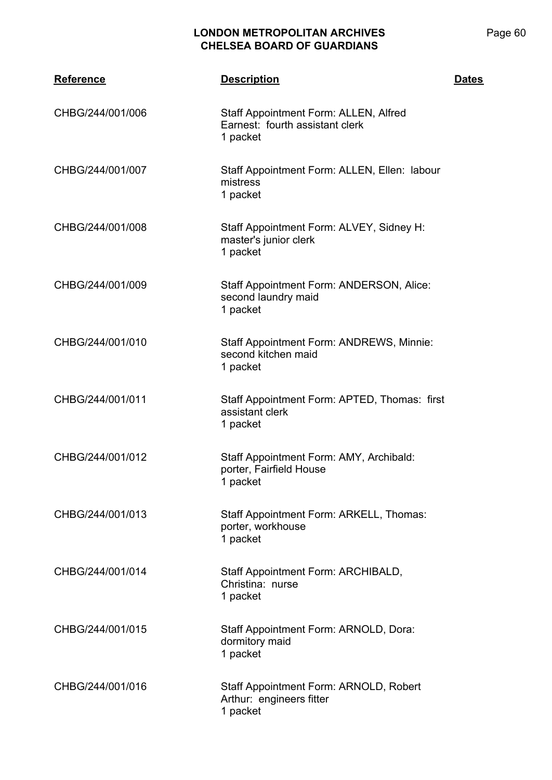| <b>Reference</b> | <b>Description</b>                                                                   | <b>Dates</b> |
|------------------|--------------------------------------------------------------------------------------|--------------|
| CHBG/244/001/006 | Staff Appointment Form: ALLEN, Alfred<br>Earnest: fourth assistant clerk<br>1 packet |              |
| CHBG/244/001/007 | Staff Appointment Form: ALLEN, Ellen: labour<br>mistress<br>1 packet                 |              |
| CHBG/244/001/008 | Staff Appointment Form: ALVEY, Sidney H:<br>master's junior clerk<br>1 packet        |              |
| CHBG/244/001/009 | Staff Appointment Form: ANDERSON, Alice:<br>second laundry maid<br>1 packet          |              |
| CHBG/244/001/010 | Staff Appointment Form: ANDREWS, Minnie:<br>second kitchen maid<br>1 packet          |              |
| CHBG/244/001/011 | Staff Appointment Form: APTED, Thomas: first<br>assistant clerk<br>1 packet          |              |
| CHBG/244/001/012 | Staff Appointment Form: AMY, Archibald:<br>porter, Fairfield House<br>1 packet       |              |
| CHBG/244/001/013 | Staff Appointment Form: ARKELL, Thomas:<br>porter, workhouse<br>1 packet             |              |
| CHBG/244/001/014 | Staff Appointment Form: ARCHIBALD,<br>Christina: nurse<br>1 packet                   |              |
| CHBG/244/001/015 | Staff Appointment Form: ARNOLD, Dora:<br>dormitory maid<br>1 packet                  |              |
| CHBG/244/001/016 | Staff Appointment Form: ARNOLD, Robert<br>Arthur: engineers fitter<br>1 packet       |              |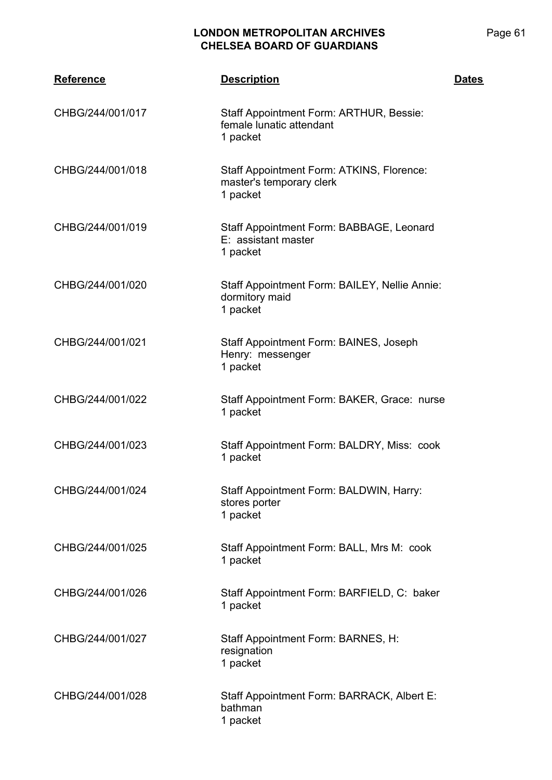| <b>Reference</b> | <b>Description</b>                                                                | <b>Dates</b> |
|------------------|-----------------------------------------------------------------------------------|--------------|
| CHBG/244/001/017 | Staff Appointment Form: ARTHUR, Bessie:<br>female lunatic attendant<br>1 packet   |              |
| CHBG/244/001/018 | Staff Appointment Form: ATKINS, Florence:<br>master's temporary clerk<br>1 packet |              |
| CHBG/244/001/019 | Staff Appointment Form: BABBAGE, Leonard<br>E: assistant master<br>1 packet       |              |
| CHBG/244/001/020 | Staff Appointment Form: BAILEY, Nellie Annie:<br>dormitory maid<br>1 packet       |              |
| CHBG/244/001/021 | Staff Appointment Form: BAINES, Joseph<br>Henry: messenger<br>1 packet            |              |
| CHBG/244/001/022 | Staff Appointment Form: BAKER, Grace: nurse<br>1 packet                           |              |
| CHBG/244/001/023 | Staff Appointment Form: BALDRY, Miss: cook<br>1 packet                            |              |
| CHBG/244/001/024 | Staff Appointment Form: BALDWIN, Harry:<br>stores porter<br>1 packet              |              |
| CHBG/244/001/025 | Staff Appointment Form: BALL, Mrs M: cook<br>1 packet                             |              |
| CHBG/244/001/026 | Staff Appointment Form: BARFIELD, C: baker<br>1 packet                            |              |
| CHBG/244/001/027 | Staff Appointment Form: BARNES, H:<br>resignation<br>1 packet                     |              |
| CHBG/244/001/028 | Staff Appointment Form: BARRACK, Albert E:<br>bathman<br>1 packet                 |              |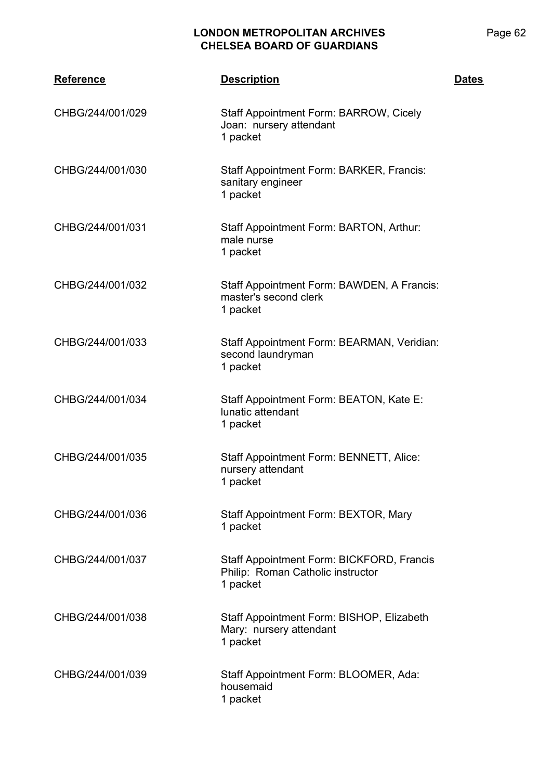| <b>Reference</b> | <b>Description</b>                                                                         | <b>Dates</b> |
|------------------|--------------------------------------------------------------------------------------------|--------------|
| CHBG/244/001/029 | Staff Appointment Form: BARROW, Cicely<br>Joan: nursery attendant<br>1 packet              |              |
| CHBG/244/001/030 | Staff Appointment Form: BARKER, Francis:<br>sanitary engineer<br>1 packet                  |              |
| CHBG/244/001/031 | Staff Appointment Form: BARTON, Arthur:<br>male nurse<br>1 packet                          |              |
| CHBG/244/001/032 | Staff Appointment Form: BAWDEN, A Francis:<br>master's second clerk<br>1 packet            |              |
| CHBG/244/001/033 | Staff Appointment Form: BEARMAN, Veridian:<br>second laundryman<br>1 packet                |              |
| CHBG/244/001/034 | Staff Appointment Form: BEATON, Kate E:<br>lunatic attendant<br>1 packet                   |              |
| CHBG/244/001/035 | Staff Appointment Form: BENNETT, Alice:<br>nursery attendant<br>1 packet                   |              |
| CHBG/244/001/036 | Staff Appointment Form: BEXTOR, Mary<br>1 packet                                           |              |
| CHBG/244/001/037 | Staff Appointment Form: BICKFORD, Francis<br>Philip: Roman Catholic instructor<br>1 packet |              |
| CHBG/244/001/038 | Staff Appointment Form: BISHOP, Elizabeth<br>Mary: nursery attendant<br>1 packet           |              |
| CHBG/244/001/039 | Staff Appointment Form: BLOOMER, Ada:<br>housemaid<br>1 packet                             |              |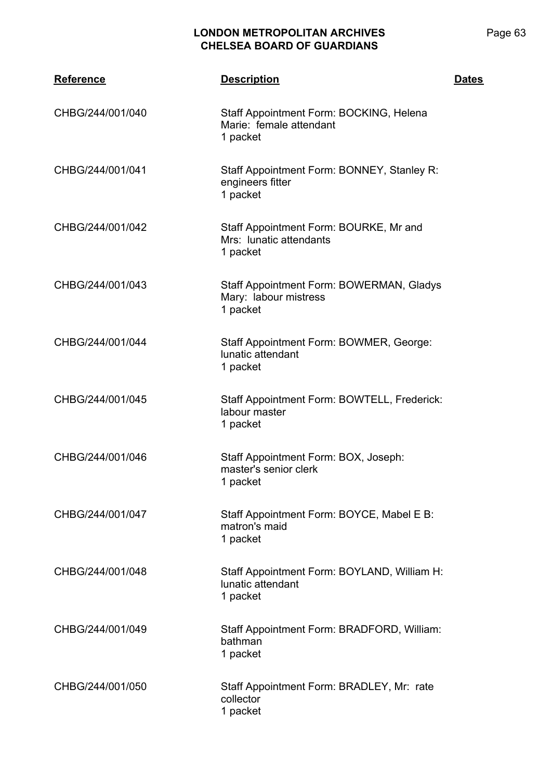| <b>Reference</b> | <b>Description</b>                                                             | <b>Dates</b> |
|------------------|--------------------------------------------------------------------------------|--------------|
| CHBG/244/001/040 | Staff Appointment Form: BOCKING, Helena<br>Marie: female attendant<br>1 packet |              |
| CHBG/244/001/041 | Staff Appointment Form: BONNEY, Stanley R:<br>engineers fitter<br>1 packet     |              |
| CHBG/244/001/042 | Staff Appointment Form: BOURKE, Mr and<br>Mrs: lunatic attendants<br>1 packet  |              |
| CHBG/244/001/043 | Staff Appointment Form: BOWERMAN, Gladys<br>Mary: labour mistress<br>1 packet  |              |
| CHBG/244/001/044 | Staff Appointment Form: BOWMER, George:<br>lunatic attendant<br>1 packet       |              |
| CHBG/244/001/045 | Staff Appointment Form: BOWTELL, Frederick:<br>labour master<br>1 packet       |              |
| CHBG/244/001/046 | Staff Appointment Form: BOX, Joseph:<br>master's senior clerk<br>1 packet      |              |
| CHBG/244/001/047 | Staff Appointment Form: BOYCE, Mabel E B:<br>matron's maid<br>1 packet         |              |
| CHBG/244/001/048 | Staff Appointment Form: BOYLAND, William H:<br>lunatic attendant<br>1 packet   |              |
| CHBG/244/001/049 | Staff Appointment Form: BRADFORD, William:<br>bathman<br>1 packet              |              |
| CHBG/244/001/050 | Staff Appointment Form: BRADLEY, Mr: rate<br>collector<br>1 packet             |              |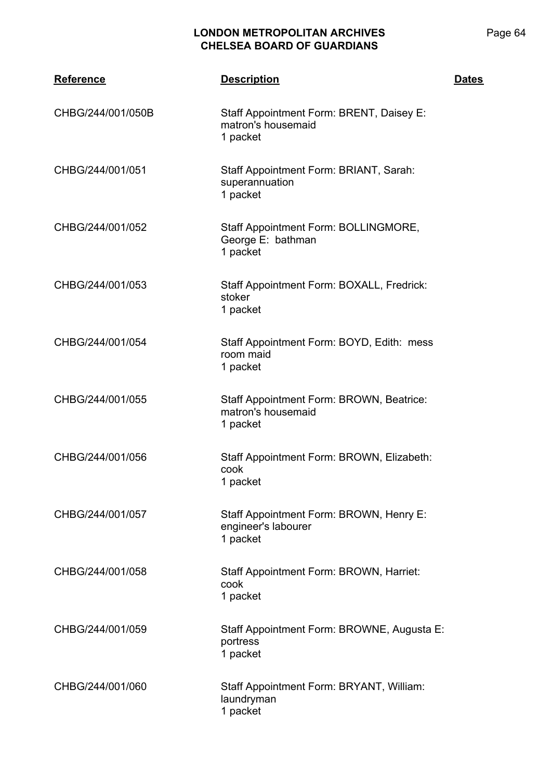| <b>Reference</b>  | <b>Description</b>                                                         | <b>Dates</b> |
|-------------------|----------------------------------------------------------------------------|--------------|
| CHBG/244/001/050B | Staff Appointment Form: BRENT, Daisey E:<br>matron's housemaid<br>1 packet |              |
| CHBG/244/001/051  | Staff Appointment Form: BRIANT, Sarah:<br>superannuation<br>1 packet       |              |
| CHBG/244/001/052  | Staff Appointment Form: BOLLINGMORE,<br>George E: bathman<br>1 packet      |              |
| CHBG/244/001/053  | Staff Appointment Form: BOXALL, Fredrick:<br>stoker<br>1 packet            |              |
| CHBG/244/001/054  | Staff Appointment Form: BOYD, Edith: mess<br>room maid<br>1 packet         |              |
| CHBG/244/001/055  | Staff Appointment Form: BROWN, Beatrice:<br>matron's housemaid<br>1 packet |              |
| CHBG/244/001/056  | Staff Appointment Form: BROWN, Elizabeth:<br>cook<br>1 packet              |              |
| CHBG/244/001/057  | Staff Appointment Form: BROWN, Henry E:<br>engineer's labourer<br>1 packet |              |
| CHBG/244/001/058  | Staff Appointment Form: BROWN, Harriet:<br>cook<br>1 packet                |              |
| CHBG/244/001/059  | Staff Appointment Form: BROWNE, Augusta E:<br>portress<br>1 packet         |              |
| CHBG/244/001/060  | Staff Appointment Form: BRYANT, William:<br>laundryman<br>1 packet         |              |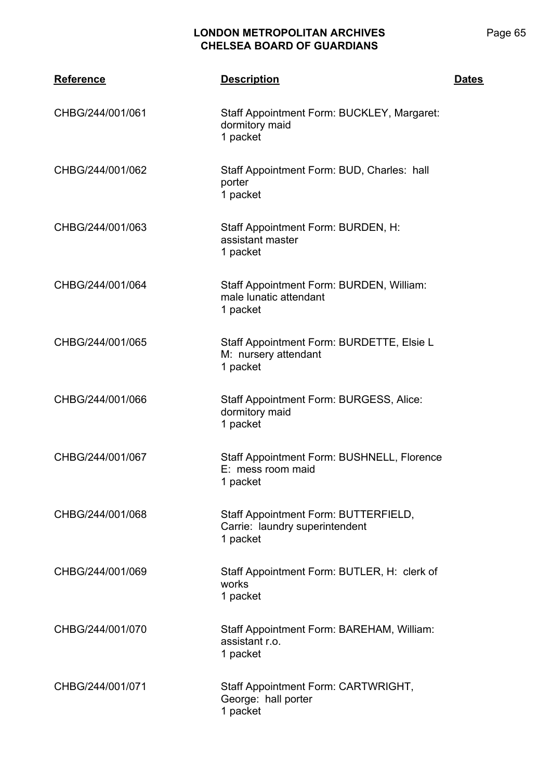| <b>Reference</b> | <b>Description</b>                                                                 | <b>Dates</b> |
|------------------|------------------------------------------------------------------------------------|--------------|
| CHBG/244/001/061 | Staff Appointment Form: BUCKLEY, Margaret:<br>dormitory maid<br>1 packet           |              |
| CHBG/244/001/062 | Staff Appointment Form: BUD, Charles: hall<br>porter<br>1 packet                   |              |
| CHBG/244/001/063 | Staff Appointment Form: BURDEN, H:<br>assistant master<br>1 packet                 |              |
| CHBG/244/001/064 | Staff Appointment Form: BURDEN, William:<br>male lunatic attendant<br>1 packet     |              |
| CHBG/244/001/065 | Staff Appointment Form: BURDETTE, Elsie L<br>M: nursery attendant<br>1 packet      |              |
| CHBG/244/001/066 | Staff Appointment Form: BURGESS, Alice:<br>dormitory maid<br>1 packet              |              |
| CHBG/244/001/067 | Staff Appointment Form: BUSHNELL, Florence<br>E: mess room maid<br>1 packet        |              |
| CHBG/244/001/068 | Staff Appointment Form: BUTTERFIELD,<br>Carrie: laundry superintendent<br>1 packet |              |
| CHBG/244/001/069 | Staff Appointment Form: BUTLER, H: clerk of<br>works<br>1 packet                   |              |
| CHBG/244/001/070 | Staff Appointment Form: BAREHAM, William:<br>assistant r.o.<br>1 packet            |              |
| CHBG/244/001/071 | Staff Appointment Form: CARTWRIGHT,<br>George: hall porter<br>1 packet             |              |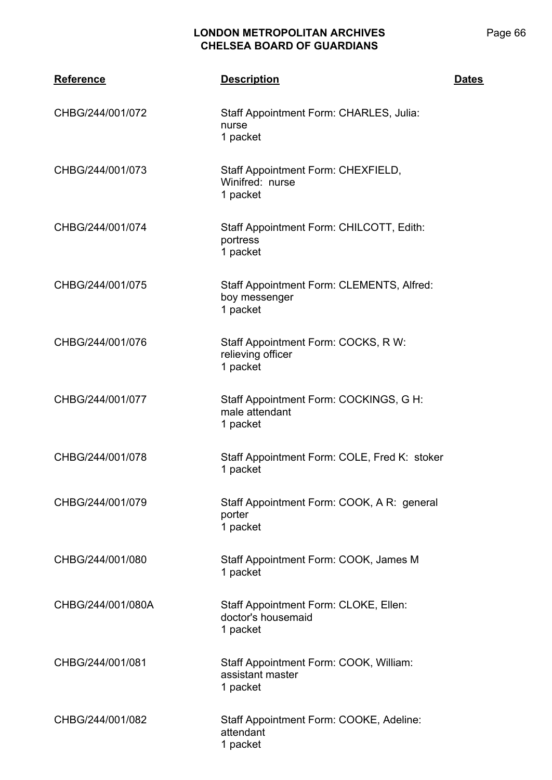| <b>Reference</b>  | <b>Description</b>                                                      | <b>Dates</b> |
|-------------------|-------------------------------------------------------------------------|--------------|
| CHBG/244/001/072  | Staff Appointment Form: CHARLES, Julia:<br>nurse<br>1 packet            |              |
| CHBG/244/001/073  | Staff Appointment Form: CHEXFIELD,<br>Winifred: nurse<br>1 packet       |              |
| CHBG/244/001/074  | Staff Appointment Form: CHILCOTT, Edith:<br>portress<br>1 packet        |              |
| CHBG/244/001/075  | Staff Appointment Form: CLEMENTS, Alfred:<br>boy messenger<br>1 packet  |              |
| CHBG/244/001/076  | Staff Appointment Form: COCKS, R W:<br>relieving officer<br>1 packet    |              |
| CHBG/244/001/077  | Staff Appointment Form: COCKINGS, G H:<br>male attendant<br>1 packet    |              |
| CHBG/244/001/078  | Staff Appointment Form: COLE, Fred K: stoker<br>1 packet                |              |
| CHBG/244/001/079  | Staff Appointment Form: COOK, A R: general<br>porter<br>1 packet        |              |
| CHBG/244/001/080  | Staff Appointment Form: COOK, James M<br>1 packet                       |              |
| CHBG/244/001/080A | Staff Appointment Form: CLOKE, Ellen:<br>doctor's housemaid<br>1 packet |              |
| CHBG/244/001/081  | Staff Appointment Form: COOK, William:<br>assistant master<br>1 packet  |              |
| CHBG/244/001/082  | Staff Appointment Form: COOKE, Adeline:<br>attendant<br>1 packet        |              |

Page 66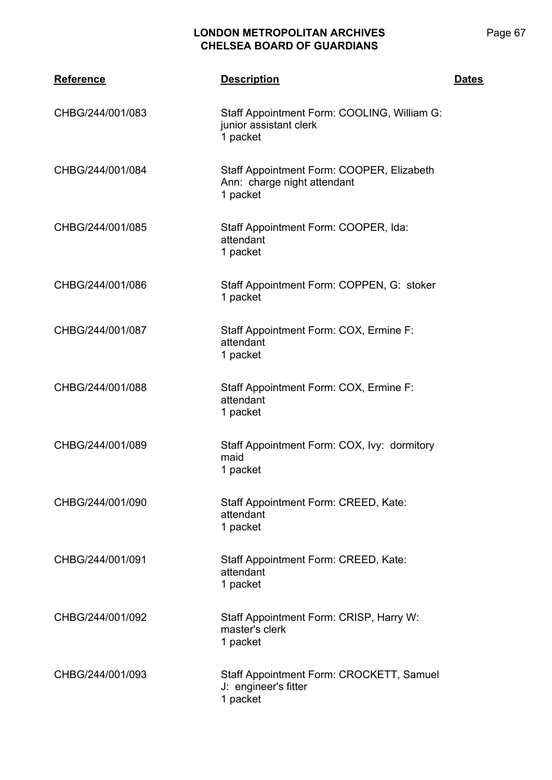| <b>Reference</b> | <b>Description</b>                                                                   | <b>Dates</b> |
|------------------|--------------------------------------------------------------------------------------|--------------|
| CHBG/244/001/083 | Staff Appointment Form: COOLING, William G:<br>junior assistant clerk<br>1 packet    |              |
| CHBG/244/001/084 | Staff Appointment Form: COOPER, Elizabeth<br>Ann: charge night attendant<br>1 packet |              |
| CHBG/244/001/085 | Staff Appointment Form: COOPER, Ida:<br>attendant<br>1 packet                        |              |
| CHBG/244/001/086 | Staff Appointment Form: COPPEN, G: stoker<br>1 packet                                |              |
| CHBG/244/001/087 | Staff Appointment Form: COX, Ermine F:<br>attendant<br>1 packet                      |              |
| CHBG/244/001/088 | Staff Appointment Form: COX, Ermine F:<br>attendant<br>1 packet                      |              |
| CHBG/244/001/089 | Staff Appointment Form: COX, Ivy: dormitory<br>maid<br>1 packet                      |              |
| CHBG/244/001/090 | Staff Appointment Form: CREED, Kate:<br>attendant<br>1 packet                        |              |
| CHBG/244/001/091 | Staff Appointment Form: CREED, Kate:<br>attendant<br>1 packet                        |              |
| CHBG/244/001/092 | Staff Appointment Form: CRISP, Harry W:<br>master's clerk<br>1 packet                |              |
| CHBG/244/001/093 | Staff Appointment Form: CROCKETT, Samuel<br>J: engineer's fitter<br>1 packet         |              |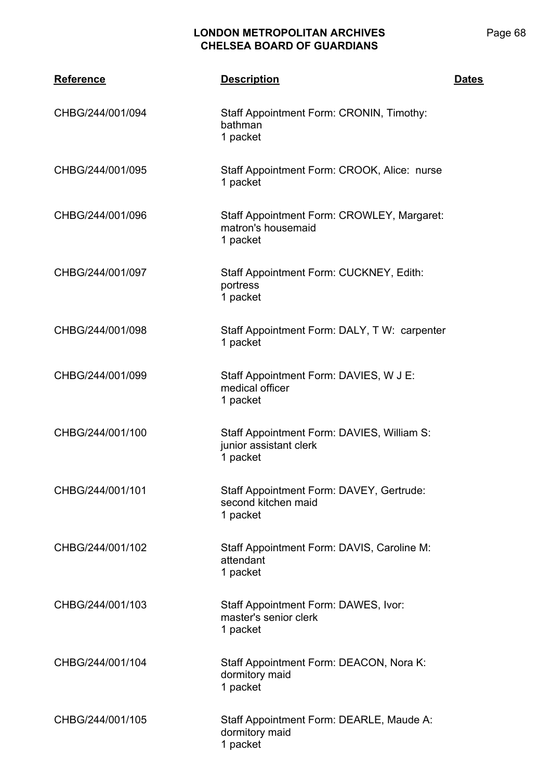| <b>Reference</b> | <b>Description</b>                                                               | <b>Dates</b> |
|------------------|----------------------------------------------------------------------------------|--------------|
| CHBG/244/001/094 | Staff Appointment Form: CRONIN, Timothy:<br>bathman<br>1 packet                  |              |
| CHBG/244/001/095 | Staff Appointment Form: CROOK, Alice: nurse<br>1 packet                          |              |
| CHBG/244/001/096 | Staff Appointment Form: CROWLEY, Margaret:<br>matron's housemaid<br>1 packet     |              |
| CHBG/244/001/097 | Staff Appointment Form: CUCKNEY, Edith:<br>portress<br>1 packet                  |              |
| CHBG/244/001/098 | Staff Appointment Form: DALY, TW: carpenter<br>1 packet                          |              |
| CHBG/244/001/099 | Staff Appointment Form: DAVIES, W J E:<br>medical officer<br>1 packet            |              |
| CHBG/244/001/100 | Staff Appointment Form: DAVIES, William S:<br>junior assistant clerk<br>1 packet |              |
| CHBG/244/001/101 | Staff Appointment Form: DAVEY, Gertrude:<br>second kitchen maid<br>1 packet      |              |
| CHBG/244/001/102 | Staff Appointment Form: DAVIS, Caroline M:<br>attendant<br>1 packet              |              |
| CHBG/244/001/103 | Staff Appointment Form: DAWES, Ivor:<br>master's senior clerk<br>1 packet        |              |
| CHBG/244/001/104 | Staff Appointment Form: DEACON, Nora K:<br>dormitory maid<br>1 packet            |              |
| CHBG/244/001/105 | Staff Appointment Form: DEARLE, Maude A:<br>dormitory maid<br>1 packet           |              |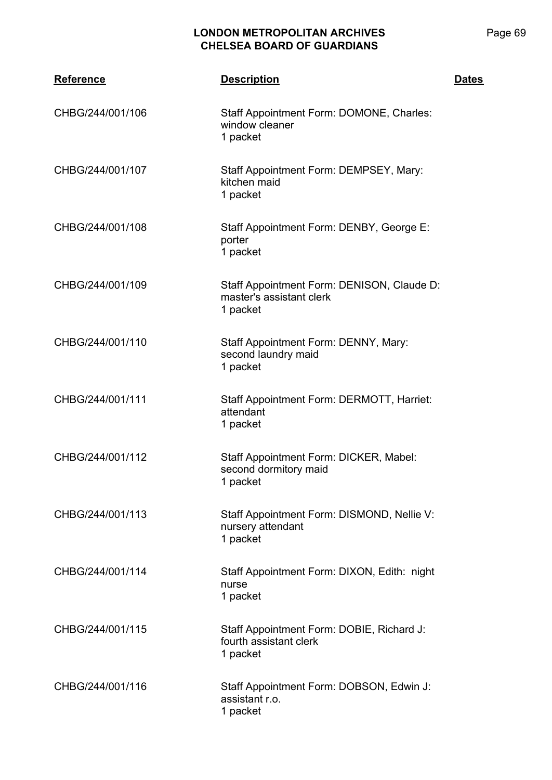| <b>Reference</b> | <b>Description</b>                                                                 | <b>Dates</b> |
|------------------|------------------------------------------------------------------------------------|--------------|
| CHBG/244/001/106 | Staff Appointment Form: DOMONE, Charles:<br>window cleaner<br>1 packet             |              |
| CHBG/244/001/107 | Staff Appointment Form: DEMPSEY, Mary:<br>kitchen maid<br>1 packet                 |              |
| CHBG/244/001/108 | Staff Appointment Form: DENBY, George E:<br>porter<br>1 packet                     |              |
| CHBG/244/001/109 | Staff Appointment Form: DENISON, Claude D:<br>master's assistant clerk<br>1 packet |              |
| CHBG/244/001/110 | Staff Appointment Form: DENNY, Mary:<br>second laundry maid<br>1 packet            |              |
| CHBG/244/001/111 | Staff Appointment Form: DERMOTT, Harriet:<br>attendant<br>1 packet                 |              |
| CHBG/244/001/112 | Staff Appointment Form: DICKER, Mabel:<br>second dormitory maid<br>1 packet        |              |
| CHBG/244/001/113 | Staff Appointment Form: DISMOND, Nellie V:<br>nursery attendant<br>1 packet        |              |
| CHBG/244/001/114 | Staff Appointment Form: DIXON, Edith: night<br>nurse<br>1 packet                   |              |
| CHBG/244/001/115 | Staff Appointment Form: DOBIE, Richard J:<br>fourth assistant clerk<br>1 packet    |              |
| CHBG/244/001/116 | Staff Appointment Form: DOBSON, Edwin J:<br>assistant r.o.<br>1 packet             |              |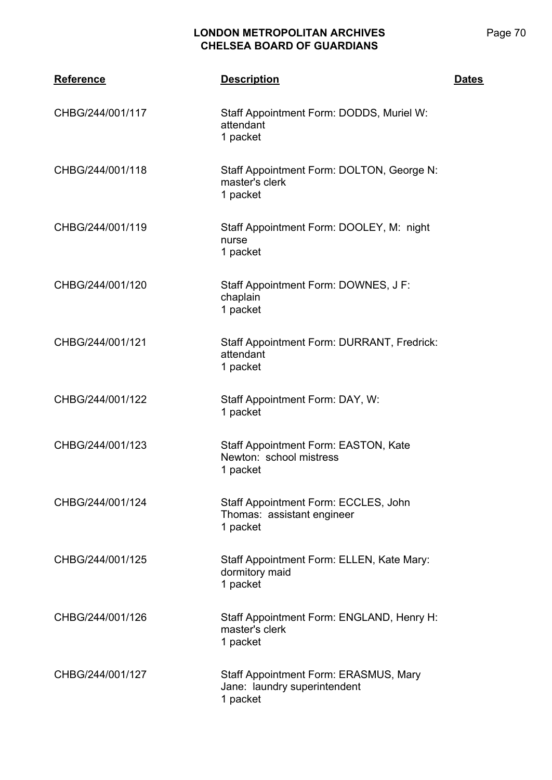| <b>Reference</b> | <b>Description</b>                                                                | <b>Dates</b> |
|------------------|-----------------------------------------------------------------------------------|--------------|
| CHBG/244/001/117 | Staff Appointment Form: DODDS, Muriel W:<br>attendant<br>1 packet                 |              |
| CHBG/244/001/118 | Staff Appointment Form: DOLTON, George N:<br>master's clerk<br>1 packet           |              |
| CHBG/244/001/119 | Staff Appointment Form: DOOLEY, M: night<br>nurse<br>1 packet                     |              |
| CHBG/244/001/120 | Staff Appointment Form: DOWNES, J F:<br>chaplain<br>1 packet                      |              |
| CHBG/244/001/121 | Staff Appointment Form: DURRANT, Fredrick:<br>attendant<br>1 packet               |              |
| CHBG/244/001/122 | Staff Appointment Form: DAY, W:<br>1 packet                                       |              |
| CHBG/244/001/123 | Staff Appointment Form: EASTON, Kate<br>Newton: school mistress<br>1 packet       |              |
| CHBG/244/001/124 | Staff Appointment Form: ECCLES, John<br>Thomas: assistant engineer<br>1 packet    |              |
| CHBG/244/001/125 | Staff Appointment Form: ELLEN, Kate Mary:<br>dormitory maid<br>1 packet           |              |
| CHBG/244/001/126 | Staff Appointment Form: ENGLAND, Henry H:<br>master's clerk<br>1 packet           |              |
| CHBG/244/001/127 | Staff Appointment Form: ERASMUS, Mary<br>Jane: laundry superintendent<br>1 packet |              |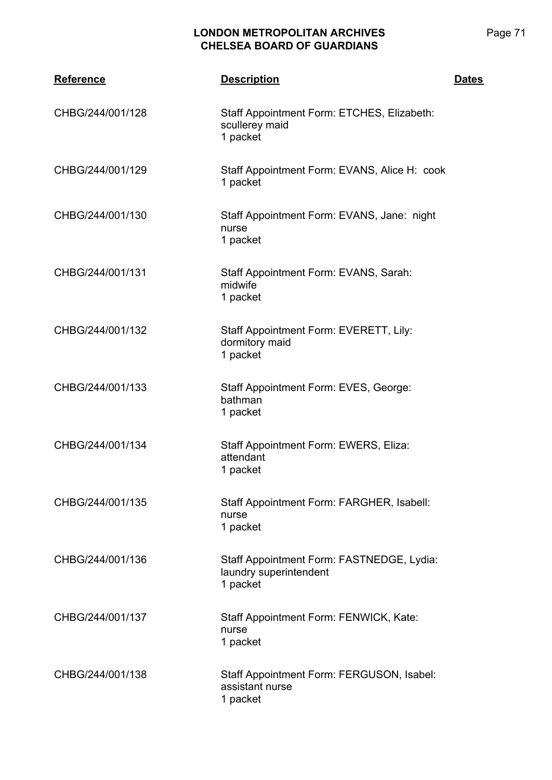| <b>Reference</b> | <b>Description</b>                                                              | <b>Dates</b> |
|------------------|---------------------------------------------------------------------------------|--------------|
| CHBG/244/001/128 | Staff Appointment Form: ETCHES, Elizabeth:<br>scullerey maid<br>1 packet        |              |
| CHBG/244/001/129 | Staff Appointment Form: EVANS, Alice H: cook<br>1 packet                        |              |
| CHBG/244/001/130 | Staff Appointment Form: EVANS, Jane: night<br>nurse<br>1 packet                 |              |
| CHBG/244/001/131 | Staff Appointment Form: EVANS, Sarah:<br>midwife<br>1 packet                    |              |
| CHBG/244/001/132 | Staff Appointment Form: EVERETT, Lily:<br>dormitory maid<br>1 packet            |              |
| CHBG/244/001/133 | Staff Appointment Form: EVES, George:<br>bathman<br>1 packet                    |              |
| CHBG/244/001/134 | Staff Appointment Form: EWERS, Eliza:<br>attendant<br>1 packet                  |              |
| CHBG/244/001/135 | Staff Appointment Form: FARGHER, Isabell:<br>nurse<br>1 packet                  |              |
| CHBG/244/001/136 | Staff Appointment Form: FASTNEDGE, Lydia:<br>laundry superintendent<br>1 packet |              |
| CHBG/244/001/137 | Staff Appointment Form: FENWICK, Kate:<br>nurse<br>1 packet                     |              |
| CHBG/244/001/138 | Staff Appointment Form: FERGUSON, Isabel:<br>assistant nurse<br>1 packet        |              |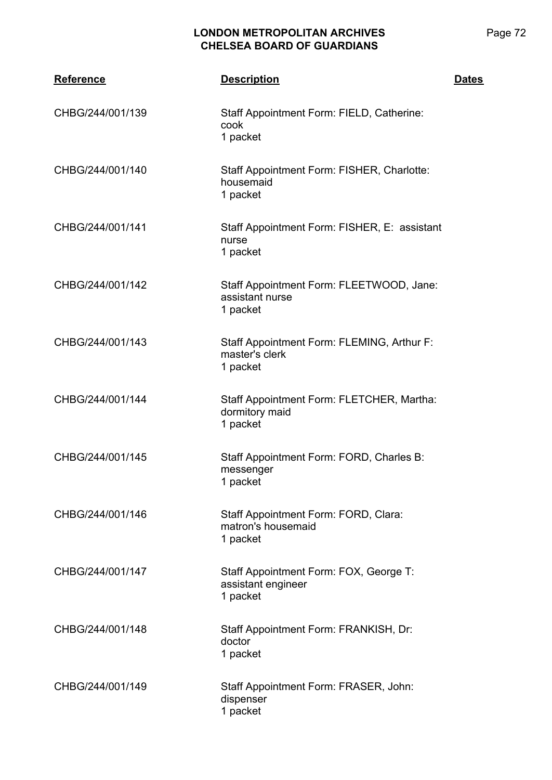| Reference        | <b>Description</b>                                                       | <b>Dates</b> |
|------------------|--------------------------------------------------------------------------|--------------|
| CHBG/244/001/139 | Staff Appointment Form: FIELD, Catherine:<br>cook<br>1 packet            |              |
| CHBG/244/001/140 | Staff Appointment Form: FISHER, Charlotte:<br>housemaid<br>1 packet      |              |
| CHBG/244/001/141 | Staff Appointment Form: FISHER, E: assistant<br>nurse<br>1 packet        |              |
| CHBG/244/001/142 | Staff Appointment Form: FLEETWOOD, Jane:<br>assistant nurse<br>1 packet  |              |
| CHBG/244/001/143 | Staff Appointment Form: FLEMING, Arthur F:<br>master's clerk<br>1 packet |              |
| CHBG/244/001/144 | Staff Appointment Form: FLETCHER, Martha:<br>dormitory maid<br>1 packet  |              |
| CHBG/244/001/145 | Staff Appointment Form: FORD, Charles B:<br>messenger<br>1 packet        |              |
| CHBG/244/001/146 | Staff Appointment Form: FORD, Clara:<br>matron's housemaid<br>1 packet   |              |
| CHBG/244/001/147 | Staff Appointment Form: FOX, George T:<br>assistant engineer<br>1 packet |              |
| CHBG/244/001/148 | Staff Appointment Form: FRANKISH, Dr:<br>doctor<br>1 packet              |              |
| CHBG/244/001/149 | Staff Appointment Form: FRASER, John:<br>dispenser<br>1 packet           |              |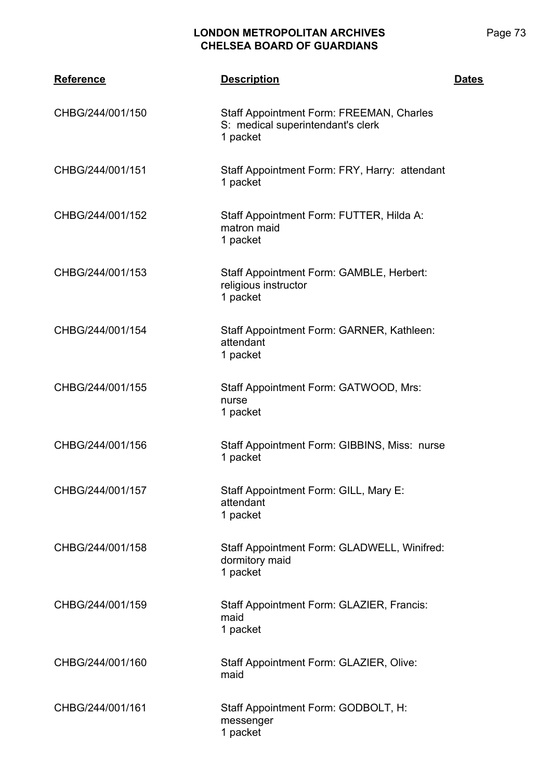| <b>Reference</b> | <b>Description</b>                                                                        | <b>Dates</b> |
|------------------|-------------------------------------------------------------------------------------------|--------------|
| CHBG/244/001/150 | Staff Appointment Form: FREEMAN, Charles<br>S: medical superintendant's clerk<br>1 packet |              |
| CHBG/244/001/151 | Staff Appointment Form: FRY, Harry: attendant<br>1 packet                                 |              |
| CHBG/244/001/152 | Staff Appointment Form: FUTTER, Hilda A:<br>matron maid<br>1 packet                       |              |
| CHBG/244/001/153 | Staff Appointment Form: GAMBLE, Herbert:<br>religious instructor<br>1 packet              |              |
| CHBG/244/001/154 | Staff Appointment Form: GARNER, Kathleen:<br>attendant<br>1 packet                        |              |
| CHBG/244/001/155 | Staff Appointment Form: GATWOOD, Mrs:<br>nurse<br>1 packet                                |              |
| CHBG/244/001/156 | Staff Appointment Form: GIBBINS, Miss: nurse<br>1 packet                                  |              |
| CHBG/244/001/157 | Staff Appointment Form: GILL, Mary E:<br>attendant<br>1 packet                            |              |
| CHBG/244/001/158 | Staff Appointment Form: GLADWELL, Winifred:<br>dormitory maid<br>1 packet                 |              |
| CHBG/244/001/159 | Staff Appointment Form: GLAZIER, Francis:<br>maid<br>1 packet                             |              |
| CHBG/244/001/160 | Staff Appointment Form: GLAZIER, Olive:<br>maid                                           |              |
| CHBG/244/001/161 | Staff Appointment Form: GODBOLT, H:<br>messenger<br>1 packet                              |              |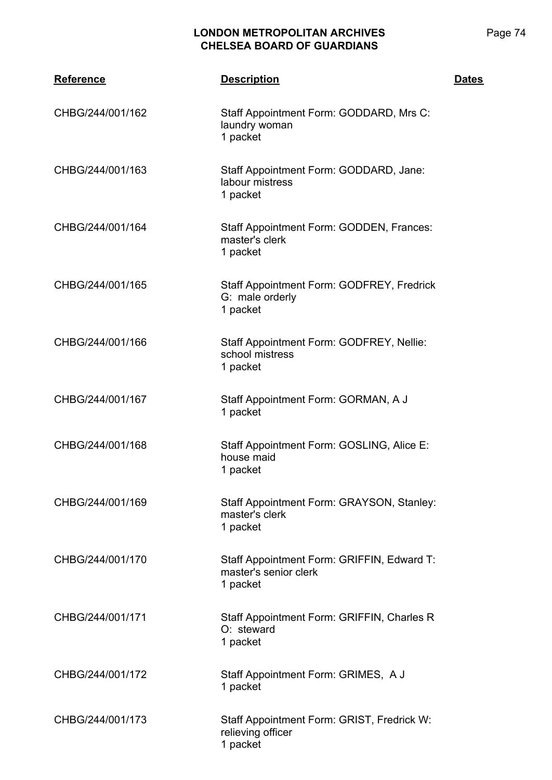| <b>Reference</b> | <b>Description</b>                                                              | <b>Dates</b> |
|------------------|---------------------------------------------------------------------------------|--------------|
| CHBG/244/001/162 | Staff Appointment Form: GODDARD, Mrs C:<br>laundry woman<br>1 packet            |              |
| CHBG/244/001/163 | Staff Appointment Form: GODDARD, Jane:<br>labour mistress<br>1 packet           |              |
| CHBG/244/001/164 | Staff Appointment Form: GODDEN, Frances:<br>master's clerk<br>1 packet          |              |
| CHBG/244/001/165 | Staff Appointment Form: GODFREY, Fredrick<br>G: male orderly<br>1 packet        |              |
| CHBG/244/001/166 | Staff Appointment Form: GODFREY, Nellie:<br>school mistress<br>1 packet         |              |
| CHBG/244/001/167 | Staff Appointment Form: GORMAN, A J<br>1 packet                                 |              |
| CHBG/244/001/168 | Staff Appointment Form: GOSLING, Alice E:<br>house maid<br>1 packet             |              |
| CHBG/244/001/169 | Staff Appointment Form: GRAYSON, Stanley:<br>master's clerk<br>1 packet         |              |
| CHBG/244/001/170 | Staff Appointment Form: GRIFFIN, Edward T:<br>master's senior clerk<br>1 packet |              |
| CHBG/244/001/171 | Staff Appointment Form: GRIFFIN, Charles R<br>O: steward<br>1 packet            |              |
| CHBG/244/001/172 | Staff Appointment Form: GRIMES, A J<br>1 packet                                 |              |
| CHBG/244/001/173 | Staff Appointment Form: GRIST, Fredrick W:<br>relieving officer<br>1 packet     |              |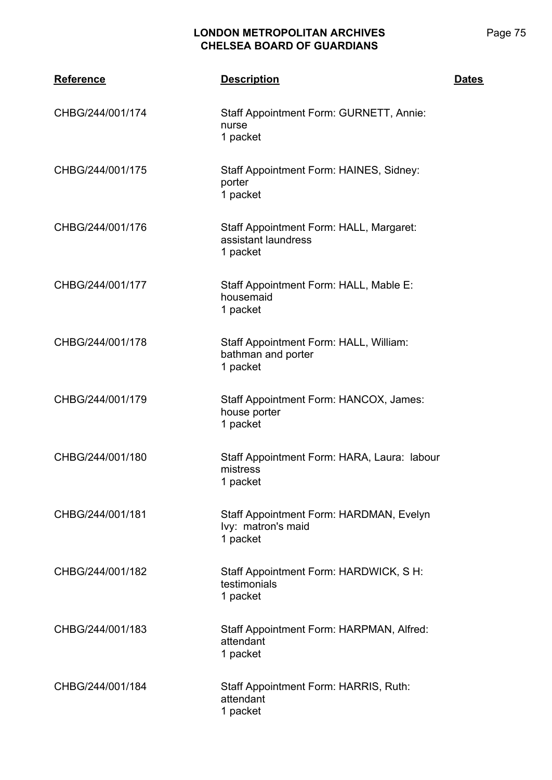| <b>Reference</b> | <b>Description</b>                                                         | <b>Dates</b> |
|------------------|----------------------------------------------------------------------------|--------------|
| CHBG/244/001/174 | Staff Appointment Form: GURNETT, Annie:<br>nurse<br>1 packet               |              |
| CHBG/244/001/175 | Staff Appointment Form: HAINES, Sidney:<br>porter<br>1 packet              |              |
| CHBG/244/001/176 | Staff Appointment Form: HALL, Margaret:<br>assistant laundress<br>1 packet |              |
| CHBG/244/001/177 | Staff Appointment Form: HALL, Mable E:<br>housemaid<br>1 packet            |              |
| CHBG/244/001/178 | Staff Appointment Form: HALL, William:<br>bathman and porter<br>1 packet   |              |
| CHBG/244/001/179 | Staff Appointment Form: HANCOX, James:<br>house porter<br>1 packet         |              |
| CHBG/244/001/180 | Staff Appointment Form: HARA, Laura: labour<br>mistress<br>1 packet        |              |
| CHBG/244/001/181 | Staff Appointment Form: HARDMAN, Evelyn<br>Ivy: matron's maid<br>1 packet  |              |
| CHBG/244/001/182 | Staff Appointment Form: HARDWICK, S H:<br>testimonials<br>1 packet         |              |
| CHBG/244/001/183 | Staff Appointment Form: HARPMAN, Alfred:<br>attendant<br>1 packet          |              |
| CHBG/244/001/184 | Staff Appointment Form: HARRIS, Ruth:<br>attendant<br>1 packet             |              |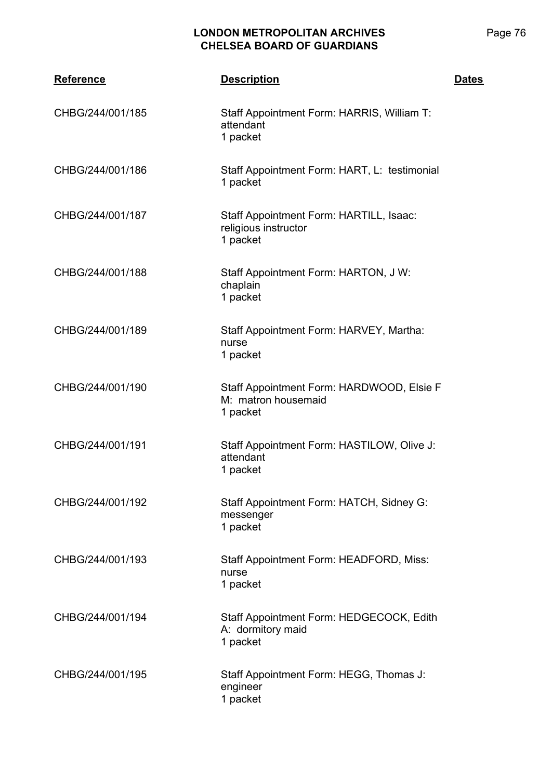| <b>Reference</b> | <b>Description</b>                                                           | <b>Dates</b> |
|------------------|------------------------------------------------------------------------------|--------------|
| CHBG/244/001/185 | Staff Appointment Form: HARRIS, William T:<br>attendant<br>1 packet          |              |
| CHBG/244/001/186 | Staff Appointment Form: HART, L: testimonial<br>1 packet                     |              |
| CHBG/244/001/187 | Staff Appointment Form: HARTILL, Isaac:<br>religious instructor<br>1 packet  |              |
| CHBG/244/001/188 | Staff Appointment Form: HARTON, J W:<br>chaplain<br>1 packet                 |              |
| CHBG/244/001/189 | Staff Appointment Form: HARVEY, Martha:<br>nurse<br>1 packet                 |              |
| CHBG/244/001/190 | Staff Appointment Form: HARDWOOD, Elsie F<br>M: matron housemaid<br>1 packet |              |
| CHBG/244/001/191 | Staff Appointment Form: HASTILOW, Olive J:<br>attendant<br>1 packet          |              |
| CHBG/244/001/192 | Staff Appointment Form: HATCH, Sidney G:<br>messenger<br>1 packet            |              |
| CHBG/244/001/193 | Staff Appointment Form: HEADFORD, Miss:<br>nurse<br>1 packet                 |              |
| CHBG/244/001/194 | Staff Appointment Form: HEDGECOCK, Edith<br>A: dormitory maid<br>1 packet    |              |
| CHBG/244/001/195 | Staff Appointment Form: HEGG, Thomas J:<br>engineer<br>1 packet              |              |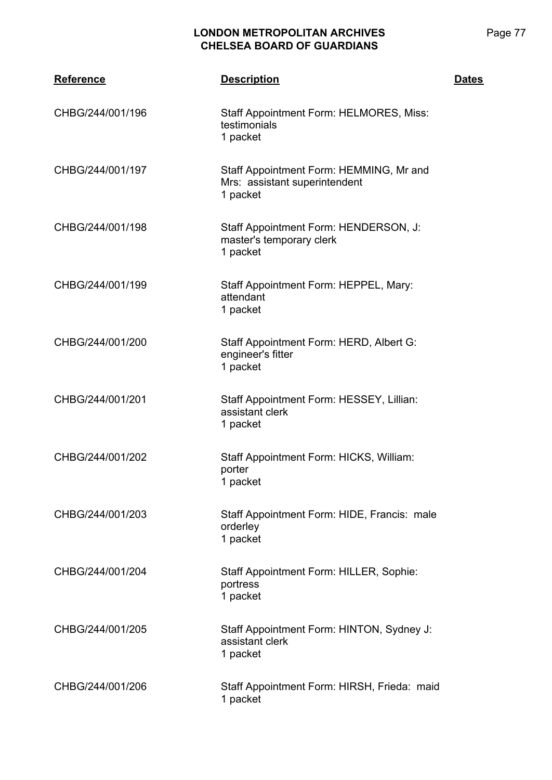| <b>Reference</b> | <b>Description</b>                                                                   | <b>Dates</b> |
|------------------|--------------------------------------------------------------------------------------|--------------|
| CHBG/244/001/196 | Staff Appointment Form: HELMORES, Miss:<br>testimonials<br>1 packet                  |              |
| CHBG/244/001/197 | Staff Appointment Form: HEMMING, Mr and<br>Mrs: assistant superintendent<br>1 packet |              |
| CHBG/244/001/198 | Staff Appointment Form: HENDERSON, J:<br>master's temporary clerk<br>1 packet        |              |
| CHBG/244/001/199 | Staff Appointment Form: HEPPEL, Mary:<br>attendant<br>1 packet                       |              |
| CHBG/244/001/200 | Staff Appointment Form: HERD, Albert G:<br>engineer's fitter<br>1 packet             |              |
| CHBG/244/001/201 | Staff Appointment Form: HESSEY, Lillian:<br>assistant clerk<br>1 packet              |              |
| CHBG/244/001/202 | Staff Appointment Form: HICKS, William:<br>porter<br>1 packet                        |              |
| CHBG/244/001/203 | Staff Appointment Form: HIDE, Francis: male<br>orderley<br>1 packet                  |              |
| CHBG/244/001/204 | Staff Appointment Form: HILLER, Sophie:<br>portress<br>1 packet                      |              |
| CHBG/244/001/205 | Staff Appointment Form: HINTON, Sydney J:<br>assistant clerk<br>1 packet             |              |
| CHBG/244/001/206 | Staff Appointment Form: HIRSH, Frieda: maid<br>1 packet                              |              |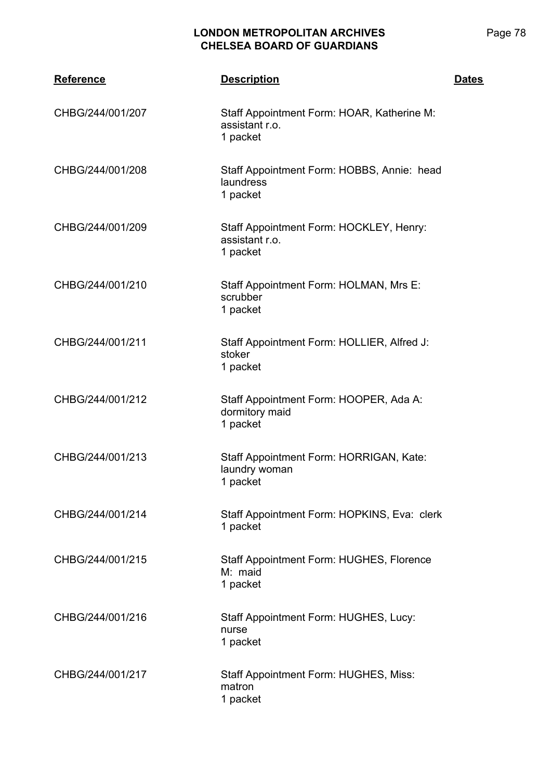| <b>Reference</b> | <b>Description</b>                                                       | <b>Dates</b> |
|------------------|--------------------------------------------------------------------------|--------------|
| CHBG/244/001/207 | Staff Appointment Form: HOAR, Katherine M:<br>assistant r.o.<br>1 packet |              |
| CHBG/244/001/208 | Staff Appointment Form: HOBBS, Annie: head<br>laundress<br>1 packet      |              |
| CHBG/244/001/209 | Staff Appointment Form: HOCKLEY, Henry:<br>assistant r.o.<br>1 packet    |              |
| CHBG/244/001/210 | Staff Appointment Form: HOLMAN, Mrs E:<br>scrubber<br>1 packet           |              |
| CHBG/244/001/211 | Staff Appointment Form: HOLLIER, Alfred J:<br>stoker<br>1 packet         |              |
| CHBG/244/001/212 | Staff Appointment Form: HOOPER, Ada A:<br>dormitory maid<br>1 packet     |              |
| CHBG/244/001/213 | Staff Appointment Form: HORRIGAN, Kate:<br>laundry woman<br>1 packet     |              |
| CHBG/244/001/214 | Staff Appointment Form: HOPKINS, Eva: clerk<br>1 packet                  |              |
| CHBG/244/001/215 | Staff Appointment Form: HUGHES, Florence<br>M: maid<br>1 packet          |              |
| CHBG/244/001/216 | Staff Appointment Form: HUGHES, Lucy:<br>nurse<br>1 packet               |              |
| CHBG/244/001/217 | Staff Appointment Form: HUGHES, Miss:<br>matron<br>1 packet              |              |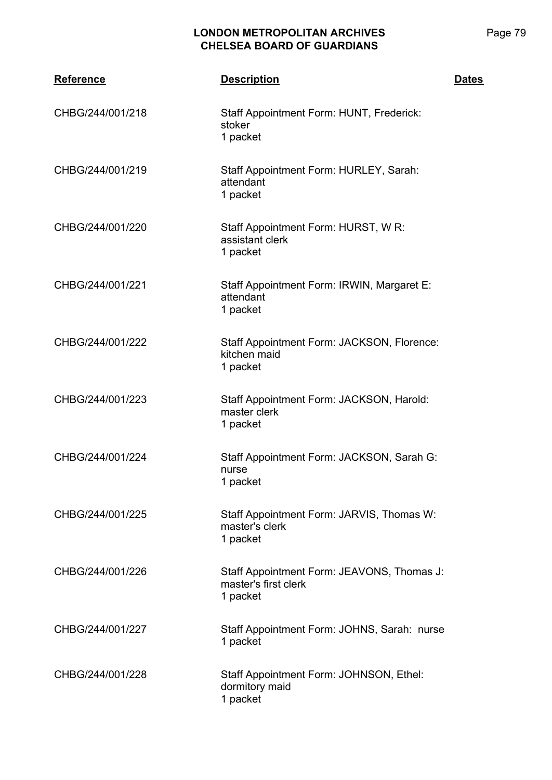| <b>Reference</b> | <b>Description</b>                                                             | <b>Dates</b> |
|------------------|--------------------------------------------------------------------------------|--------------|
| CHBG/244/001/218 | Staff Appointment Form: HUNT, Frederick:<br>stoker<br>1 packet                 |              |
| CHBG/244/001/219 | Staff Appointment Form: HURLEY, Sarah:<br>attendant<br>1 packet                |              |
| CHBG/244/001/220 | Staff Appointment Form: HURST, W R:<br>assistant clerk<br>1 packet             |              |
| CHBG/244/001/221 | Staff Appointment Form: IRWIN, Margaret E:<br>attendant<br>1 packet            |              |
| CHBG/244/001/222 | Staff Appointment Form: JACKSON, Florence:<br>kitchen maid<br>1 packet         |              |
| CHBG/244/001/223 | Staff Appointment Form: JACKSON, Harold:<br>master clerk<br>1 packet           |              |
| CHBG/244/001/224 | Staff Appointment Form: JACKSON, Sarah G:<br>nurse<br>1 packet                 |              |
| CHBG/244/001/225 | Staff Appointment Form: JARVIS, Thomas W:<br>master's clerk<br>1 packet        |              |
| CHBG/244/001/226 | Staff Appointment Form: JEAVONS, Thomas J:<br>master's first clerk<br>1 packet |              |
| CHBG/244/001/227 | Staff Appointment Form: JOHNS, Sarah: nurse<br>1 packet                        |              |
| CHBG/244/001/228 | Staff Appointment Form: JOHNSON, Ethel:<br>dormitory maid<br>1 packet          |              |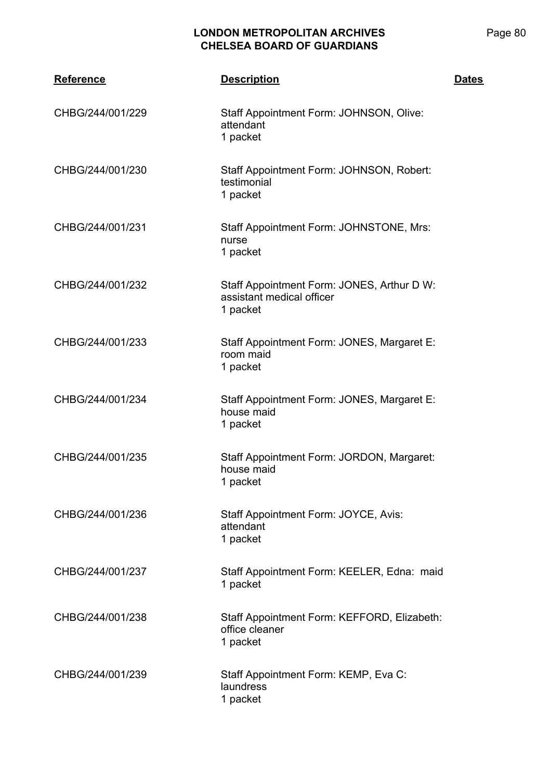| <b>Reference</b> | <b>Description</b>                                                                  | <b>Dates</b> |
|------------------|-------------------------------------------------------------------------------------|--------------|
| CHBG/244/001/229 | Staff Appointment Form: JOHNSON, Olive:<br>attendant<br>1 packet                    |              |
| CHBG/244/001/230 | Staff Appointment Form: JOHNSON, Robert:<br>testimonial<br>1 packet                 |              |
| CHBG/244/001/231 | Staff Appointment Form: JOHNSTONE, Mrs:<br>nurse<br>1 packet                        |              |
| CHBG/244/001/232 | Staff Appointment Form: JONES, Arthur D W:<br>assistant medical officer<br>1 packet |              |
| CHBG/244/001/233 | Staff Appointment Form: JONES, Margaret E:<br>room maid<br>1 packet                 |              |
| CHBG/244/001/234 | Staff Appointment Form: JONES, Margaret E:<br>house maid<br>1 packet                |              |
| CHBG/244/001/235 | Staff Appointment Form: JORDON, Margaret:<br>house maid<br>1 packet                 |              |
| CHBG/244/001/236 | Staff Appointment Form: JOYCE, Avis:<br>attendant<br>1 packet                       |              |
| CHBG/244/001/237 | Staff Appointment Form: KEELER, Edna: maid<br>1 packet                              |              |
| CHBG/244/001/238 | Staff Appointment Form: KEFFORD, Elizabeth:<br>office cleaner<br>1 packet           |              |
| CHBG/244/001/239 | Staff Appointment Form: KEMP, Eva C:<br>laundress<br>1 packet                       |              |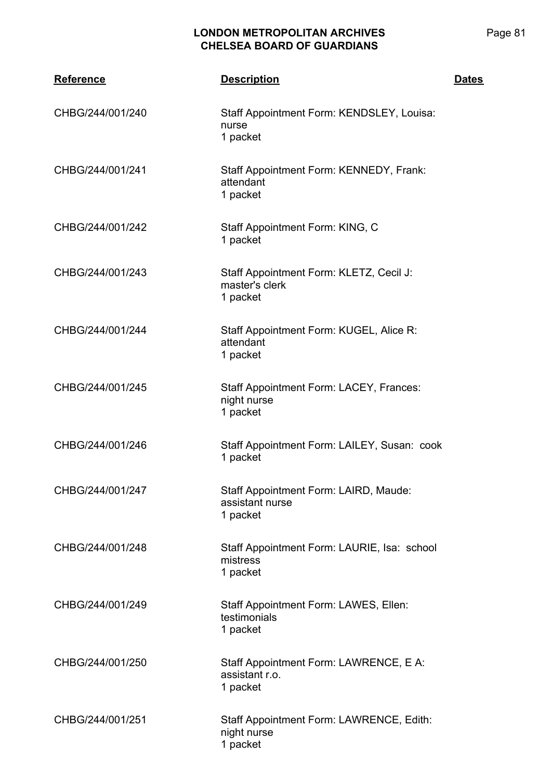| <b>Reference</b> | <b>Description</b>                                                    | <b>Dates</b> |
|------------------|-----------------------------------------------------------------------|--------------|
| CHBG/244/001/240 | Staff Appointment Form: KENDSLEY, Louisa:<br>nurse<br>1 packet        |              |
| CHBG/244/001/241 | Staff Appointment Form: KENNEDY, Frank:<br>attendant<br>1 packet      |              |
| CHBG/244/001/242 | Staff Appointment Form: KING, C<br>1 packet                           |              |
| CHBG/244/001/243 | Staff Appointment Form: KLETZ, Cecil J:<br>master's clerk<br>1 packet |              |
| CHBG/244/001/244 | Staff Appointment Form: KUGEL, Alice R:<br>attendant<br>1 packet      |              |
| CHBG/244/001/245 | Staff Appointment Form: LACEY, Frances:<br>night nurse<br>1 packet    |              |
| CHBG/244/001/246 | Staff Appointment Form: LAILEY, Susan: cook<br>1 packet               |              |
| CHBG/244/001/247 | Staff Appointment Form: LAIRD, Maude:<br>assistant nurse<br>1 packet  |              |
| CHBG/244/001/248 | Staff Appointment Form: LAURIE, Isa: school<br>mistress<br>1 packet   |              |
| CHBG/244/001/249 | Staff Appointment Form: LAWES, Ellen:<br>testimonials<br>1 packet     |              |
| CHBG/244/001/250 | Staff Appointment Form: LAWRENCE, E A:<br>assistant r.o.<br>1 packet  |              |
| CHBG/244/001/251 | Staff Appointment Form: LAWRENCE, Edith:<br>night nurse<br>1 packet   |              |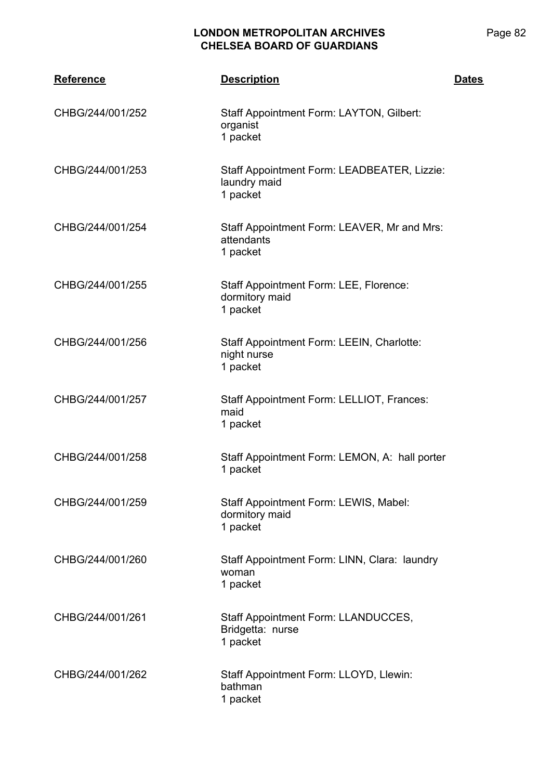| <b>Reference</b> | <b>Description</b>                                                      | <b>Dates</b> |
|------------------|-------------------------------------------------------------------------|--------------|
| CHBG/244/001/252 | Staff Appointment Form: LAYTON, Gilbert:<br>organist<br>1 packet        |              |
| CHBG/244/001/253 | Staff Appointment Form: LEADBEATER, Lizzie:<br>laundry maid<br>1 packet |              |
| CHBG/244/001/254 | Staff Appointment Form: LEAVER, Mr and Mrs:<br>attendants<br>1 packet   |              |
| CHBG/244/001/255 | Staff Appointment Form: LEE, Florence:<br>dormitory maid<br>1 packet    |              |
| CHBG/244/001/256 | Staff Appointment Form: LEEIN, Charlotte:<br>night nurse<br>1 packet    |              |
| CHBG/244/001/257 | Staff Appointment Form: LELLIOT, Frances:<br>maid<br>1 packet           |              |
| CHBG/244/001/258 | Staff Appointment Form: LEMON, A: hall porter<br>1 packet               |              |
| CHBG/244/001/259 | Staff Appointment Form: LEWIS, Mabel:<br>dormitory maid<br>1 packet     |              |
| CHBG/244/001/260 | Staff Appointment Form: LINN, Clara: laundry<br>woman<br>1 packet       |              |
| CHBG/244/001/261 | Staff Appointment Form: LLANDUCCES,<br>Bridgetta: nurse<br>1 packet     |              |
| CHBG/244/001/262 | Staff Appointment Form: LLOYD, Llewin:<br>bathman<br>1 packet           |              |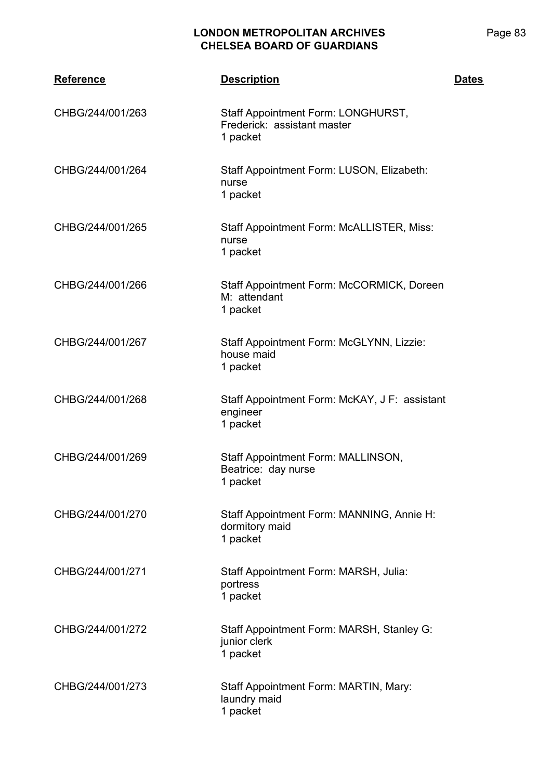| Reference        | <b>Description</b>                                                            | <b>Dates</b> |
|------------------|-------------------------------------------------------------------------------|--------------|
| CHBG/244/001/263 | Staff Appointment Form: LONGHURST,<br>Frederick: assistant master<br>1 packet |              |
| CHBG/244/001/264 | Staff Appointment Form: LUSON, Elizabeth:<br>nurse<br>1 packet                |              |
| CHBG/244/001/265 | Staff Appointment Form: McALLISTER, Miss:<br>nurse<br>1 packet                |              |
| CHBG/244/001/266 | Staff Appointment Form: McCORMICK, Doreen<br>M: attendant<br>1 packet         |              |
| CHBG/244/001/267 | Staff Appointment Form: McGLYNN, Lizzie:<br>house maid<br>1 packet            |              |
| CHBG/244/001/268 | Staff Appointment Form: McKAY, J F: assistant<br>engineer<br>1 packet         |              |
| CHBG/244/001/269 | Staff Appointment Form: MALLINSON,<br>Beatrice: day nurse<br>1 packet         |              |
| CHBG/244/001/270 | Staff Appointment Form: MANNING, Annie H:<br>dormitory maid<br>1 packet       |              |
| CHBG/244/001/271 | Staff Appointment Form: MARSH, Julia:<br>portress<br>1 packet                 |              |
| CHBG/244/001/272 | Staff Appointment Form: MARSH, Stanley G:<br>junior clerk<br>1 packet         |              |
| CHBG/244/001/273 | Staff Appointment Form: MARTIN, Mary:<br>laundry maid<br>1 packet             |              |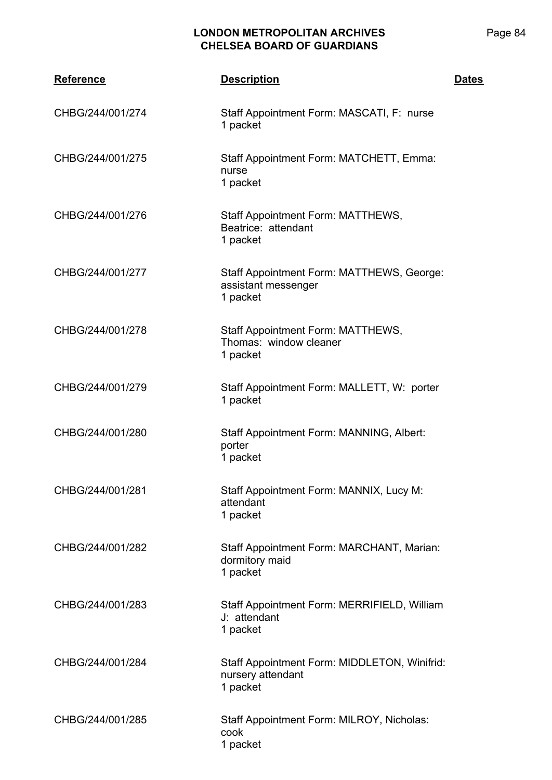| <b>Reference</b> | <b>Description</b>                                                            | <b>Dates</b> |
|------------------|-------------------------------------------------------------------------------|--------------|
| CHBG/244/001/274 | Staff Appointment Form: MASCATI, F: nurse<br>1 packet                         |              |
| CHBG/244/001/275 | Staff Appointment Form: MATCHETT, Emma:<br>nurse<br>1 packet                  |              |
| CHBG/244/001/276 | Staff Appointment Form: MATTHEWS,<br>Beatrice: attendant<br>1 packet          |              |
| CHBG/244/001/277 | Staff Appointment Form: MATTHEWS, George:<br>assistant messenger<br>1 packet  |              |
| CHBG/244/001/278 | Staff Appointment Form: MATTHEWS,<br>Thomas: window cleaner<br>1 packet       |              |
| CHBG/244/001/279 | Staff Appointment Form: MALLETT, W: porter<br>1 packet                        |              |
| CHBG/244/001/280 | Staff Appointment Form: MANNING, Albert:<br>porter<br>1 packet                |              |
| CHBG/244/001/281 | Staff Appointment Form: MANNIX, Lucy M:<br>attendant<br>1 packet              |              |
| CHBG/244/001/282 | Staff Appointment Form: MARCHANT, Marian:<br>dormitory maid<br>1 packet       |              |
| CHBG/244/001/283 | Staff Appointment Form: MERRIFIELD, William<br>J: attendant<br>1 packet       |              |
| CHBG/244/001/284 | Staff Appointment Form: MIDDLETON, Winifrid:<br>nursery attendant<br>1 packet |              |
| CHBG/244/001/285 | Staff Appointment Form: MILROY, Nicholas:<br>cook<br>1 packet                 |              |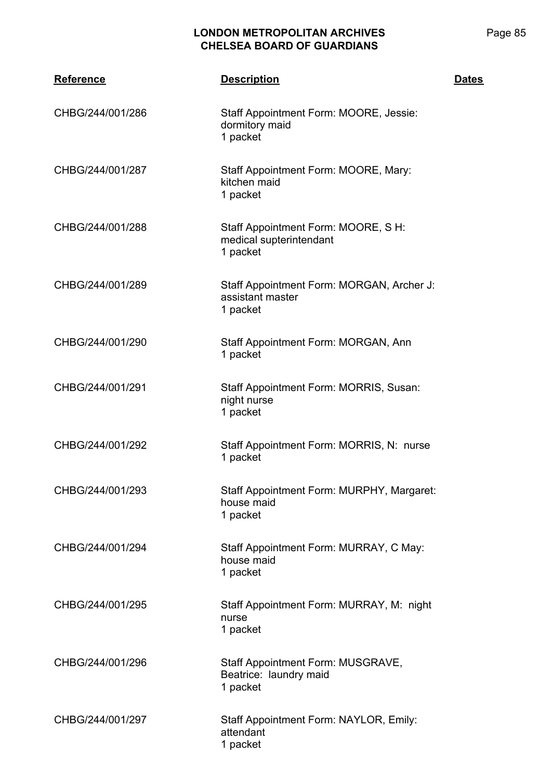| <b>Reference</b> | <b>Description</b>                                                         | <b>Dates</b> |
|------------------|----------------------------------------------------------------------------|--------------|
| CHBG/244/001/286 | Staff Appointment Form: MOORE, Jessie:<br>dormitory maid<br>1 packet       |              |
| CHBG/244/001/287 | Staff Appointment Form: MOORE, Mary:<br>kitchen maid<br>1 packet           |              |
| CHBG/244/001/288 | Staff Appointment Form: MOORE, S H:<br>medical supterintendant<br>1 packet |              |
| CHBG/244/001/289 | Staff Appointment Form: MORGAN, Archer J:<br>assistant master<br>1 packet  |              |
| CHBG/244/001/290 | Staff Appointment Form: MORGAN, Ann<br>1 packet                            |              |
| CHBG/244/001/291 | Staff Appointment Form: MORRIS, Susan:<br>night nurse<br>1 packet          |              |
| CHBG/244/001/292 | Staff Appointment Form: MORRIS, N: nurse<br>1 packet                       |              |
| CHBG/244/001/293 | Staff Appointment Form: MURPHY, Margaret:<br>house maid<br>1 packet        |              |
| CHBG/244/001/294 | Staff Appointment Form: MURRAY, C May:<br>house maid<br>1 packet           |              |
| CHBG/244/001/295 | Staff Appointment Form: MURRAY, M: night<br>nurse<br>1 packet              |              |
| CHBG/244/001/296 | Staff Appointment Form: MUSGRAVE,<br>Beatrice: laundry maid<br>1 packet    |              |
| CHBG/244/001/297 | Staff Appointment Form: NAYLOR, Emily:<br>attendant<br>1 packet            |              |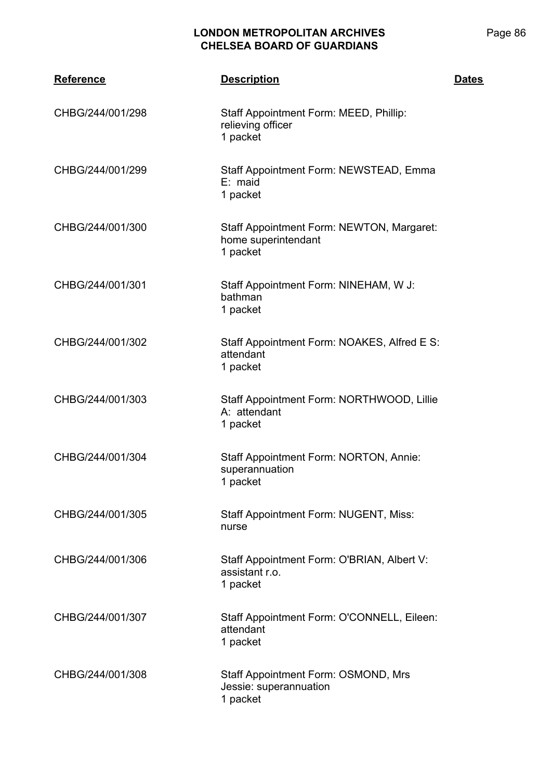| <b>Reference</b> | <b>Description</b>                                                           | <b>Dates</b> |
|------------------|------------------------------------------------------------------------------|--------------|
| CHBG/244/001/298 | Staff Appointment Form: MEED, Phillip:<br>relieving officer<br>1 packet      |              |
| CHBG/244/001/299 | Staff Appointment Form: NEWSTEAD, Emma<br>$E:$ maid<br>1 packet              |              |
| CHBG/244/001/300 | Staff Appointment Form: NEWTON, Margaret:<br>home superintendant<br>1 packet |              |
| CHBG/244/001/301 | Staff Appointment Form: NINEHAM, W J:<br>bathman<br>1 packet                 |              |
| CHBG/244/001/302 | Staff Appointment Form: NOAKES, Alfred E S:<br>attendant<br>1 packet         |              |
| CHBG/244/001/303 | Staff Appointment Form: NORTHWOOD, Lillie<br>A: attendant<br>1 packet        |              |
| CHBG/244/001/304 | Staff Appointment Form: NORTON, Annie:<br>superannuation<br>1 packet         |              |
| CHBG/244/001/305 | <b>Staff Appointment Form: NUGENT, Miss:</b><br>nurse                        |              |
| CHBG/244/001/306 | Staff Appointment Form: O'BRIAN, Albert V:<br>assistant r.o.<br>1 packet     |              |
| CHBG/244/001/307 | Staff Appointment Form: O'CONNELL, Eileen:<br>attendant<br>1 packet          |              |
| CHBG/244/001/308 | Staff Appointment Form: OSMOND, Mrs<br>Jessie: superannuation<br>1 packet    |              |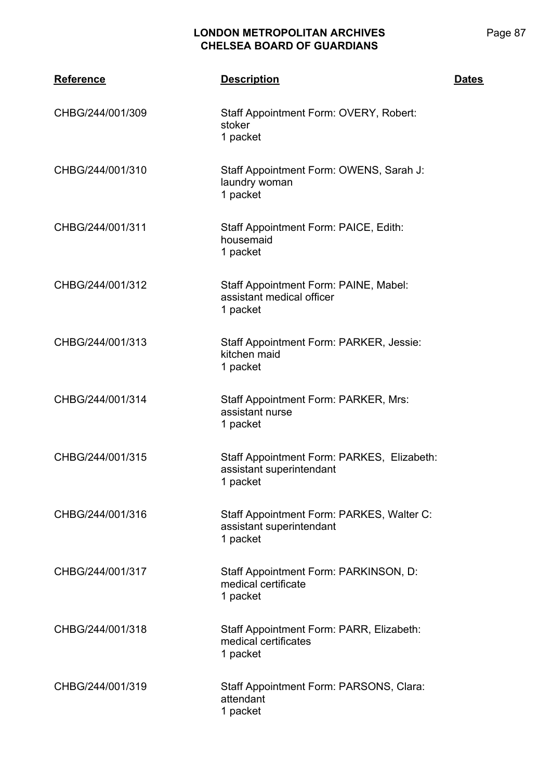| Reference        | <b>Description</b>                                                                 | <b>Dates</b> |
|------------------|------------------------------------------------------------------------------------|--------------|
| CHBG/244/001/309 | Staff Appointment Form: OVERY, Robert:<br>stoker<br>1 packet                       |              |
| CHBG/244/001/310 | Staff Appointment Form: OWENS, Sarah J:<br>laundry woman<br>1 packet               |              |
| CHBG/244/001/311 | Staff Appointment Form: PAICE, Edith:<br>housemaid<br>1 packet                     |              |
| CHBG/244/001/312 | Staff Appointment Form: PAINE, Mabel:<br>assistant medical officer<br>1 packet     |              |
| CHBG/244/001/313 | Staff Appointment Form: PARKER, Jessie:<br>kitchen maid<br>1 packet                |              |
| CHBG/244/001/314 | Staff Appointment Form: PARKER, Mrs:<br>assistant nurse<br>1 packet                |              |
| CHBG/244/001/315 | Staff Appointment Form: PARKES, Elizabeth:<br>assistant superintendant<br>1 packet |              |
| CHBG/244/001/316 | Staff Appointment Form: PARKES, Walter C:<br>assistant superintendant<br>1 packet  |              |
| CHBG/244/001/317 | Staff Appointment Form: PARKINSON, D:<br>medical certificate<br>1 packet           |              |
| CHBG/244/001/318 | Staff Appointment Form: PARR, Elizabeth:<br>medical certificates<br>1 packet       |              |
| CHBG/244/001/319 | Staff Appointment Form: PARSONS, Clara:<br>attendant<br>1 packet                   |              |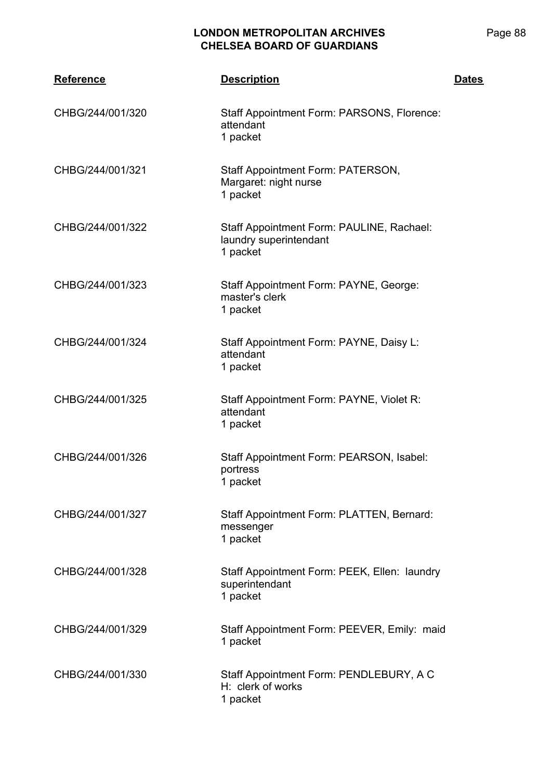| <b>Reference</b> | <b>Description</b>                                                              | <b>Dates</b> |
|------------------|---------------------------------------------------------------------------------|--------------|
| CHBG/244/001/320 | Staff Appointment Form: PARSONS, Florence:<br>attendant<br>1 packet             |              |
| CHBG/244/001/321 | Staff Appointment Form: PATERSON,<br>Margaret: night nurse<br>1 packet          |              |
| CHBG/244/001/322 | Staff Appointment Form: PAULINE, Rachael:<br>laundry superintendant<br>1 packet |              |
| CHBG/244/001/323 | Staff Appointment Form: PAYNE, George:<br>master's clerk<br>1 packet            |              |
| CHBG/244/001/324 | Staff Appointment Form: PAYNE, Daisy L:<br>attendant<br>1 packet                |              |
| CHBG/244/001/325 | Staff Appointment Form: PAYNE, Violet R:<br>attendant<br>1 packet               |              |
| CHBG/244/001/326 | Staff Appointment Form: PEARSON, Isabel:<br>portress<br>1 packet                |              |
| CHBG/244/001/327 | Staff Appointment Form: PLATTEN, Bernard:<br>messenger<br>1 packet              |              |
| CHBG/244/001/328 | Staff Appointment Form: PEEK, Ellen: laundry<br>superintendant<br>1 packet      |              |
| CHBG/244/001/329 | Staff Appointment Form: PEEVER, Emily: maid<br>1 packet                         |              |
| CHBG/244/001/330 | Staff Appointment Form: PENDLEBURY, A C<br>H: clerk of works<br>1 packet        |              |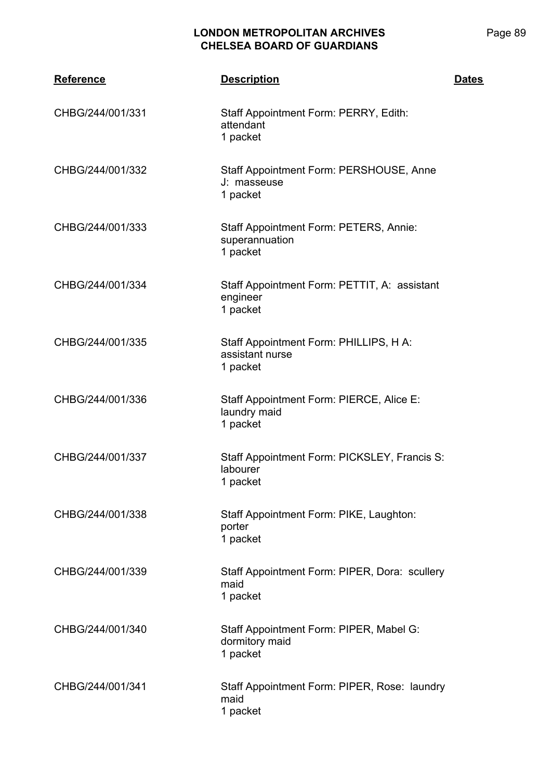| <b>Reference</b> | <b>Description</b>                                                    | <b>Dates</b> |
|------------------|-----------------------------------------------------------------------|--------------|
| CHBG/244/001/331 | Staff Appointment Form: PERRY, Edith:<br>attendant<br>1 packet        |              |
| CHBG/244/001/332 | Staff Appointment Form: PERSHOUSE, Anne<br>J: masseuse<br>1 packet    |              |
| CHBG/244/001/333 | Staff Appointment Form: PETERS, Annie:<br>superannuation<br>1 packet  |              |
| CHBG/244/001/334 | Staff Appointment Form: PETTIT, A: assistant<br>engineer<br>1 packet  |              |
| CHBG/244/001/335 | Staff Appointment Form: PHILLIPS, H A:<br>assistant nurse<br>1 packet |              |
| CHBG/244/001/336 | Staff Appointment Form: PIERCE, Alice E:<br>laundry maid<br>1 packet  |              |
| CHBG/244/001/337 | Staff Appointment Form: PICKSLEY, Francis S:<br>labourer<br>1 packet  |              |
| CHBG/244/001/338 | Staff Appointment Form: PIKE, Laughton:<br>porter<br>1 packet         |              |
| CHBG/244/001/339 | Staff Appointment Form: PIPER, Dora: scullery<br>maid<br>1 packet     |              |
| CHBG/244/001/340 | Staff Appointment Form: PIPER, Mabel G:<br>dormitory maid<br>1 packet |              |
| CHBG/244/001/341 | Staff Appointment Form: PIPER, Rose: laundry<br>maid<br>1 packet      |              |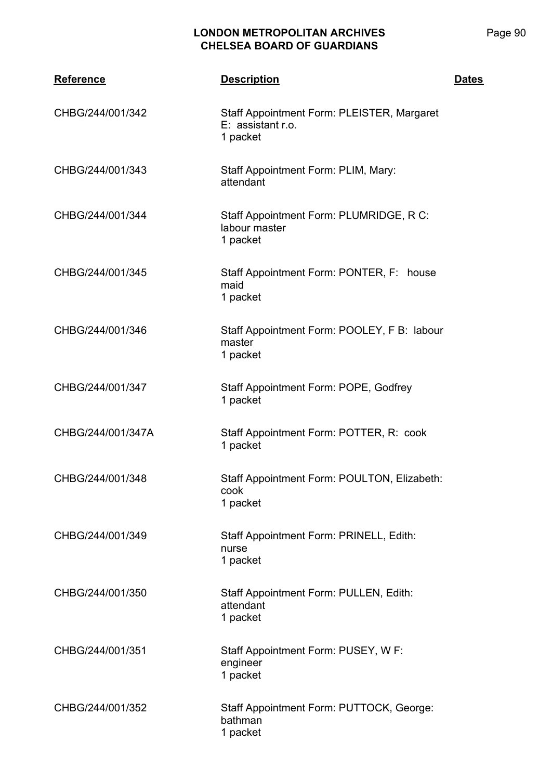| <b>Reference</b>  | <b>Description</b>                                                          | <b>Dates</b> |
|-------------------|-----------------------------------------------------------------------------|--------------|
| CHBG/244/001/342  | Staff Appointment Form: PLEISTER, Margaret<br>E: assistant r.o.<br>1 packet |              |
| CHBG/244/001/343  | Staff Appointment Form: PLIM, Mary:<br>attendant                            |              |
| CHBG/244/001/344  | Staff Appointment Form: PLUMRIDGE, R C:<br>labour master<br>1 packet        |              |
| CHBG/244/001/345  | Staff Appointment Form: PONTER, F: house<br>maid<br>1 packet                |              |
| CHBG/244/001/346  | Staff Appointment Form: POOLEY, F B: labour<br>master<br>1 packet           |              |
| CHBG/244/001/347  | Staff Appointment Form: POPE, Godfrey<br>1 packet                           |              |
| CHBG/244/001/347A | Staff Appointment Form: POTTER, R: cook<br>1 packet                         |              |
| CHBG/244/001/348  | Staff Appointment Form: POULTON, Elizabeth:<br>cook<br>1 packet             |              |
| CHBG/244/001/349  | Staff Appointment Form: PRINELL, Edith:<br>nurse<br>1 packet                |              |
| CHBG/244/001/350  | Staff Appointment Form: PULLEN, Edith:<br>attendant<br>1 packet             |              |
| CHBG/244/001/351  | Staff Appointment Form: PUSEY, W F:<br>engineer<br>1 packet                 |              |
| CHBG/244/001/352  | Staff Appointment Form: PUTTOCK, George:<br>bathman<br>1 packet             |              |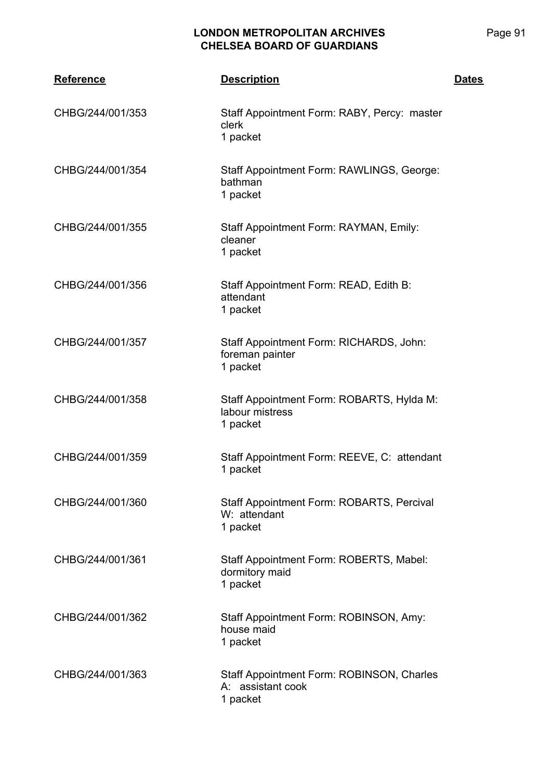| <b>Reference</b> | <b>Description</b>                                                         | <b>Dates</b> |
|------------------|----------------------------------------------------------------------------|--------------|
| CHBG/244/001/353 | Staff Appointment Form: RABY, Percy: master<br>clerk<br>1 packet           |              |
| CHBG/244/001/354 | Staff Appointment Form: RAWLINGS, George:<br>bathman<br>1 packet           |              |
| CHBG/244/001/355 | Staff Appointment Form: RAYMAN, Emily:<br>cleaner<br>1 packet              |              |
| CHBG/244/001/356 | Staff Appointment Form: READ, Edith B:<br>attendant<br>1 packet            |              |
| CHBG/244/001/357 | Staff Appointment Form: RICHARDS, John:<br>foreman painter<br>1 packet     |              |
| CHBG/244/001/358 | Staff Appointment Form: ROBARTS, Hylda M:<br>labour mistress<br>1 packet   |              |
| CHBG/244/001/359 | Staff Appointment Form: REEVE, C: attendant<br>1 packet                    |              |
| CHBG/244/001/360 | Staff Appointment Form: ROBARTS, Percival<br>W: attendant<br>1 packet      |              |
| CHBG/244/001/361 | Staff Appointment Form: ROBERTS, Mabel:<br>dormitory maid<br>1 packet      |              |
| CHBG/244/001/362 | Staff Appointment Form: ROBINSON, Amy:<br>house maid<br>1 packet           |              |
| CHBG/244/001/363 | Staff Appointment Form: ROBINSON, Charles<br>A: assistant cook<br>1 packet |              |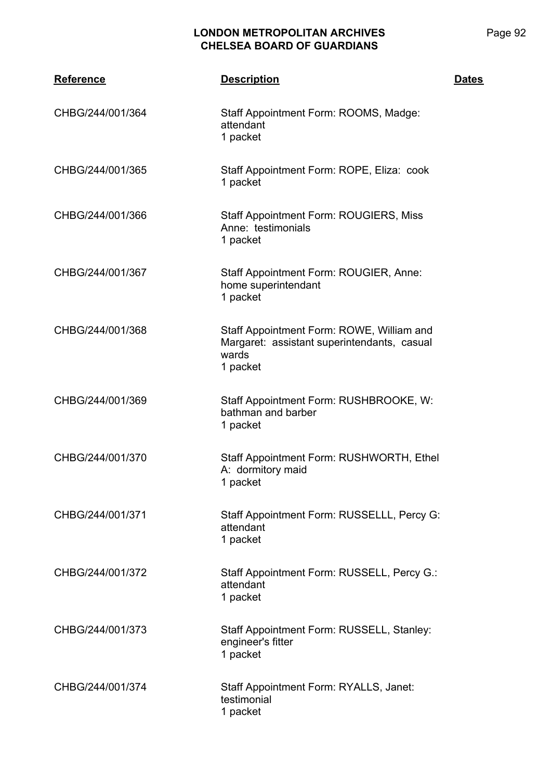| <b>Reference</b> | <b>Description</b>                                                                                            | <b>Dates</b> |
|------------------|---------------------------------------------------------------------------------------------------------------|--------------|
| CHBG/244/001/364 | Staff Appointment Form: ROOMS, Madge:<br>attendant<br>1 packet                                                |              |
| CHBG/244/001/365 | Staff Appointment Form: ROPE, Eliza: cook<br>1 packet                                                         |              |
| CHBG/244/001/366 | <b>Staff Appointment Form: ROUGIERS, Miss</b><br>Anne: testimonials<br>1 packet                               |              |
| CHBG/244/001/367 | Staff Appointment Form: ROUGIER, Anne:<br>home superintendant<br>1 packet                                     |              |
| CHBG/244/001/368 | Staff Appointment Form: ROWE, William and<br>Margaret: assistant superintendants, casual<br>wards<br>1 packet |              |
| CHBG/244/001/369 | Staff Appointment Form: RUSHBROOKE, W:<br>bathman and barber<br>1 packet                                      |              |
| CHBG/244/001/370 | Staff Appointment Form: RUSHWORTH, Ethel<br>A: dormitory maid<br>1 packet                                     |              |
| CHBG/244/001/371 | Staff Appointment Form: RUSSELLL, Percy G:<br>attendant<br>1 packet                                           |              |
| CHBG/244/001/372 | Staff Appointment Form: RUSSELL, Percy G.:<br>attendant<br>1 packet                                           |              |
| CHBG/244/001/373 | Staff Appointment Form: RUSSELL, Stanley:<br>engineer's fitter<br>1 packet                                    |              |
| CHBG/244/001/374 | Staff Appointment Form: RYALLS, Janet:<br>testimonial<br>1 packet                                             |              |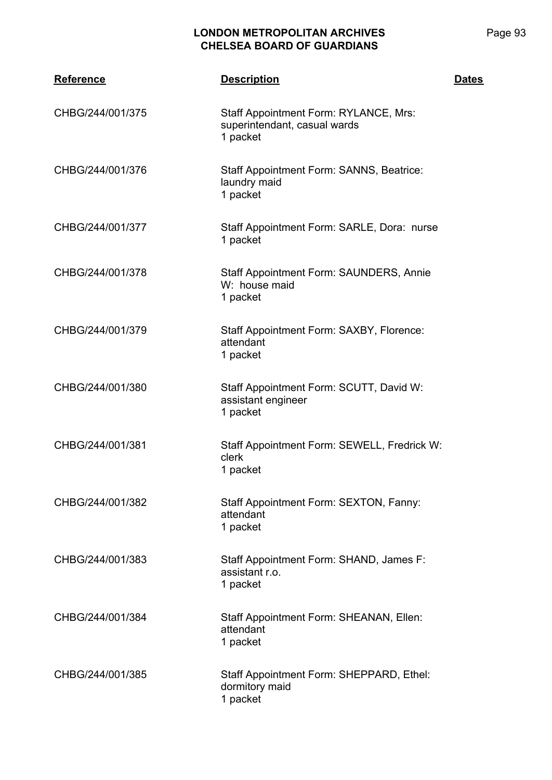| <b>Reference</b> | <b>Description</b>                                                                | <b>Dates</b> |
|------------------|-----------------------------------------------------------------------------------|--------------|
| CHBG/244/001/375 | Staff Appointment Form: RYLANCE, Mrs:<br>superintendant, casual wards<br>1 packet |              |
| CHBG/244/001/376 | Staff Appointment Form: SANNS, Beatrice:<br>laundry maid<br>1 packet              |              |
| CHBG/244/001/377 | Staff Appointment Form: SARLE, Dora: nurse<br>1 packet                            |              |
| CHBG/244/001/378 | Staff Appointment Form: SAUNDERS, Annie<br>W: house maid<br>1 packet              |              |
| CHBG/244/001/379 | Staff Appointment Form: SAXBY, Florence:<br>attendant<br>1 packet                 |              |
| CHBG/244/001/380 | Staff Appointment Form: SCUTT, David W:<br>assistant engineer<br>1 packet         |              |
| CHBG/244/001/381 | Staff Appointment Form: SEWELL, Fredrick W:<br>clerk<br>1 packet                  |              |
| CHBG/244/001/382 | Staff Appointment Form: SEXTON, Fanny:<br>attendant<br>1 packet                   |              |
| CHBG/244/001/383 | Staff Appointment Form: SHAND, James F:<br>assistant r.o.<br>1 packet             |              |
| CHBG/244/001/384 | Staff Appointment Form: SHEANAN, Ellen:<br>attendant<br>1 packet                  |              |
| CHBG/244/001/385 | Staff Appointment Form: SHEPPARD, Ethel:<br>dormitory maid<br>1 packet            |              |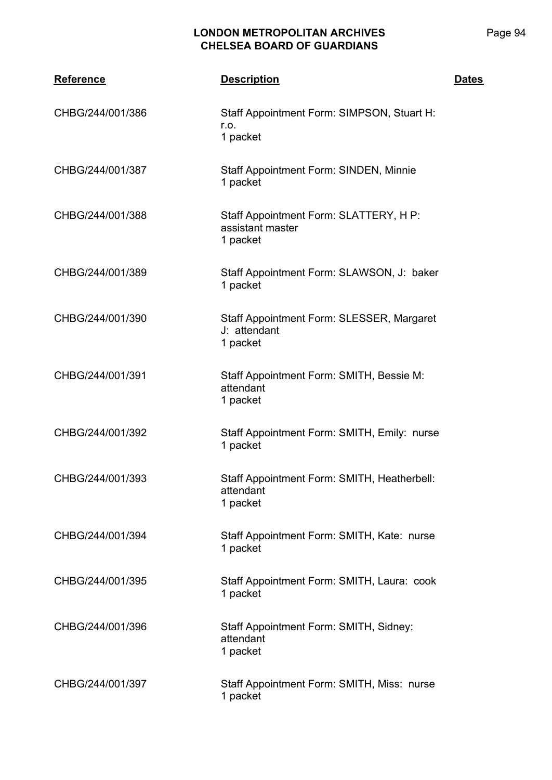| <b>Reference</b> | <b>Description</b>                                                     | <b>Dates</b> |
|------------------|------------------------------------------------------------------------|--------------|
| CHBG/244/001/386 | Staff Appointment Form: SIMPSON, Stuart H:<br>r.o.<br>1 packet         |              |
| CHBG/244/001/387 | Staff Appointment Form: SINDEN, Minnie<br>1 packet                     |              |
| CHBG/244/001/388 | Staff Appointment Form: SLATTERY, H P:<br>assistant master<br>1 packet |              |
| CHBG/244/001/389 | Staff Appointment Form: SLAWSON, J: baker<br>1 packet                  |              |
| CHBG/244/001/390 | Staff Appointment Form: SLESSER, Margaret<br>J: attendant<br>1 packet  |              |
| CHBG/244/001/391 | Staff Appointment Form: SMITH, Bessie M:<br>attendant<br>1 packet      |              |
| CHBG/244/001/392 | Staff Appointment Form: SMITH, Emily: nurse<br>1 packet                |              |
| CHBG/244/001/393 | Staff Appointment Form: SMITH, Heatherbell:<br>attendant<br>1 packet   |              |
| CHBG/244/001/394 | Staff Appointment Form: SMITH, Kate: nurse<br>1 packet                 |              |
| CHBG/244/001/395 | Staff Appointment Form: SMITH, Laura: cook<br>1 packet                 |              |
| CHBG/244/001/396 | Staff Appointment Form: SMITH, Sidney:<br>attendant<br>1 packet        |              |
| CHBG/244/001/397 | Staff Appointment Form: SMITH, Miss: nurse<br>1 packet                 |              |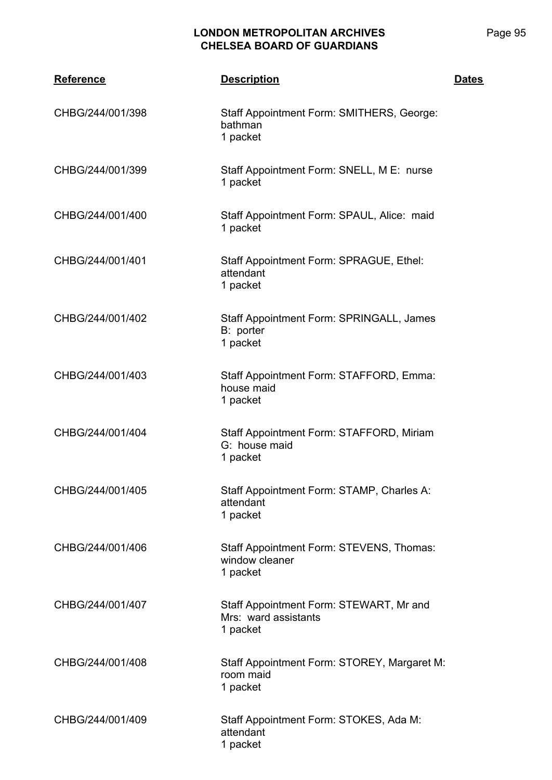| <b>Reference</b> | <b>Description</b>                                                          | <b>Dates</b> |
|------------------|-----------------------------------------------------------------------------|--------------|
| CHBG/244/001/398 | Staff Appointment Form: SMITHERS, George:<br>bathman<br>1 packet            |              |
| CHBG/244/001/399 | Staff Appointment Form: SNELL, M E: nurse<br>1 packet                       |              |
| CHBG/244/001/400 | Staff Appointment Form: SPAUL, Alice: maid<br>1 packet                      |              |
| CHBG/244/001/401 | Staff Appointment Form: SPRAGUE, Ethel:<br>attendant<br>1 packet            |              |
| CHBG/244/001/402 | Staff Appointment Form: SPRINGALL, James<br>B: porter<br>1 packet           |              |
| CHBG/244/001/403 | Staff Appointment Form: STAFFORD, Emma:<br>house maid<br>1 packet           |              |
| CHBG/244/001/404 | Staff Appointment Form: STAFFORD, Miriam<br>G: house maid<br>1 packet       |              |
| CHBG/244/001/405 | Staff Appointment Form: STAMP, Charles A:<br>attendant<br>1 packet          |              |
| CHBG/244/001/406 | Staff Appointment Form: STEVENS, Thomas:<br>window cleaner<br>1 packet      |              |
| CHBG/244/001/407 | Staff Appointment Form: STEWART, Mr and<br>Mrs: ward assistants<br>1 packet |              |
| CHBG/244/001/408 | Staff Appointment Form: STOREY, Margaret M:<br>room maid<br>1 packet        |              |
| CHBG/244/001/409 | Staff Appointment Form: STOKES, Ada M:<br>attendant<br>1 packet             |              |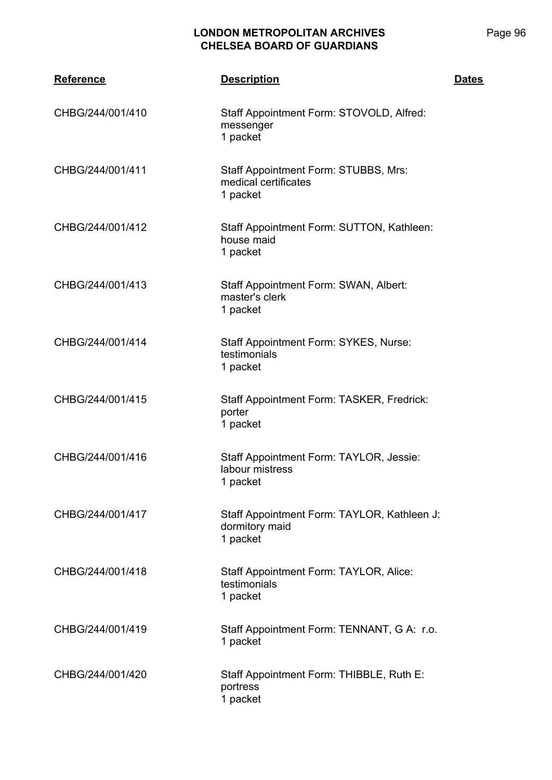| <b>Reference</b> | <b>Description</b>                                                        | <b>Dates</b> |
|------------------|---------------------------------------------------------------------------|--------------|
| CHBG/244/001/410 | Staff Appointment Form: STOVOLD, Alfred:<br>messenger<br>1 packet         |              |
| CHBG/244/001/411 | Staff Appointment Form: STUBBS, Mrs:<br>medical certificates<br>1 packet  |              |
| CHBG/244/001/412 | Staff Appointment Form: SUTTON, Kathleen:<br>house maid<br>1 packet       |              |
| CHBG/244/001/413 | Staff Appointment Form: SWAN, Albert:<br>master's clerk<br>1 packet       |              |
| CHBG/244/001/414 | Staff Appointment Form: SYKES, Nurse:<br>testimonials<br>1 packet         |              |
| CHBG/244/001/415 | Staff Appointment Form: TASKER, Fredrick:<br>porter<br>1 packet           |              |
| CHBG/244/001/416 | Staff Appointment Form: TAYLOR, Jessie:<br>labour mistress<br>1 packet    |              |
| CHBG/244/001/417 | Staff Appointment Form: TAYLOR, Kathleen J:<br>dormitory maid<br>1 packet |              |
| CHBG/244/001/418 | Staff Appointment Form: TAYLOR, Alice:<br>testimonials<br>1 packet        |              |
| CHBG/244/001/419 | Staff Appointment Form: TENNANT, G A: r.o.<br>1 packet                    |              |
| CHBG/244/001/420 | Staff Appointment Form: THIBBLE, Ruth E:<br>portress<br>1 packet          |              |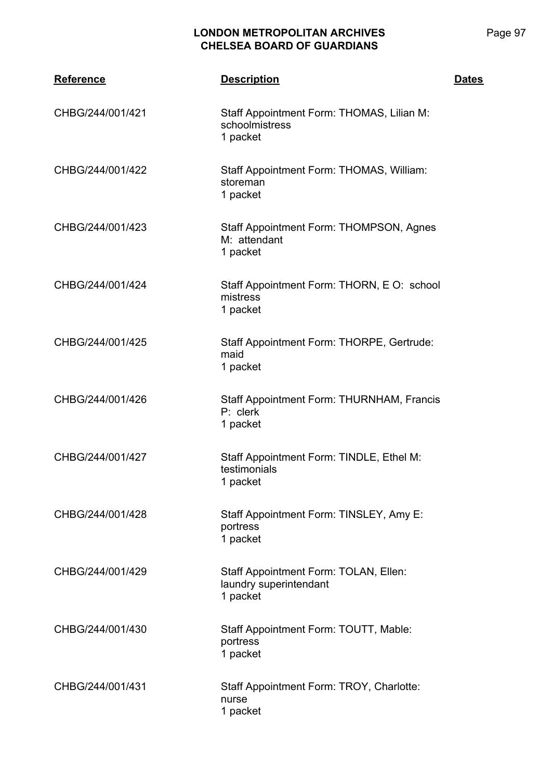| <b>Reference</b> | <b>Description</b>                                                          | <b>Dates</b> |
|------------------|-----------------------------------------------------------------------------|--------------|
| CHBG/244/001/421 | Staff Appointment Form: THOMAS, Lilian M:<br>schoolmistress<br>1 packet     |              |
| CHBG/244/001/422 | Staff Appointment Form: THOMAS, William:<br>storeman<br>1 packet            |              |
| CHBG/244/001/423 | Staff Appointment Form: THOMPSON, Agnes<br>M: attendant<br>1 packet         |              |
| CHBG/244/001/424 | Staff Appointment Form: THORN, E O: school<br>mistress<br>1 packet          |              |
| CHBG/244/001/425 | Staff Appointment Form: THORPE, Gertrude:<br>maid<br>1 packet               |              |
| CHBG/244/001/426 | Staff Appointment Form: THURNHAM, Francis<br>P: clerk<br>1 packet           |              |
| CHBG/244/001/427 | Staff Appointment Form: TINDLE, Ethel M:<br>testimonials<br>1 packet        |              |
| CHBG/244/001/428 | Staff Appointment Form: TINSLEY, Amy E:<br>portress<br>1 packet             |              |
| CHBG/244/001/429 | Staff Appointment Form: TOLAN, Ellen:<br>laundry superintendant<br>1 packet |              |
| CHBG/244/001/430 | Staff Appointment Form: TOUTT, Mable:<br>portress<br>1 packet               |              |
| CHBG/244/001/431 | Staff Appointment Form: TROY, Charlotte:<br>nurse<br>1 packet               |              |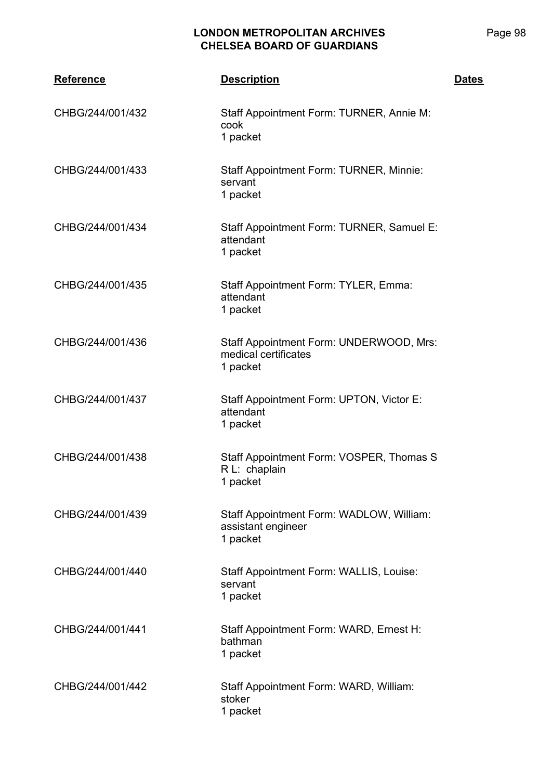| <b>Reference</b> | <b>Description</b>                                                          | <b>Dates</b> |
|------------------|-----------------------------------------------------------------------------|--------------|
| CHBG/244/001/432 | Staff Appointment Form: TURNER, Annie M:<br>cook<br>1 packet                |              |
| CHBG/244/001/433 | Staff Appointment Form: TURNER, Minnie:<br>servant<br>1 packet              |              |
| CHBG/244/001/434 | Staff Appointment Form: TURNER, Samuel E:<br>attendant<br>1 packet          |              |
| CHBG/244/001/435 | Staff Appointment Form: TYLER, Emma:<br>attendant<br>1 packet               |              |
| CHBG/244/001/436 | Staff Appointment Form: UNDERWOOD, Mrs:<br>medical certificates<br>1 packet |              |
| CHBG/244/001/437 | Staff Appointment Form: UPTON, Victor E:<br>attendant<br>1 packet           |              |
| CHBG/244/001/438 | Staff Appointment Form: VOSPER, Thomas S<br>R L: chaplain<br>1 packet       |              |
| CHBG/244/001/439 | Staff Appointment Form: WADLOW, William:<br>assistant engineer<br>1 packet  |              |
| CHBG/244/001/440 | Staff Appointment Form: WALLIS, Louise:<br>servant<br>1 packet              |              |
| CHBG/244/001/441 | Staff Appointment Form: WARD, Ernest H:<br>bathman<br>1 packet              |              |
| CHBG/244/001/442 | Staff Appointment Form: WARD, William:<br>stoker<br>1 packet                |              |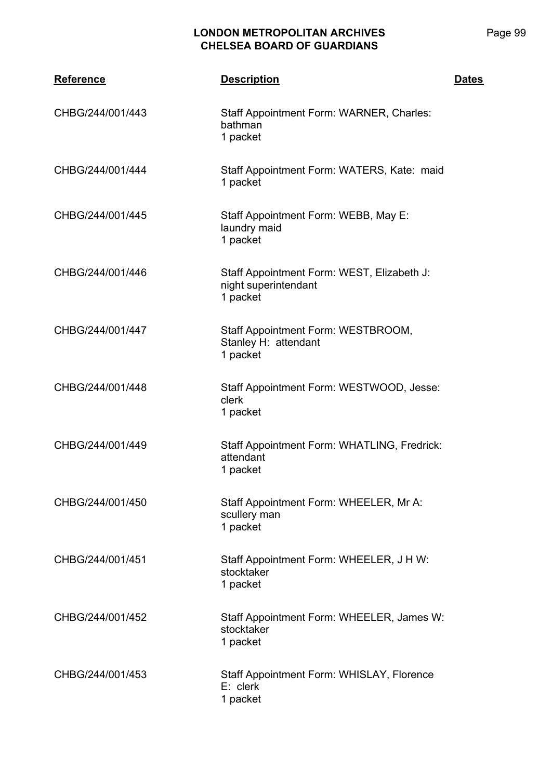| <b>Reference</b> | <b>Description</b>                                                             | <b>Dates</b> |
|------------------|--------------------------------------------------------------------------------|--------------|
| CHBG/244/001/443 | Staff Appointment Form: WARNER, Charles:<br>bathman<br>1 packet                |              |
| CHBG/244/001/444 | Staff Appointment Form: WATERS, Kate: maid<br>1 packet                         |              |
| CHBG/244/001/445 | Staff Appointment Form: WEBB, May E:<br>laundry maid<br>1 packet               |              |
| CHBG/244/001/446 | Staff Appointment Form: WEST, Elizabeth J:<br>night superintendant<br>1 packet |              |
| CHBG/244/001/447 | Staff Appointment Form: WESTBROOM,<br>Stanley H: attendant<br>1 packet         |              |
| CHBG/244/001/448 | Staff Appointment Form: WESTWOOD, Jesse:<br>clerk<br>1 packet                  |              |
| CHBG/244/001/449 | Staff Appointment Form: WHATLING, Fredrick:<br>attendant<br>1 packet           |              |
| CHBG/244/001/450 | Staff Appointment Form: WHEELER, Mr A:<br>scullery man<br>1 packet             |              |
| CHBG/244/001/451 | Staff Appointment Form: WHEELER, J H W:<br>stocktaker<br>1 packet              |              |
| CHBG/244/001/452 | Staff Appointment Form: WHEELER, James W:<br>stocktaker<br>1 packet            |              |
| CHBG/244/001/453 | Staff Appointment Form: WHISLAY, Florence<br>E: clerk<br>1 packet              |              |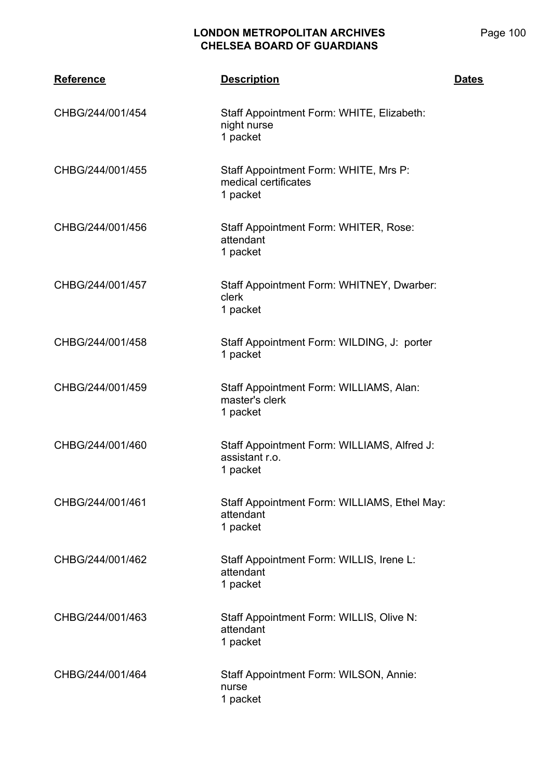| <b>Reference</b> | <b>Description</b>                                                        | <b>Dates</b> |
|------------------|---------------------------------------------------------------------------|--------------|
| CHBG/244/001/454 | Staff Appointment Form: WHITE, Elizabeth:<br>night nurse<br>1 packet      |              |
| CHBG/244/001/455 | Staff Appointment Form: WHITE, Mrs P:<br>medical certificates<br>1 packet |              |
| CHBG/244/001/456 | Staff Appointment Form: WHITER, Rose:<br>attendant<br>1 packet            |              |
| CHBG/244/001/457 | Staff Appointment Form: WHITNEY, Dwarber:<br>clerk<br>1 packet            |              |
| CHBG/244/001/458 | Staff Appointment Form: WILDING, J: porter<br>1 packet                    |              |
| CHBG/244/001/459 | Staff Appointment Form: WILLIAMS, Alan:<br>master's clerk<br>1 packet     |              |
| CHBG/244/001/460 | Staff Appointment Form: WILLIAMS, Alfred J:<br>assistant r.o.<br>1 packet |              |
| CHBG/244/001/461 | Staff Appointment Form: WILLIAMS, Ethel May:<br>attendant<br>1 packet     |              |
| CHBG/244/001/462 | Staff Appointment Form: WILLIS, Irene L:<br>attendant<br>1 packet         |              |
| CHBG/244/001/463 | Staff Appointment Form: WILLIS, Olive N:<br>attendant<br>1 packet         |              |
| CHBG/244/001/464 | Staff Appointment Form: WILSON, Annie:<br>nurse<br>1 packet               |              |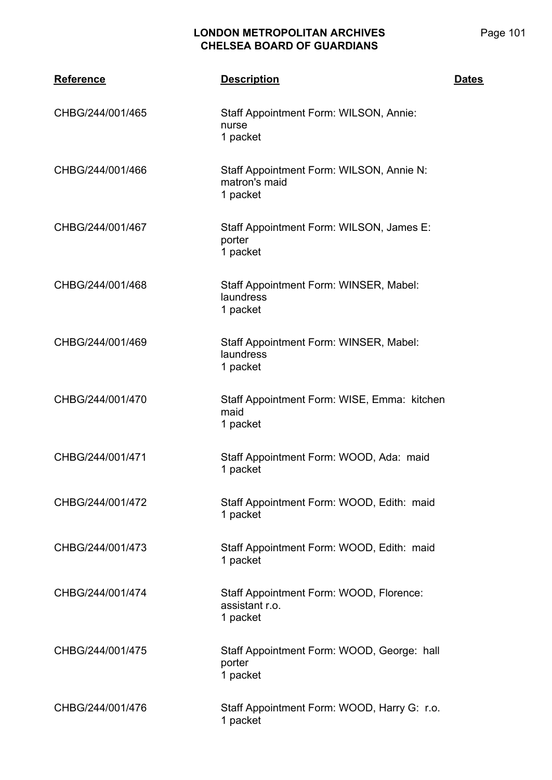| <b>Reference</b> | <b>Description</b>                                                    | <b>Dates</b> |
|------------------|-----------------------------------------------------------------------|--------------|
| CHBG/244/001/465 | Staff Appointment Form: WILSON, Annie:<br>nurse<br>1 packet           |              |
| CHBG/244/001/466 | Staff Appointment Form: WILSON, Annie N:<br>matron's maid<br>1 packet |              |
| CHBG/244/001/467 | Staff Appointment Form: WILSON, James E:<br>porter<br>1 packet        |              |
| CHBG/244/001/468 | Staff Appointment Form: WINSER, Mabel:<br>laundress<br>1 packet       |              |
| CHBG/244/001/469 | Staff Appointment Form: WINSER, Mabel:<br>laundress<br>1 packet       |              |
| CHBG/244/001/470 | Staff Appointment Form: WISE, Emma: kitchen<br>maid<br>1 packet       |              |
| CHBG/244/001/471 | Staff Appointment Form: WOOD, Ada: maid<br>1 packet                   |              |
| CHBG/244/001/472 | Staff Appointment Form: WOOD, Edith: maid<br>1 packet                 |              |
| CHBG/244/001/473 | Staff Appointment Form: WOOD, Edith: maid<br>1 packet                 |              |
| CHBG/244/001/474 | Staff Appointment Form: WOOD, Florence:<br>assistant r.o.<br>1 packet |              |
| CHBG/244/001/475 | Staff Appointment Form: WOOD, George: hall<br>porter<br>1 packet      |              |
| CHBG/244/001/476 | Staff Appointment Form: WOOD, Harry G: r.o.<br>1 packet               |              |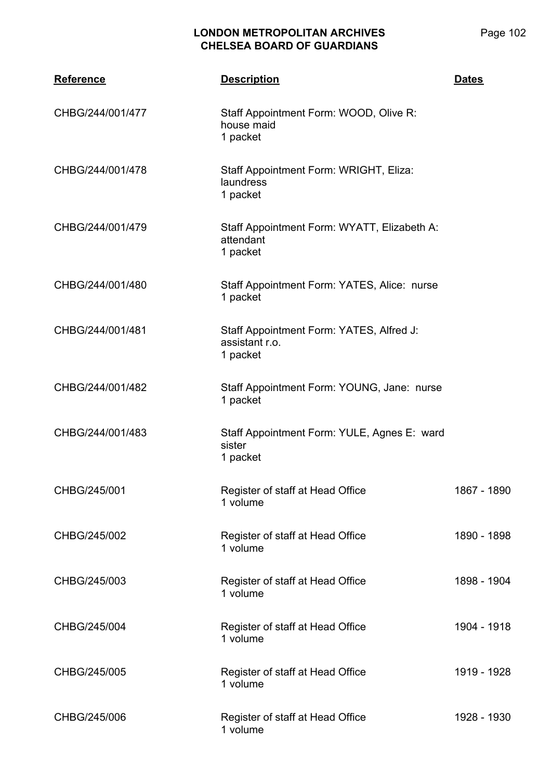| <b>Reference</b> | <b>Description</b>                                                     | <b>Dates</b> |
|------------------|------------------------------------------------------------------------|--------------|
| CHBG/244/001/477 | Staff Appointment Form: WOOD, Olive R:<br>house maid<br>1 packet       |              |
| CHBG/244/001/478 | Staff Appointment Form: WRIGHT, Eliza:<br>laundress<br>1 packet        |              |
| CHBG/244/001/479 | Staff Appointment Form: WYATT, Elizabeth A:<br>attendant<br>1 packet   |              |
| CHBG/244/001/480 | Staff Appointment Form: YATES, Alice: nurse<br>1 packet                |              |
| CHBG/244/001/481 | Staff Appointment Form: YATES, Alfred J:<br>assistant r.o.<br>1 packet |              |
| CHBG/244/001/482 | Staff Appointment Form: YOUNG, Jane: nurse<br>1 packet                 |              |
| CHBG/244/001/483 | Staff Appointment Form: YULE, Agnes E: ward<br>sister<br>1 packet      |              |
| CHBG/245/001     | Register of staff at Head Office<br>1 volume                           | 1867 - 1890  |
| CHBG/245/002     | Register of staff at Head Office<br>1 volume                           | 1890 - 1898  |
| CHBG/245/003     | Register of staff at Head Office<br>1 volume                           | 1898 - 1904  |
| CHBG/245/004     | Register of staff at Head Office<br>1 volume                           | 1904 - 1918  |
| CHBG/245/005     | Register of staff at Head Office<br>1 volume                           | 1919 - 1928  |
| CHBG/245/006     | Register of staff at Head Office<br>1 volume                           | 1928 - 1930  |